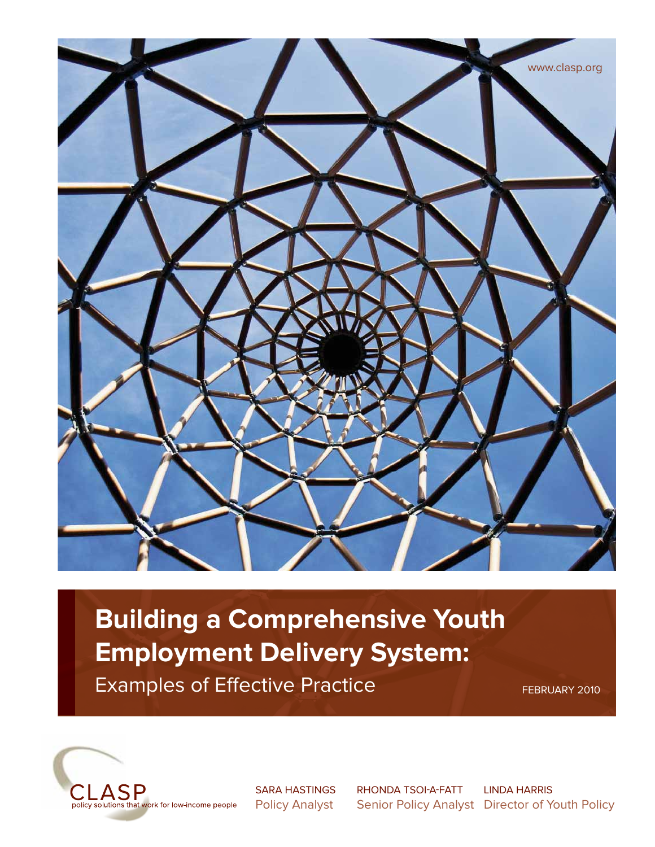

# **Building a Comprehensive Youth Examples of Effective Practice**

Examples of Eff ective Practice FEBRUARY 2010



S<br>Deliau Analyst Policy Analyst

**LINDA HARRIS** Conier Delieu Analy  $Diractor of V$ Senior Policy Analyst Director of Youth Policy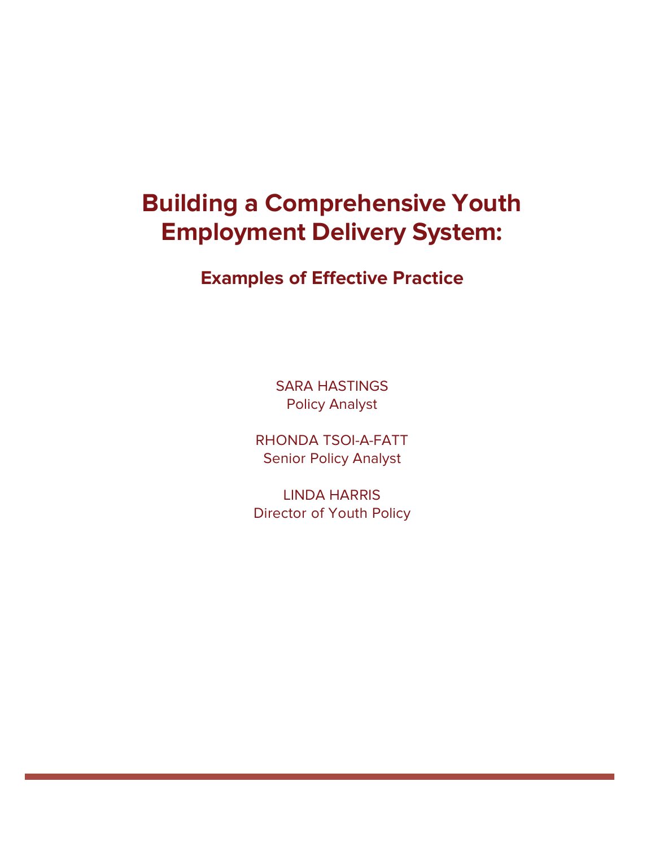# **Building a Comprehensive Youth Employment Delivery System:**

# **Examples of Effective Practice**

SARA HASTINGS Policy Analyst

RHONDA TSOI-A-FATT Senior Policy Analyst

LINDA HARRIS Director of Youth Policy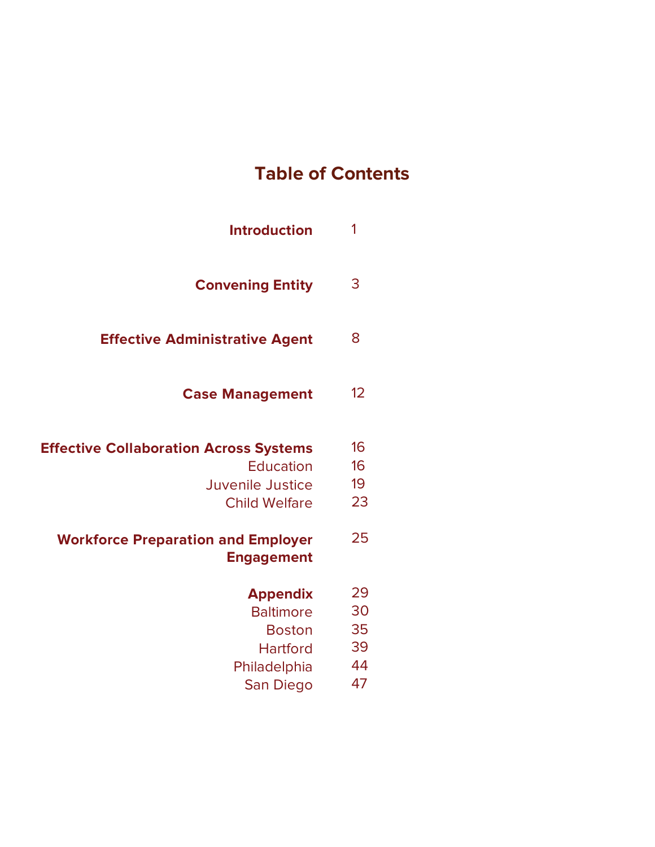# **Table of Contents**

| <b>Introduction</b>                                                                                           | 1                                |
|---------------------------------------------------------------------------------------------------------------|----------------------------------|
| <b>Convening Entity</b>                                                                                       | 3                                |
| <b>Effective Administrative Agent</b>                                                                         | 8                                |
| <b>Case Management</b>                                                                                        | 12                               |
| <b>Effective Collaboration Across Systems</b><br><b>Education</b><br>Juvenile Justice<br><b>Child Welfare</b> | 16<br>16<br>19<br>23             |
| <b>Workforce Preparation and Employer</b><br><b>Engagement</b>                                                | 25                               |
| <b>Appendix</b><br><b>Baltimore</b><br><b>Boston</b><br><b>Hartford</b><br>Philadelphia<br>San Diego          | 29<br>30<br>35<br>39<br>44<br>47 |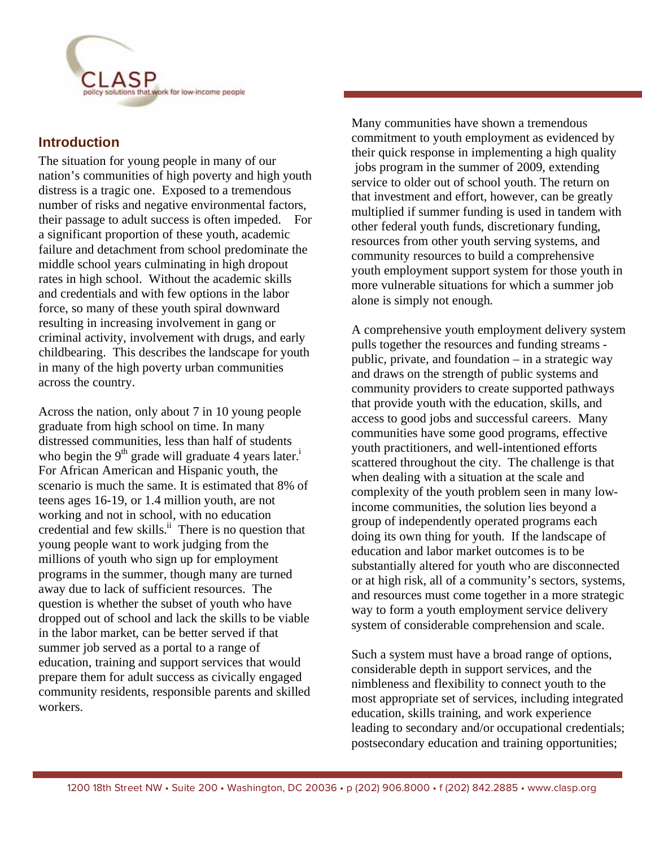work for low-income people

#### **Introduction**

The situation for young people in many of our nation's communities of high poverty and high youth distress is a tragic one. Exposed to a tremendous number of risks and negative environmental factors, their passage to adult success is often impeded. For a significant proportion of these youth, academic failure and detachment from school predominate the middle school years culminating in high dropout rates in high school. Without the academic skills and credentials and with few options in the labor force, so many of these youth spiral downward resulting in increasing involvement in gang or criminal activity, involvement with drugs, and early childbearing. This describes the landscape for youth in many of the high poverty urban communities across the country.

Across the nation, only about 7 in 10 young people graduate from high school on time. In many distressed communities, less than half of students who begin the 9<sup>th</sup> grade will graduate 4 years later.<sup>i</sup> For African American and Hispanic youth, the scenario is much the same. It is estimated that 8% of teens ages 16-19, or 1.4 million youth, are not working and not in school, with no education credential and few skills. $\frac{ii}{i}$  There is no question that young people want to work judging from the millions of youth who sign up for employment programs in the summer, though many are turned away due to lack of sufficient resources. The question is whether the subset of youth who have dropped out of school and lack the skills to be viable in the labor market, can be better served if that summer job served as a portal to a range of education, training and support services that would prepare them for adult success as civically engaged community residents, responsible parents and skilled workers.

Many communities have shown a tremendous commitment to youth employment as evidenced by their quick response in implementing a high quality jobs program in the summer of 2009, extending service to older out of school youth. The return on that investment and effort, however, can be greatly multiplied if summer funding is used in tandem with other federal youth funds, discretionary funding, resources from other youth serving systems, and community resources to build a comprehensive youth employment support system for those youth in more vulnerable situations for which a summer job alone is simply not enough.

> A comprehensive youth employment delivery system pulls together the resources and funding streams public, private, and foundation – in a strategic way and draws on the strength of public systems and community providers to create supported pathways that provide youth with the education, skills, and access to good jobs and successful careers. Many communities have some good programs, effective youth practitioners, and well-intentioned efforts scattered throughout the city. The challenge is that when dealing with a situation at the scale and complexity of the youth problem seen in many lowincome communities, the solution lies beyond a group of independently operated programs each doing its own thing for youth. If the landscape of education and labor market outcomes is to be substantially altered for youth who are disconnected or at high risk, all of a community's sectors, systems, and resources must come together in a more strategic way to form a youth employment service delivery system of considerable comprehension and scale.

> Such a system must have a broad range of options, considerable depth in support services, and the nimbleness and flexibility to connect youth to the most appropriate set of services, including integrated education, skills training, and work experience leading to secondary and/or occupational credentials; postsecondary education and training opportunities;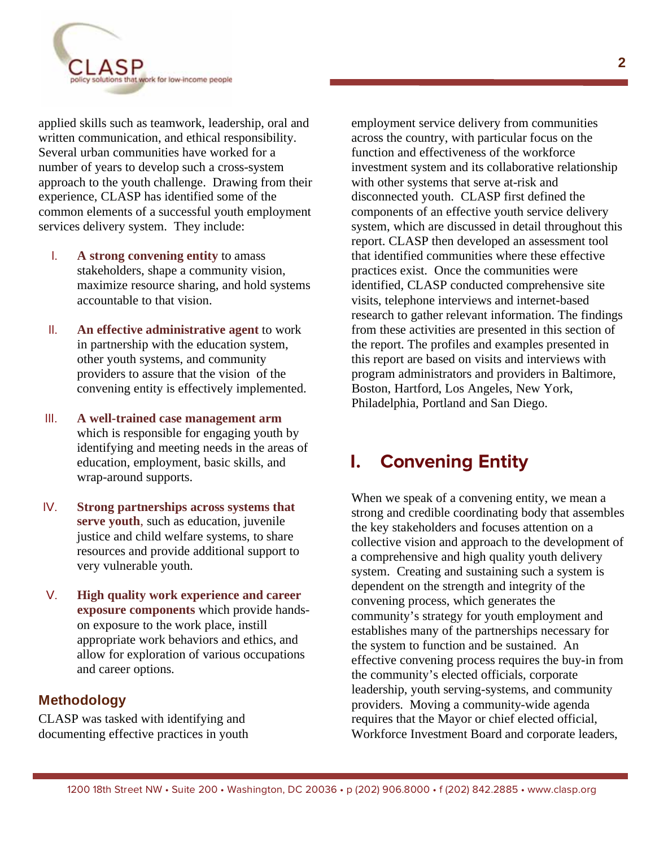

applied skills such as teamwork, leadership, oral and written communication, and ethical responsibility. Several urban communities have worked for a number of years to develop such a cross-system approach to the youth challenge. Drawing from their experience, CLASP has identified some of the common elements of a successful youth employment services delivery system. They include:

- I. **A strong convening entity** to amass stakeholders, shape a community vision, maximize resource sharing, and hold systems accountable to that vision.
- II. **An effective administrative agent** to work in partnership with the education system, other youth systems, and community providers to assure that the vision of the convening entity is effectively implemented.
- III. **A well-trained case management arm** which is responsible for engaging youth by identifying and meeting needs in the areas of education, employment, basic skills, and wrap-around supports.
- IV. **Strong partnerships across systems that serve youth**, such as education, juvenile justice and child welfare systems, to share resources and provide additional support to very vulnerable youth.
- V. **High quality work experience and career exposure components** which provide handson exposure to the work place, instill appropriate work behaviors and ethics, and allow for exploration of various occupations and career options.

#### **Methodology**

CLASP was tasked with identifying and documenting effective practices in youth employment service delivery from communities across the country, with particular focus on the function and effectiveness of the workforce investment system and its collaborative relationship with other systems that serve at-risk and disconnected youth. CLASP first defined the components of an effective youth service delivery system, which are discussed in detail throughout this report. CLASP then developed an assessment tool that identified communities where these effective practices exist. Once the communities were identified, CLASP conducted comprehensive site visits, telephone interviews and internet-based research to gather relevant information. The findings from these activities are presented in this section of the report. The profiles and examples presented in this report are based on visits and interviews with program administrators and providers in Baltimore, Boston, Hartford, Los Angeles, New York, Philadelphia, Portland and San Diego.

### L. **I. Convening Entity**

When we speak of a convening entity, we mean a strong and credible coordinating body that assembles the key stakeholders and focuses attention on a collective vision and approach to the development of a comprehensive and high quality youth delivery system. Creating and sustaining such a system is dependent on the strength and integrity of the convening process, which generates the community's strategy for youth employment and establishes many of the partnerships necessary for the system to function and be sustained. An effective convening process requires the buy-in from the community's elected officials, corporate leadership, youth serving-systems, and community providers. Moving a community-wide agenda requires that the Mayor or chief elected official, Workforce Investment Board and corporate leaders,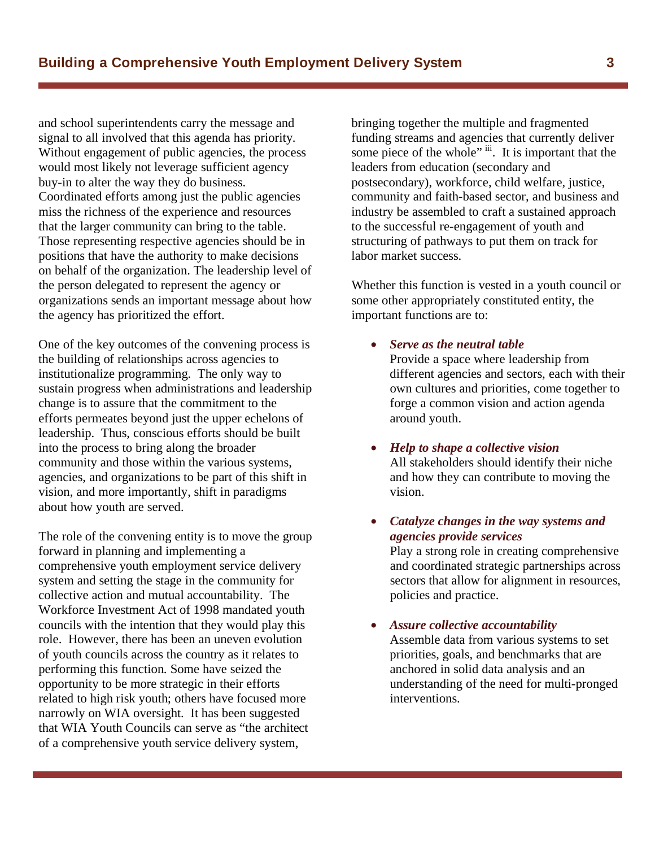and school superintendents carry the message and signal to all involved that this agenda has priority. Without engagement of public agencies, the process would most likely not leverage sufficient agency buy-in to alter the way they do business. Coordinated efforts among just the public agencies miss the richness of the experience and resources that the larger community can bring to the table. Those representing respective agencies should be in positions that have the authority to make decisions on behalf of the organization. The leadership level of the person delegated to represent the agency or organizations sends an important message about how the agency has prioritized the effort.

One of the key outcomes of the convening process is the building of relationships across agencies to institutionalize programming. The only way to sustain progress when administrations and leadership change is to assure that the commitment to the efforts permeates beyond just the upper echelons of leadership. Thus, conscious efforts should be built into the process to bring along the broader community and those within the various systems, agencies, and organizations to be part of this shift in vision, and more importantly, shift in paradigms about how youth are served.

The role of the convening entity is to move the group forward in planning and implementing a comprehensive youth employment service delivery system and setting the stage in the community for collective action and mutual accountability. The Workforce Investment Act of 1998 mandated youth councils with the intention that they would play this role. However, there has been an uneven evolution of youth councils across the country as it relates to performing this function. Some have seized the opportunity to be more strategic in their efforts related to high risk youth; others have focused more narrowly on WIA oversight. It has been suggested that WIA Youth Councils can serve as "the architect of a comprehensive youth service delivery system,

bringing together the multiple and fragmented funding streams and agencies that currently deliver some piece of the whole" iii. It is important that the leaders from education (secondary and postsecondary), workforce, child welfare, justice, community and faith-based sector, and business and industry be assembled to craft a sustained approach to the successful re-engagement of youth and structuring of pathways to put them on track for labor market success.

Whether this function is vested in a youth council or some other appropriately constituted entity, the important functions are to:

- *Serve as the neutral table* Provide a space where leadership from different agencies and sectors, each with their own cultures and priorities, come together to forge a common vision and action agenda around youth.
- v *Help to shape a collective vision* All stakeholders should identify their niche and how they can contribute to moving the vision.
- v *Catalyze changes in the way systems and agencies provide services*

Play a strong role in creating comprehensive and coordinated strategic partnerships across sectors that allow for alignment in resources, policies and practice.

v *Assure collective accountability* Assemble data from various systems to set priorities, goals, and benchmarks that are anchored in solid data analysis and an understanding of the need for multi-pronged interventions.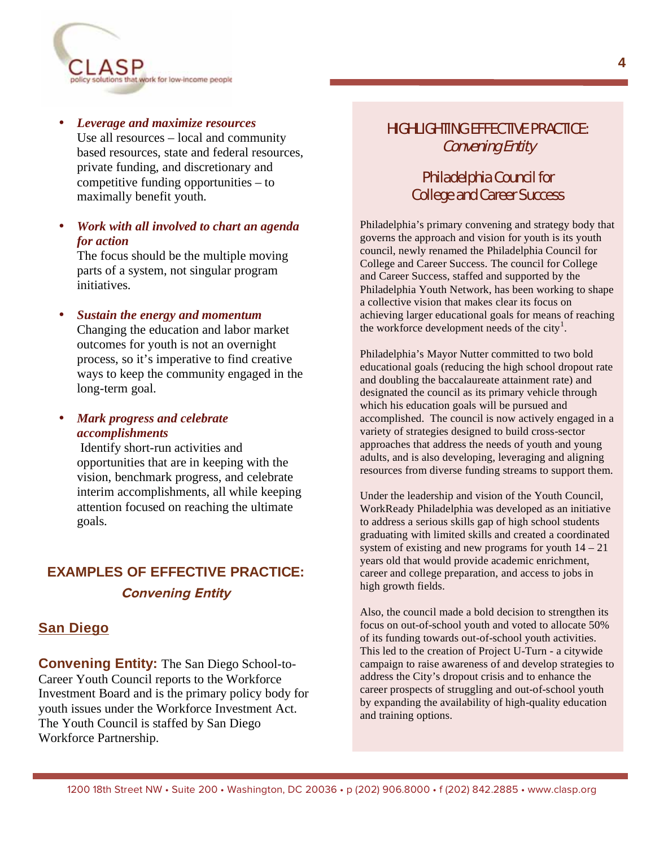

• *Leverage and maximize resources* Use all resources – local and community based resources, state and federal resources, private funding, and discretionary and competitive funding opportunities – to maximally benefit youth.

#### • *Work with all involved to chart an agenda for action*

The focus should be the multiple moving parts of a system, not singular program initiatives.

• *Sustain the energy and momentum*  Changing the education and labor market outcomes for youth is not an overnight process, so it's imperative to find creative ways to keep the community engaged in the long-term goal.

• *Mark progress and celebrate accomplishments*

> Identify short-run activities and opportunities that are in keeping with the vision, benchmark progress, and celebrate interim accomplishments, all while keeping attention focused on reaching the ultimate goals.

## **EXAMPLES OF EFFECTIVE PRACTICE: Convening Entity**

#### **San Diego**

**Convening Entity:** The San Diego School-to-Career Youth Council reports to the Workforce Investment Board and is the primary policy body for youth issues under the Workforce Investment Act. The Youth Council is staffed by San Diego Workforce Partnership.

### HIGHLIGHTING EFFECTIVE PRACTICE: Convening Entity

#### Philadelphia Council for College and Career Success

Philadelphia's primary convening and strategy body that governs the approach and vision for youth is its youth council, newly renamed the Philadelphia Council for College and Career Success. The council for College and Career Success, staffed and supported by the Philadelphia Youth Network, has been working to shape a collective vision that makes clear its focus on achieving larger educational goals for means of reaching the workforce development needs of the city<sup>1</sup>.

Philadelphia's Mayor Nutter committed to two bold educational goals (reducing the high school dropout rate and doubling the baccalaureate attainment rate) and designated the council as its primary vehicle through which his education goals will be pursued and accomplished. The council is now actively engaged in a variety of strategies designed to build cross-sector approaches that address the needs of youth and young adults, and is also developing, leveraging and aligning resources from diverse funding streams to support them.

Under the leadership and vision of the Youth Council, WorkReady Philadelphia was developed as an initiative to address a serious skills gap of high school students graduating with limited skills and created a coordinated system of existing and new programs for youth  $14 - 21$ years old that would provide academic enrichment, career and college preparation, and access to jobs in high growth fields.

Also, the council made a bold decision to strengthen its focus on out-of-school youth and voted to allocate 50% of its funding towards out-of-school youth activities. This led to the creation of Project U-Turn - a citywide campaign to raise awareness of and develop strategies to address the City's dropout crisis and to enhance the career prospects of struggling and out-of-school youth by expanding the availability of high-quality education and training options.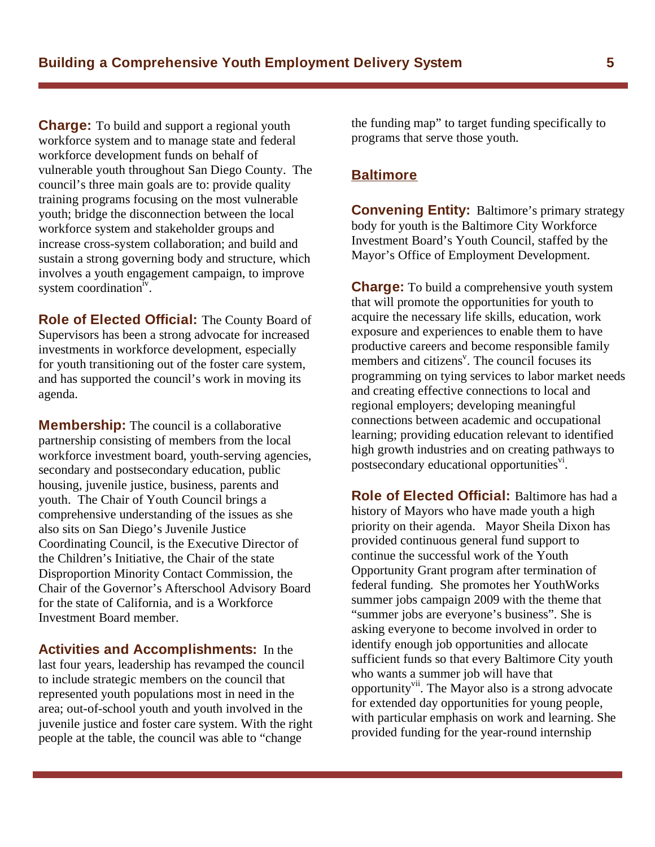**Charge:** To build and support a regional youth workforce system and to manage state and federal workforce development funds on behalf of vulnerable youth throughout San Diego County. The council's three main goals are to: provide quality training programs focusing on the most vulnerable youth; bridge the disconnection between the local workforce system and stakeholder groups and increase cross-system collaboration; and build and sustain a strong governing body and structure, which involves a youth engagement campaign, to improve system coordination<sup>iv</sup>.

**Role of Elected Official:** The County Board of Supervisors has been a strong advocate for increased investments in workforce development, especially for youth transitioning out of the foster care system, and has supported the council's work in moving its agenda.

**Membership:** The council is a collaborative partnership consisting of members from the local workforce investment board, youth-serving agencies, secondary and postsecondary education, public housing, juvenile justice, business, parents and youth. The Chair of Youth Council brings a comprehensive understanding of the issues as she also sits on San Diego's Juvenile Justice Coordinating Council, is the Executive Director of the Children's Initiative, the Chair of the state Disproportion Minority Contact Commission, the Chair of the Governor's Afterschool Advisory Board for the state of California, and is a Workforce Investment Board member.

**Activities and Accomplishments:** In the last four years, leadership has revamped the council to include strategic members on the council that represented youth populations most in need in the area; out-of-school youth and youth involved in the juvenile justice and foster care system. With the right people at the table, the council was able to "change

the funding map" to target funding specifically to programs that serve those youth.

#### **Baltimore**

**Convening Entity:** Baltimore's primary strategy body for youth is the Baltimore City Workforce Investment Board's Youth Council, staffed by the Mayor's Office of Employment Development.

**Charge:** To build a comprehensive youth system that will promote the opportunities for youth to acquire the necessary life skills, education, work exposure and experiences to enable them to have productive careers and become responsible family members and citizens<sup> $v$ </sup>. The council focuses its programming on tying services to labor market needs and creating effective connections to local and regional employers; developing meaningful connections between academic and occupational learning; providing education relevant to identified high growth industries and on creating pathways to postsecondary educational opportunities<sup>vi</sup>.

**Role of Elected Official:** Baltimore has had a history of Mayors who have made youth a high priority on their agenda. Mayor Sheila Dixon has provided continuous general fund support to continue the successful work of the Youth Opportunity Grant program after termination of federal funding. She promotes her YouthWorks summer jobs campaign 2009 with the theme that "summer jobs are everyone's business". She is asking everyone to become involved in order to identify enough job opportunities and allocate sufficient funds so that every Baltimore City youth who wants a summer job will have that opportunity<sup>vii</sup>. The Mayor also is a strong advocate for extended day opportunities for young people, with particular emphasis on work and learning. She provided funding for the year-round internship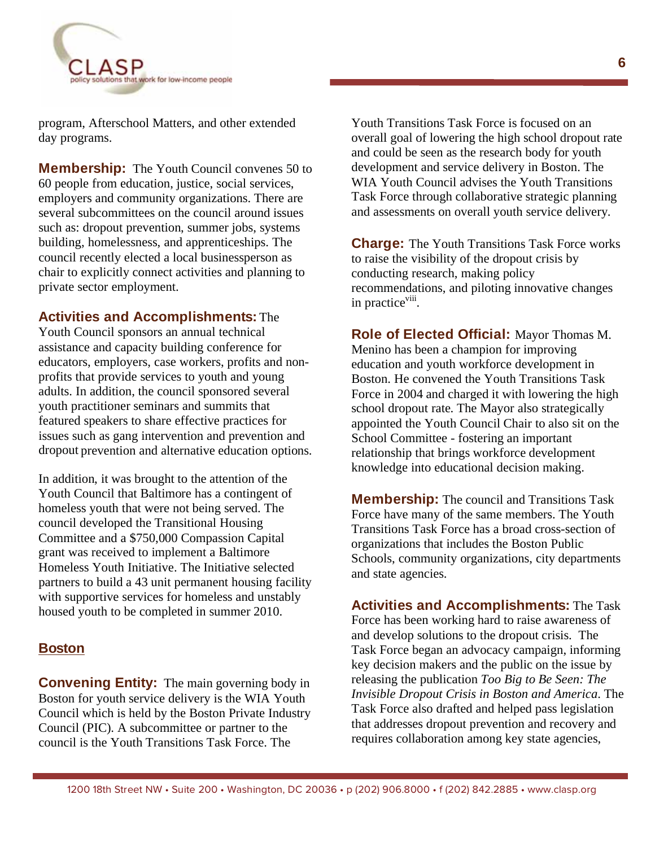

program, Afterschool Matters, and other extended day programs.

**Membership:** The Youth Council convenes 50 to 60 people from education, justice, social services, employers and community organizations. There are several subcommittees on the council around issues such as: dropout prevention, summer jobs, systems building, homelessness, and apprenticeships. The council recently elected a local businessperson as chair to explicitly connect activities and planning to private sector employment.

#### **Activities and Accomplishments:** The

Youth Council sponsors an annual technical assistance and capacity building conference for educators, employers, case workers, profits and nonprofits that provide services to youth and young adults. In addition, the council sponsored several youth practitioner seminars and summits that featured speakers to share effective practices for issues such as gang intervention and prevention and dropout prevention and alternative education options.

In addition, it was brought to the attention of the Youth Council that Baltimore has a contingent of homeless youth that were not being served. The council developed the Transitional Housing Committee and a \$750,000 Compassion Capital grant was received to implement a Baltimore Homeless Youth Initiative. The Initiative selected partners to build a 43 unit permanent housing facility with supportive services for homeless and unstably housed youth to be completed in summer 2010.

#### **Boston**

**Convening Entity:** The main governing body in Boston for youth service delivery is the WIA Youth Council which is held by the Boston Private Industry Council (PIC). A subcommittee or partner to the council is the Youth Transitions Task Force. The

Youth Transitions Task Force is focused on an overall goal of lowering the high school dropout rate and could be seen as the research body for youth development and service delivery in Boston. The WIA Youth Council advises the Youth Transitions Task Force through collaborative strategic planning and assessments on overall youth service delivery.

**Charge:** The Youth Transitions Task Force works to raise the visibility of the dropout crisis by conducting research, making policy recommendations, and piloting innovative changes in practice<sup>viii</sup>.

**Role of Elected Official:** Mayor Thomas M. Menino has been a champion for improving education and youth workforce development in Boston. He convened the Youth Transitions Task Force in 2004 and charged it with lowering the high school dropout rate. The Mayor also strategically appointed the Youth Council Chair to also sit on the School Committee - fostering an important relationship that brings workforce development knowledge into educational decision making.

**Membership:** The council and Transitions Task Force have many of the same members. The Youth Transitions Task Force has a broad cross-section of organizations that includes the Boston Public Schools, community organizations, city departments and state agencies.

**Activities and Accomplishments:** The Task Force has been working hard to raise awareness of and develop solutions to the dropout crisis. The Task Force began an advocacy campaign, informing key decision makers and the public on the issue by releasing the publication *Too Big to Be Seen: The Invisible Dropout Crisis in Boston and America*. The Task Force also drafted and helped pass legislation that addresses dropout prevention and recovery and requires collaboration among key state agencies,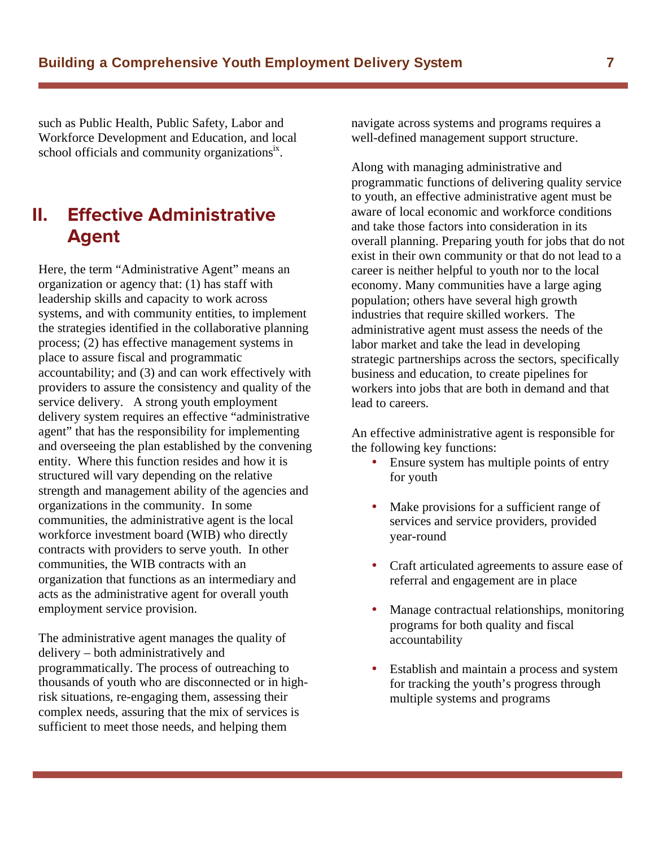such as Public Health, Public Safety, Labor and Workforce Development and Education, and local school officials and community organizations<sup>ix</sup>.

# **II. Effective Administrative Agent**

Here, the term "Administrative Agent" means an organization or agency that: (1) has staff with leadership skills and capacity to work across systems, and with community entities, to implement the strategies identified in the collaborative planning process; (2) has effective management systems in place to assure fiscal and programmatic accountability; and (3) and can work effectively with providers to assure the consistency and quality of the service delivery. A strong youth employment delivery system requires an effective "administrative agent" that has the responsibility for implementing and overseeing the plan established by the convening entity. Where this function resides and how it is structured will vary depending on the relative strength and management ability of the agencies and organizations in the community. In some communities, the administrative agent is the local workforce investment board (WIB) who directly contracts with providers to serve youth. In other communities, the WIB contracts with an organization that functions as an intermediary and acts as the administrative agent for overall youth employment service provision.

The administrative agent manages the quality of delivery – both administratively and programmatically. The process of outreaching to thousands of youth who are disconnected or in highrisk situations, re-engaging them, assessing their complex needs, assuring that the mix of services is sufficient to meet those needs, and helping them

navigate across systems and programs requires a well-defined management support structure.

Along with managing administrative and programmatic functions of delivering quality service to youth, an effective administrative agent must be aware of local economic and workforce conditions and take those factors into consideration in its overall planning. Preparing youth for jobs that do not exist in their own community or that do not lead to a career is neither helpful to youth nor to the local economy. Many communities have a large aging population; others have several high growth industries that require skilled workers. The administrative agent must assess the needs of the labor market and take the lead in developing strategic partnerships across the sectors, specifically business and education, to create pipelines for workers into jobs that are both in demand and that lead to careers.

An effective administrative agent is responsible for the following key functions:

- Ensure system has multiple points of entry for youth
- Make provisions for a sufficient range of services and service providers, provided year-round
- Craft articulated agreements to assure ease of referral and engagement are in place
- Manage contractual relationships, monitoring programs for both quality and fiscal accountability
- Establish and maintain a process and system for tracking the youth's progress through multiple systems and programs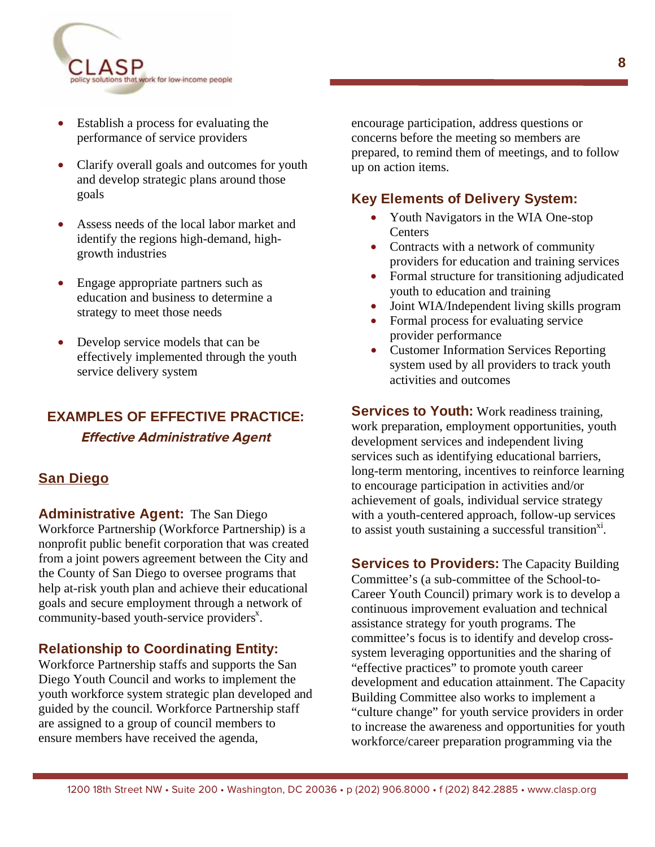

- Establish a process for evaluating the performance of service providers
- Clarify overall goals and outcomes for youth and develop strategic plans around those goals
- Assess needs of the local labor market and identify the regions high-demand, highgrowth industries
- Engage appropriate partners such as education and business to determine a strategy to meet those needs
- Develop service models that can be effectively implemented through the youth service delivery system

# **EXAMPLES OF EFFECTIVE PRACTICE:**

**Effective Administrative Agent** 

#### **San Diego**

**Administrative Agent:** The San Diego Workforce Partnership (Workforce Partnership) is a nonprofit public benefit corporation that was created from a joint powers agreement between the City and the County of San Diego to oversee programs that help at-risk youth plan and achieve their educational goals and secure employment through a network of  $community$ -based youth-service providers<sup>x</sup>.

#### **Relationship to Coordinating Entity:**

Workforce Partnership staffs and supports the San Diego Youth Council and works to implement the youth workforce system strategic plan developed and guided by the council. Workforce Partnership staff are assigned to a group of council members to ensure members have received the agenda,

encourage participation, address questions or concerns before the meeting so members are prepared, to remind them of meetings, and to follow up on action items.

#### **Key Elements of Delivery System:**

- Youth Navigators in the WIA One-stop **Centers**
- Contracts with a network of community providers for education and training services
- Formal structure for transitioning adjudicated youth to education and training
- Joint WIA/Independent living skills program
- Formal process for evaluating service provider performance
- Customer Information Services Reporting system used by all providers to track youth activities and outcomes

**Services to Youth:** Work readiness training, work preparation, employment opportunities, youth development services and independent living services such as identifying educational barriers, long-term mentoring, incentives to reinforce learning to encourage participation in activities and/or achievement of goals, individual service strategy with a youth-centered approach, follow-up services to assist youth sustaining a successful transition $x_i$ .

**Services to Providers:** The Capacity Building Committee's (a sub-committee of the School-to-Career Youth Council) primary work is to develop a continuous improvement evaluation and technical assistance strategy for youth programs. The committee's focus is to identify and develop crosssystem leveraging opportunities and the sharing of "effective practices" to promote youth career development and education attainment. The Capacity Building Committee also works to implement a "culture change" for youth service providers in order to increase the awareness and opportunities for youth workforce/career preparation programming via the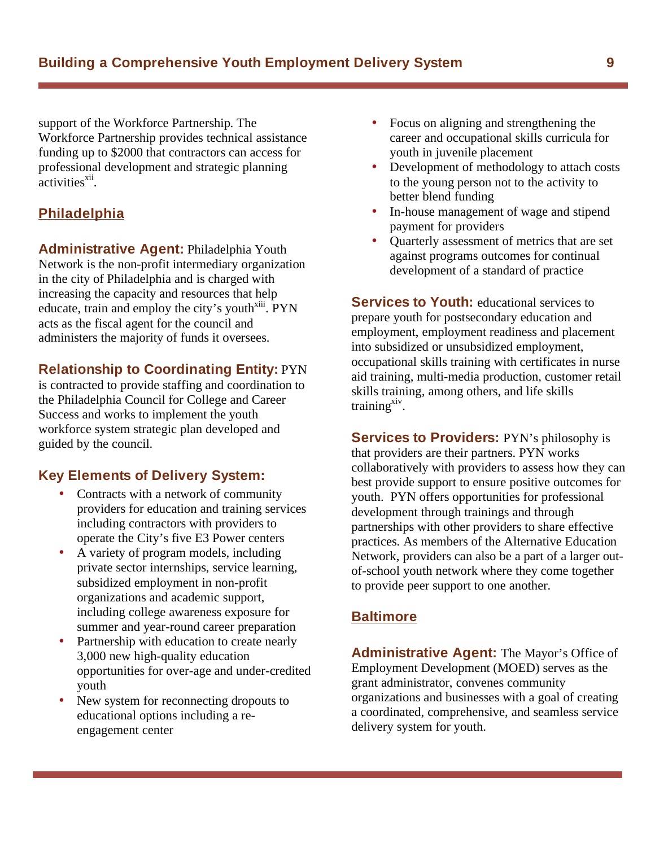support of the Workforce Partnership. The Workforce Partnership provides technical assistance funding up to \$2000 that contractors can access for professional development and strategic planning  $\alpha$ ctivities $\frac{x^{11}}{x^{11}}$ 

### **Philadelphia**

**Administrative Agent:** Philadelphia Youth Network is the non-profit intermediary organization in the city of Philadelphia and is charged with increasing the capacity and resources that help educate, train and employ the city's youth $\frac{x}{y}$ . PYN acts as the fiscal agent for the council and administers the majority of funds it oversees.

#### **Relationship to Coordinating Entity:** PYN

is contracted to provide staffing and coordination to the Philadelphia Council for College and Career Success and works to implement the youth workforce system strategic plan developed and guided by the council.

#### **Key Elements of Delivery System:**

- Contracts with a network of community providers for education and training services including contractors with providers to operate the City's five E3 Power centers
- A variety of program models, including private sector internships, service learning, subsidized employment in non-profit organizations and academic support, including college awareness exposure for summer and year-round career preparation
- Partnership with education to create nearly 3,000 new high-quality education opportunities for over-age and under-credited youth
- New system for reconnecting dropouts to educational options including a reengagement center
- Focus on aligning and strengthening the career and occupational skills curricula for youth in juvenile placement
- Development of methodology to attach costs to the young person not to the activity to better blend funding
- In-house management of wage and stipend payment for providers
- Quarterly assessment of metrics that are set against programs outcomes for continual development of a standard of practice

**Services to Youth:** educational services to prepare youth for postsecondary education and employment, employment readiness and placement into subsidized or unsubsidized employment, occupational skills training with certificates in nurse aid training, multi-media production, customer retail skills training, among others, and life skills training $x^{\text{xiv}}$ .

**Services to Providers: PYN's philosophy is** that providers are their partners. PYN works collaboratively with providers to assess how they can best provide support to ensure positive outcomes for youth. PYN offers opportunities for professional development through trainings and through partnerships with other providers to share effective practices. As members of the Alternative Education Network, providers can also be a part of a larger outof-school youth network where they come together to provide peer support to one another.

#### **Baltimore**

**Administrative Agent:** The Mayor's Office of Employment Development (MOED) serves as the grant administrator, convenes community organizations and businesses with a goal of creating a coordinated, comprehensive, and seamless service delivery system for youth.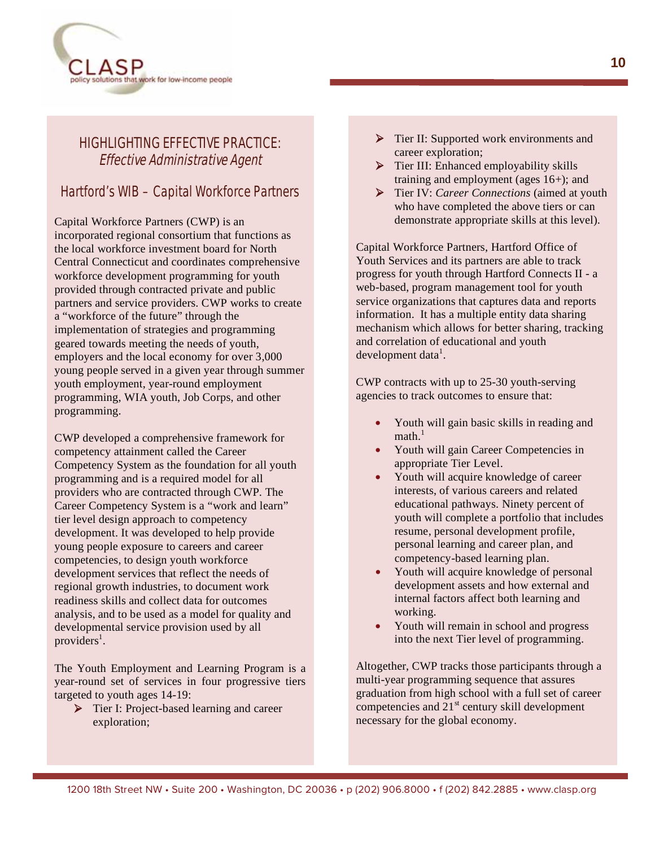

### HIGHLIGHTING EFFECTIVE PRACTICE: Effective Administrative Agent

#### Hartford's WIB – Capital Workforce Partners

Capital Workforce Partners (CWP) is an incorporated regional consortium that functions as the local workforce investment board for North Central Connecticut and coordinates comprehensive workforce development programming for youth provided through contracted private and public partners and service providers. CWP works to create a "workforce of the future" through the implementation of strategies and programming geared towards meeting the needs of youth, employers and the local economy for over 3,000 young people served in a given year through summer youth employment, year-round employment programming, WIA youth, Job Corps, and other programming.

CWP developed a comprehensive framework for competency attainment called the Career Competency System as the foundation for all youth programming and is a required model for all providers who are contracted through CWP. The Career Competency System is a "work and learn" tier level design approach to competency development. It was developed to help provide young people exposure to careers and career competencies, to design youth workforce development services that reflect the needs of regional growth industries, to document work readiness skills and collect data for outcomes analysis, and to be used as a model for quality and developmental service provision used by all  $provides<sup>1</sup>$ .

The Youth Employment and Learning Program is a year-round set of services in four progressive tiers targeted to youth ages 14-19:

▶ Tier I: Project-based learning and career exploration;

- ▶ Tier II: Supported work environments and career exploration;
- $\triangleright$  Tier III: Enhanced employability skills training and employment (ages 16+); and
- Tier IV: *Career Connections* (aimed at youth who have completed the above tiers or can demonstrate appropriate skills at this level).

Capital Workforce Partners, Hartford Office of Youth Services and its partners are able to track progress for youth through Hartford Connects II - a web-based, program management tool for youth service organizations that captures data and reports information. It has a multiple entity data sharing mechanism which allows for better sharing, tracking and correlation of educational and youth development data $<sup>1</sup>$ .</sup>

CWP contracts with up to 25-30 youth-serving agencies to track outcomes to ensure that:

- Youth will gain basic skills in reading and  $math<sub>1</sub>$
- Youth will gain Career Competencies in appropriate Tier Level.
- Youth will acquire knowledge of career interests, of various careers and related educational pathways. Ninety percent of youth will complete a portfolio that includes resume, personal development profile, personal learning and career plan, and competency-based learning plan.
- Youth will acquire knowledge of personal development assets and how external and internal factors affect both learning and working.
- Youth will remain in school and progress into the next Tier level of programming.

Altogether, CWP tracks those participants through a multi-year programming sequence that assures graduation from high school with a full set of career competencies and  $21<sup>st</sup>$  century skill development necessary for the global economy.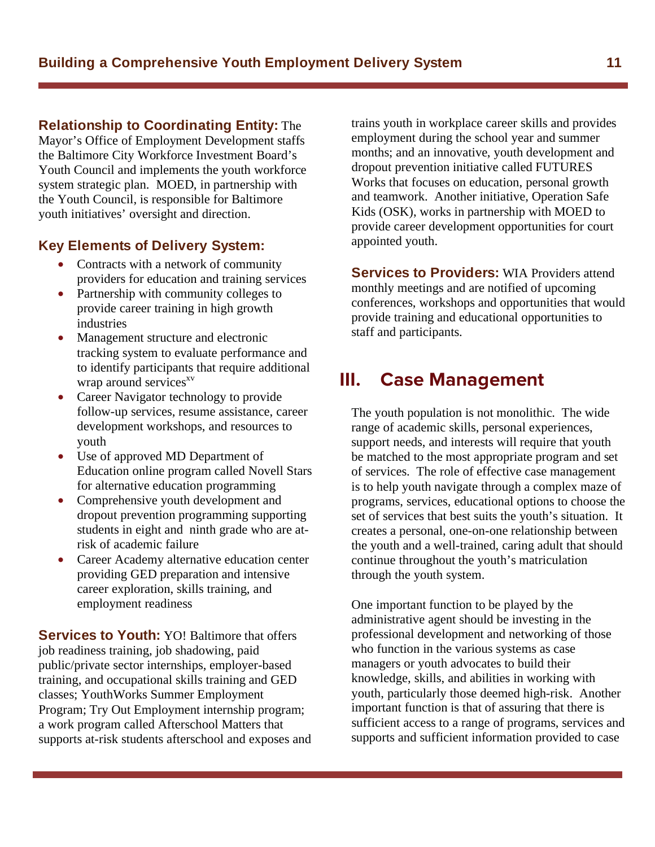**Relationship to Coordinating Entity:** The

Mayor's Office of Employment Development staffs the Baltimore City Workforce Investment Board's Youth Council and implements the youth workforce system strategic plan. MOED, in partnership with the Youth Council, is responsible for Baltimore youth initiatives' oversight and direction.

#### **Key Elements of Delivery System:**

- Contracts with a network of community providers for education and training services
- Partnership with community colleges to provide career training in high growth industries
- Management structure and electronic tracking system to evaluate performance and to identify participants that require additional wrap around services<sup>xv</sup>
- Career Navigator technology to provide follow-up services, resume assistance, career development workshops, and resources to youth
- Use of approved MD Department of Education online program called Novell Stars for alternative education programming
- Comprehensive youth development and dropout prevention programming supporting students in eight and ninth grade who are atrisk of academic failure
- Career Academy alternative education center providing GED preparation and intensive career exploration, skills training, and employment readiness

**Services to Youth:** YO! Baltimore that offers job readiness training, job shadowing, paid public/private sector internships, employer-based training, and occupational skills training and GED classes; YouthWorks Summer Employment Program; Try Out Employment internship program; a work program called Afterschool Matters that supports at-risk students afterschool and exposes and trains youth in workplace career skills and provides employment during the school year and summer months; and an innovative, youth development and dropout prevention initiative called FUTURES Works that focuses on education, personal growth and teamwork. Another initiative, Operation Safe Kids (OSK), works in partnership with MOED to provide career development opportunities for court appointed youth.

**Services to Providers:** WIA Providers attend monthly meetings and are notified of upcoming conferences, workshops and opportunities that would provide training and educational opportunities to staff and participants.

### Ш. **III. Case Management**

The youth population is not monolithic. The wide range of academic skills, personal experiences, support needs, and interests will require that youth be matched to the most appropriate program and set of services. The role of effective case management is to help youth navigate through a complex maze of programs, services, educational options to choose the set of services that best suits the youth's situation. It creates a personal, one-on-one relationship between the youth and a well-trained, caring adult that should continue throughout the youth's matriculation through the youth system.

One important function to be played by the administrative agent should be investing in the professional development and networking of those who function in the various systems as case managers or youth advocates to build their knowledge, skills, and abilities in working with youth, particularly those deemed high-risk. Another important function is that of assuring that there is sufficient access to a range of programs, services and supports and sufficient information provided to case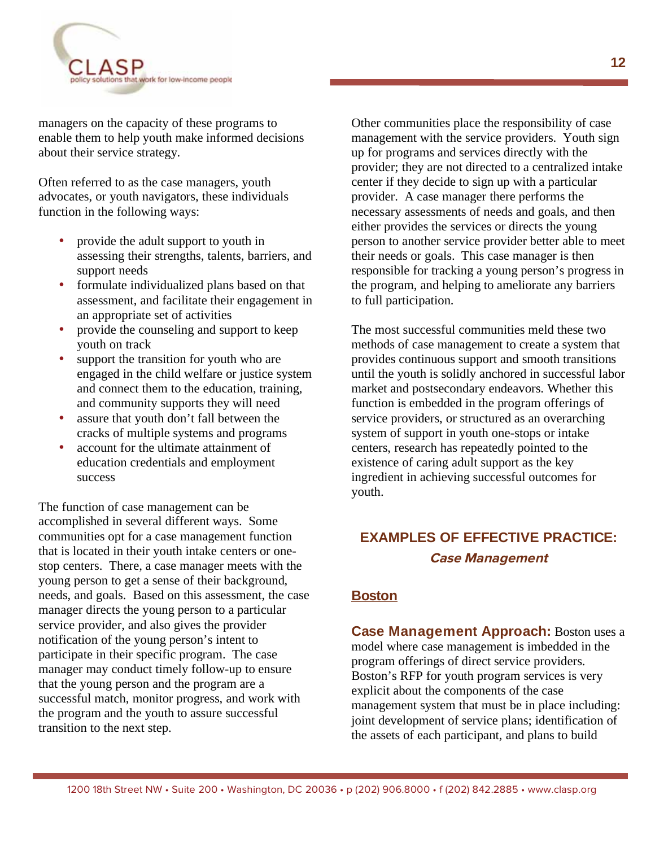

managers on the capacity of these programs to enable them to help youth make informed decisions about their service strategy.

Often referred to as the case managers, youth advocates, or youth navigators, these individuals function in the following ways:

- provide the adult support to youth in assessing their strengths, talents, barriers, and support needs
- formulate individualized plans based on that assessment, and facilitate their engagement in an appropriate set of activities
- provide the counseling and support to keep youth on track
- support the transition for youth who are engaged in the child welfare or justice system and connect them to the education, training, and community supports they will need
- assure that youth don't fall between the cracks of multiple systems and programs
- account for the ultimate attainment of education credentials and employment success

The function of case management can be accomplished in several different ways. Some communities opt for a case management function that is located in their youth intake centers or onestop centers. There, a case manager meets with the young person to get a sense of their background, needs, and goals. Based on this assessment, the case manager directs the young person to a particular service provider, and also gives the provider notification of the young person's intent to participate in their specific program. The case manager may conduct timely follow-up to ensure that the young person and the program are a successful match, monitor progress, and work with the program and the youth to assure successful transition to the next step.

Other communities place the responsibility of case management with the service providers. Youth sign up for programs and services directly with the provider; they are not directed to a centralized intake center if they decide to sign up with a particular provider. A case manager there performs the necessary assessments of needs and goals, and then either provides the services or directs the young person to another service provider better able to meet their needs or goals. This case manager is then responsible for tracking a young person's progress in the program, and helping to ameliorate any barriers to full participation.

The most successful communities meld these two methods of case management to create a system that provides continuous support and smooth transitions until the youth is solidly anchored in successful labor market and postsecondary endeavors. Whether this function is embedded in the program offerings of service providers, or structured as an overarching system of support in youth one-stops or intake centers, research has repeatedly pointed to the existence of caring adult support as the key ingredient in achieving successful outcomes for youth.

# **EXAMPLES OF EFFECTIVE PRACTICE: Case Management**

#### **Boston**

**Case Management Approach:** Boston uses a model where case management is imbedded in the program offerings of direct service providers. Boston's RFP for youth program services is very explicit about the components of the case management system that must be in place including: joint development of service plans; identification of the assets of each participant, and plans to build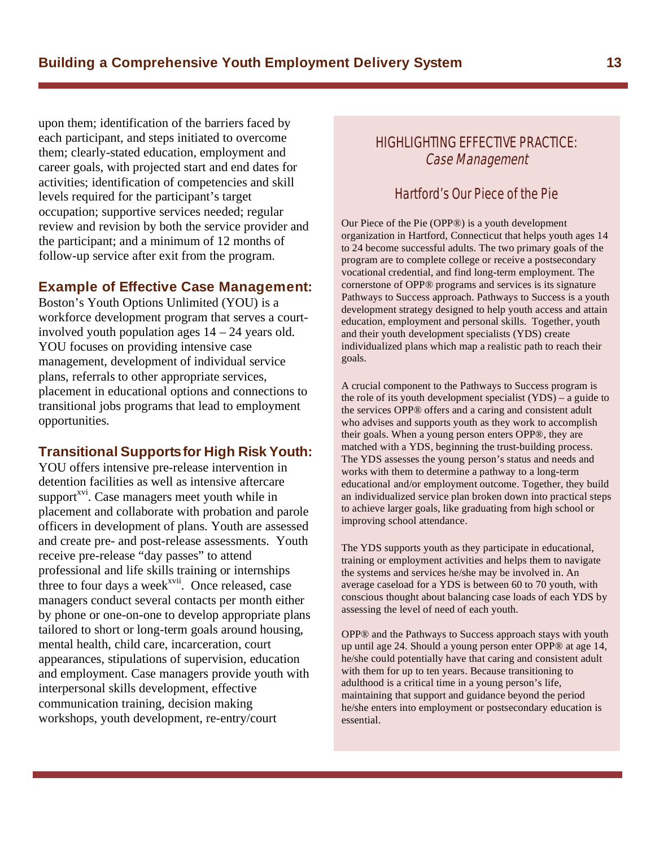upon them; identification of the barriers faced by each participant, and steps initiated to overcome them; clearly-stated education, employment and career goals, with projected start and end dates for activities; identification of competencies and skill levels required for the participant's target occupation; supportive services needed; regular review and revision by both the service provider and the participant; and a minimum of 12 months of follow-up service after exit from the program.

#### **Example of Effective Case Management:**

Boston's Youth Options Unlimited (YOU) is a workforce development program that serves a courtinvolved youth population ages 14 – 24 years old. YOU focuses on providing intensive case management, development of individual service plans, referrals to other appropriate services, placement in educational options and connections to transitional jobs programs that lead to employment opportunities.

#### **Transitional Supportsfor High Risk Youth:**

YOU offers intensive pre-release intervention in detention facilities as well as intensive aftercare support<sup>xvi</sup>. Case managers meet youth while in placement and collaborate with probation and parole officers in development of plans. Youth are assessed and create pre- and post-release assessments. Youth receive pre-release "day passes" to attend professional and life skills training or internships three to four days a week $x$ <sup>xvii</sup>. Once released, case managers conduct several contacts per month either by phone or one-on-one to develop appropriate plans tailored to short or long-term goals around housing, mental health, child care, incarceration, court appearances, stipulations of supervision, education and employment. Case managers provide youth with interpersonal skills development, effective communication training, decision making workshops, youth development, re-entry/court

#### HIGHLIGHTING FFFFCTIVE PRACTICE: Case Management

#### Hartford's Our Piece of the Pie

Our Piece of the Pie (OPP®) is a youth development organization in Hartford, Connecticut that helps youth ages 14 to 24 become successful adults. The two primary goals of the program are to complete college or receive a postsecondary vocational credential, and find long-term employment. The cornerstone of OPP® programs and services is its signature Pathways to Success approach. Pathways to Success is a youth development strategy designed to help youth access and attain education, employment and personal skills. Together, youth and their youth development specialists (YDS) create individualized plans which map a realistic path to reach their goals.

A crucial component to the Pathways to Success program is the role of its youth development specialist (YDS) – a guide to the services OPP® offers and a caring and consistent adult who advises and supports youth as they work to accomplish their goals. When a young person enters OPP®, they are matched with a YDS, beginning the trust-building process. The YDS assesses the young person's status and needs and works with them to determine a pathway to a long-term educational and/or employment outcome. Together, they build an individualized service plan broken down into practical steps to achieve larger goals, like graduating from high school or improving school attendance.

The YDS supports youth as they participate in educational, training or employment activities and helps them to navigate the systems and services he/she may be involved in. An average caseload for a YDS is between 60 to 70 youth, with conscious thought about balancing case loads of each YDS by assessing the level of need of each youth.

OPP® and the Pathways to Success approach stays with youth up until age 24. Should a young person enter OPP® at age 14, he/she could potentially have that caring and consistent adult with them for up to ten years. Because transitioning to adulthood is a critical time in a young person's life, maintaining that support and guidance beyond the period he/she enters into employment or postsecondary education is essential.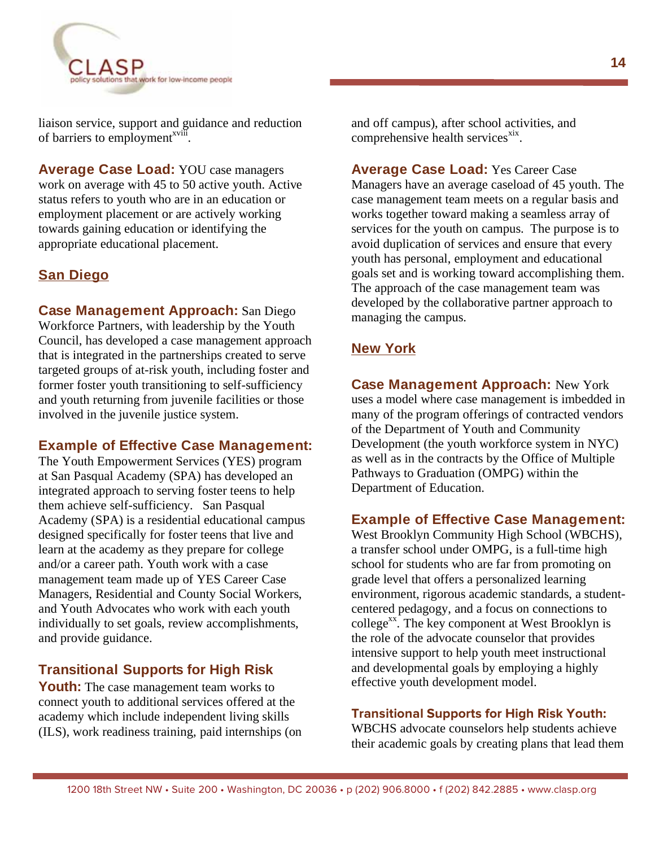

liaison service, support and guidance and reduction of barriers to employment<sup>xviii</sup>.

**Average Case Load:** YOU case managers work on average with 45 to 50 active youth. Active status refers to youth who are in an education or employment placement or are actively working towards gaining education or identifying the appropriate educational placement.

#### **San Diego**

**Case Management Approach:** San Diego Workforce Partners, with leadership by the Youth Council, has developed a case management approach that is integrated in the partnerships created to serve targeted groups of at-risk youth, including foster and former foster youth transitioning to self-sufficiency and youth returning from juvenile facilities or those involved in the juvenile justice system.

#### **Example of Effective Case Management:**

The Youth Empowerment Services (YES) program at San Pasqual Academy (SPA) has developed an integrated approach to serving foster teens to help them achieve self-sufficiency. San Pasqual Academy (SPA) is a residential educational campus designed specifically for foster teens that live and learn at the academy as they prepare for college and/or a career path. Youth work with a case management team made up of YES Career Case Managers, Residential and County Social Workers, and Youth Advocates who work with each youth individually to set goals, review accomplishments, and provide guidance.

#### **Transitional Supports for High Risk**

**Youth:** The case management team works to connect youth to additional services offered at the academy which include independent living skills (ILS), work readiness training, paid internships (on and off campus), after school activities, and comprehensive health services<sup>xix</sup>.

**Average Case Load:** Yes Career Case Managers have an average caseload of 45 youth. The case management team meets on a regular basis and works together toward making a seamless array of services for the youth on campus. The purpose is to avoid duplication of services and ensure that every youth has personal, employment and educational goals set and is working toward accomplishing them. The approach of the case management team was developed by the collaborative partner approach to managing the campus.

#### **New York**

**Case Management Approach:** New York uses a model where case management is imbedded in many of the program offerings of contracted vendors of the Department of Youth and Community Development (the youth workforce system in NYC) as well as in the contracts by the Office of Multiple Pathways to Graduation (OMPG) within the Department of Education.

#### **Example of Effective Case Management:**

West Brooklyn Community High School (WBCHS), a transfer school under OMPG, is a full-time high school for students who are far from promoting on grade level that offers a personalized learning environment, rigorous academic standards, a studentcentered pedagogy, and a focus on connections to college<sup>xx</sup>. The key component at West Brooklyn is the role of the advocate counselor that provides intensive support to help youth meet instructional and developmental goals by employing a highly effective youth development model.

#### **Transitional Supports for High Risk Youth:**

WBCHS advocate counselors help students achieve their academic goals by creating plans that lead them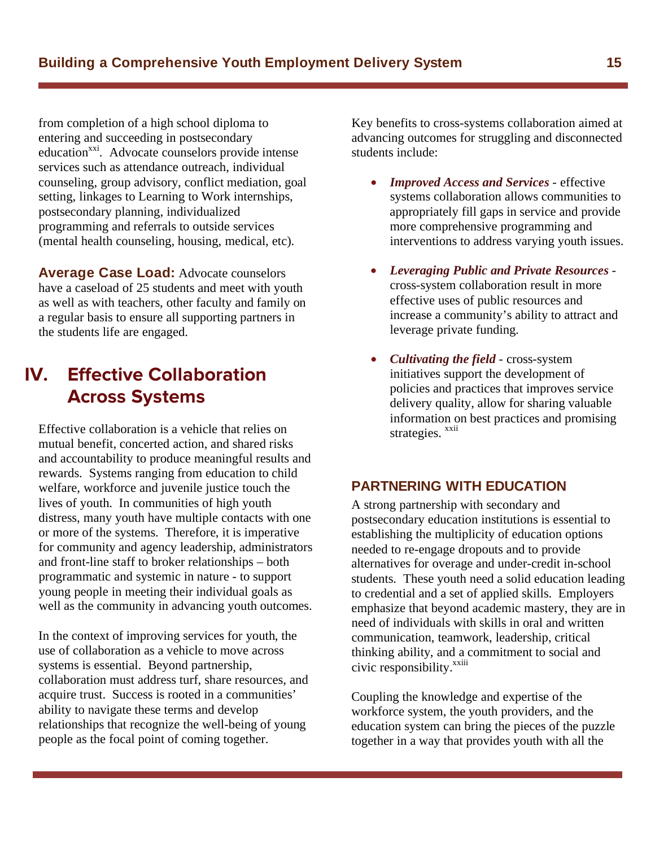from completion of a high school diploma to entering and succeeding in postsecondary education<sup>xxi</sup>. Advocate counselors provide intense services such as attendance outreach, individual counseling, group advisory, conflict mediation, goal setting, linkages to Learning to Work internships, postsecondary planning, individualized programming and referrals to outside services (mental health counseling, housing, medical, etc).

**Average Case Load:** Advocate counselors have a caseload of 25 students and meet with youth as well as with teachers, other faculty and family on a regular basis to ensure all supporting partners in the students life are engaged.

#### **Effective Collaboration** IV. **Across Systems Across Systems**

Effective collaboration is a vehicle that relies on mutual benefit, concerted action, and shared risks and accountability to produce meaningful results and rewards. Systems ranging from education to child welfare, workforce and juvenile justice touch the lives of youth. In communities of high youth distress, many youth have multiple contacts with one or more of the systems. Therefore, it is imperative for community and agency leadership, administrators and front-line staff to broker relationships – both programmatic and systemic in nature - to support young people in meeting their individual goals as well as the community in advancing youth outcomes.

In the context of improving services for youth, the use of collaboration as a vehicle to move across systems is essential. Beyond partnership, collaboration must address turf, share resources, and acquire trust. Success is rooted in a communities' ability to navigate these terms and develop relationships that recognize the well-being of young people as the focal point of coming together.

Key benefits to cross-systems collaboration aimed at advancing outcomes for struggling and disconnected students include:

- *Improved Access and Services* effective systems collaboration allows communities to appropriately fill gaps in service and provide more comprehensive programming and interventions to address varying youth issues.
- v *Leveraging Public and Private Resources* cross-system collaboration result in more effective uses of public resources and increase a community's ability to attract and leverage private funding.
- *Cultivating the field* cross-system initiatives support the development of policies and practices that improves service delivery quality, allow for sharing valuable information on best practices and promising strategies. <sup>xxii</sup>

#### **PARTNERING WITH EDUCATION**

A strong partnership with secondary and postsecondary education institutions is essential to establishing the multiplicity of education options needed to re-engage dropouts and to provide alternatives for overage and under-credit in-school students. These youth need a solid education leading to credential and a set of applied skills. Employers emphasize that beyond academic mastery, they are in need of individuals with skills in oral and written communication, teamwork, leadership, critical thinking ability, and a commitment to social and civic responsibility.<sup>xxiii</sup>

Coupling the knowledge and expertise of the workforce system, the youth providers, and the education system can bring the pieces of the puzzle together in a way that provides youth with all the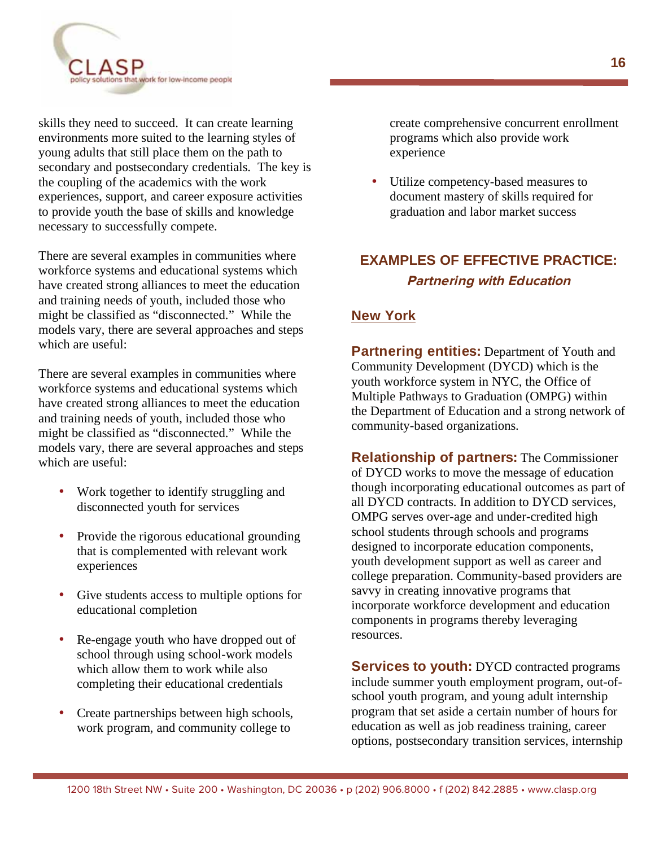

skills they need to succeed. It can create learning environments more suited to the learning styles of young adults that still place them on the path to secondary and postsecondary credentials. The key is the coupling of the academics with the work experiences, support, and career exposure activities to provide youth the base of skills and knowledge necessary to successfully compete.

There are several examples in communities where workforce systems and educational systems which have created strong alliances to meet the education and training needs of youth, included those who might be classified as "disconnected." While the models vary, there are several approaches and steps which are useful:

There are several examples in communities where workforce systems and educational systems which have created strong alliances to meet the education and training needs of youth, included those who might be classified as "disconnected." While the models vary, there are several approaches and steps which are useful:

- Work together to identify struggling and disconnected youth for services
- Provide the rigorous educational grounding that is complemented with relevant work experiences
- Give students access to multiple options for educational completion
- Re-engage youth who have dropped out of school through using school-work models which allow them to work while also completing their educational credentials
- Create partnerships between high schools, work program, and community college to

create comprehensive concurrent enrollment programs which also provide work experience

Utilize competency-based measures to document mastery of skills required for graduation and labor market success

# **EXAMPLES OF EFFECTIVE PRACTICE: Partnering with Education**

### **New York**

**Partnering entities:** Department of Youth and Community Development (DYCD) which is the youth workforce system in NYC, the Office of Multiple Pathways to Graduation (OMPG) within the Department of Education and a strong network of community-based organizations.

**Relationship of partners:** The Commissioner of DYCD works to move the message of education though incorporating educational outcomes as part of all DYCD contracts. In addition to DYCD services, OMPG serves over-age and under-credited high school students through schools and programs designed to incorporate education components, youth development support as well as career and college preparation. Community-based providers are savvy in creating innovative programs that incorporate workforce development and education components in programs thereby leveraging resources.

**Services to youth:** DYCD contracted programs include summer youth employment program, out-ofschool youth program, and young adult internship program that set aside a certain number of hours for education as well as job readiness training, career options, postsecondary transition services, internship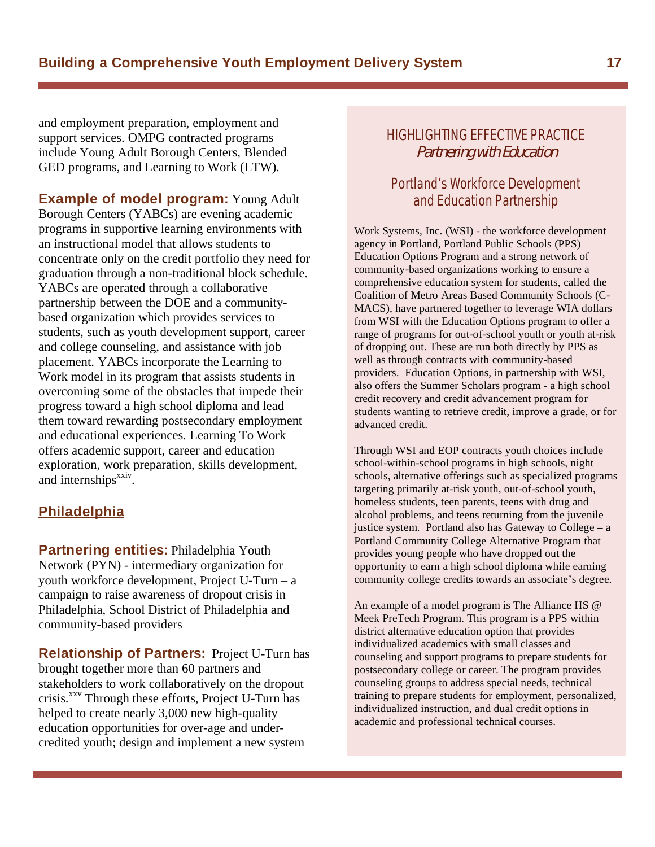and employment preparation, employment and support services. OMPG contracted programs include Young Adult Borough Centers, Blended GED programs, and Learning to Work (LTW).

**Example of model program:** Young Adult Borough Centers (YABCs) are evening academic programs in supportive learning environments with an instructional model that allows students to concentrate only on the credit portfolio they need for graduation through a non-traditional block schedule. YABCs are operated through a collaborative partnership between the DOE and a communitybased organization which provides services to students, such as youth development support, career and college counseling, and assistance with job placement. YABCs incorporate the Learning to Work model in its program that assists students in overcoming some of the obstacles that impede their progress toward a high school diploma and lead them toward rewarding postsecondary employment and educational experiences. Learning To Work offers academic support, career and education exploration, work preparation, skills development, and internships<sup>xxiv</sup>.

#### **Philadelphia**

**Partnering entities:** Philadelphia Youth Network (PYN) - intermediary organization for youth workforce development, Project U-Turn – a campaign to raise awareness of dropout crisis in Philadelphia, School District of Philadelphia and community-based providers

**Relationship of Partners:** Project U-Turn has brought together more than 60 partners and stakeholders to work collaboratively on the dropout crisis.<sup> $xxy$ </sup> Through these efforts, Project U-Turn has helped to create nearly 3,000 new high-quality education opportunities for over-age and undercredited youth; design and implement a new system

#### HIGHLIGHTING EFFECTIVE PRACTICE Partnering with Education

#### Portland's Workforce Development and Education Partnership

Work Systems, Inc. (WSI) - the workforce development agency in Portland, Portland Public Schools (PPS) Education Options Program and a strong network of community-based organizations working to ensure a comprehensive education system for students, called the Coalition of Metro Areas Based Community Schools (C-MACS), have partnered together to leverage WIA dollars from WSI with the Education Options program to offer a range of programs for out-of-school youth or youth at-risk of dropping out. These are run both directly by PPS as well as through contracts with community-based providers. Education Options, in partnership with WSI, also offers the Summer Scholars program - a high school credit recovery and credit advancement program for students wanting to retrieve credit, improve a grade, or for advanced credit.

Through WSI and EOP contracts youth choices include school-within-school programs in high schools, night schools, alternative offerings such as specialized programs targeting primarily at-risk youth, out-of-school youth, homeless students, teen parents, teens with drug and alcohol problems, and teens returning from the juvenile justice system*.* Portland also has Gateway to College – a Portland Community College Alternative Program that provides young people who have dropped out the opportunity to earn a high school diploma while earning community college credits towards an associate's degree.

An example of a model program is The Alliance HS @ Meek PreTech Program. This program is a PPS within district alternative education option that provides individualized academics with small classes and counseling and support programs to prepare students for postsecondary college or career. The program provides counseling groups to address special needs, technical training to prepare students for employment, personalized, individualized instruction, and dual credit options in academic and professional technical courses.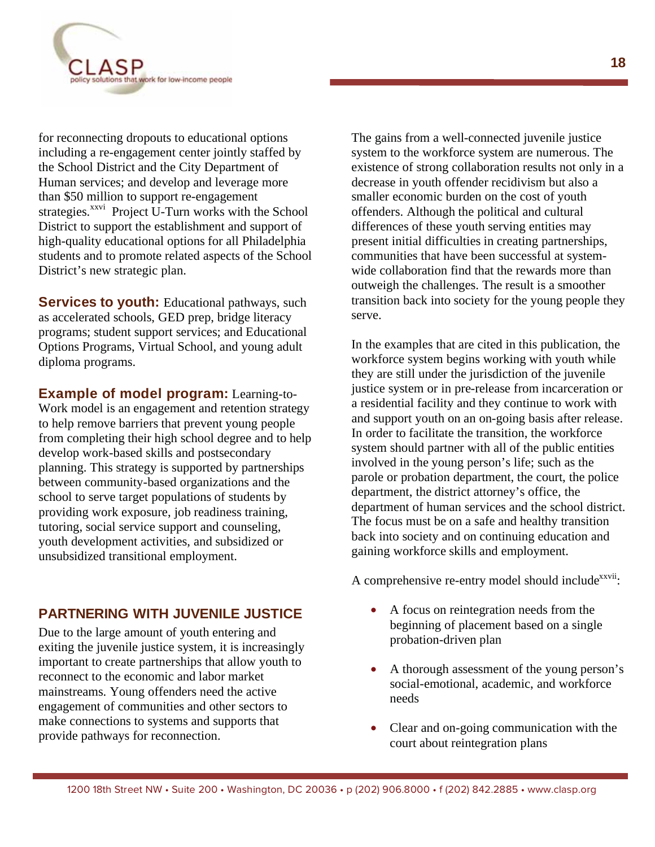

for reconnecting dropouts to educational options including a re-engagement center jointly staffed by the School District and the City Department of Human services; and develop and leverage more than \$50 million to support re-engagement strategies. $\overrightarrow{x}^{xxvi}$  Project U-Turn works with the School District to support the establishment and support of high-quality educational options for all Philadelphia students and to promote related aspects of the School District's new strategic plan.

**Services to youth:** Educational pathways, such as accelerated schools, GED prep, bridge literacy programs; student support services; and Educational Options Programs, Virtual School, and young adult diploma programs.

**Example of model program:** Learning-to-Work model is an engagement and retention strategy to help remove barriers that prevent young people from completing their high school degree and to help develop work-based skills and postsecondary planning. This strategy is supported by partnerships between community-based organizations and the school to serve target populations of students by providing work exposure, job readiness training, tutoring, social service support and counseling, youth development activities, and subsidized or unsubsidized transitional employment.

#### **PARTNERING WITH JUVENILE JUSTICE**

Due to the large amount of youth entering and exiting the juvenile justice system, it is increasingly important to create partnerships that allow youth to reconnect to the economic and labor market mainstreams. Young offenders need the active engagement of communities and other sectors to make connections to systems and supports that provide pathways for reconnection.

The gains from a well-connected juvenile justice system to the workforce system are numerous. The existence of strong collaboration results not only in a decrease in youth offender recidivism but also a smaller economic burden on the cost of youth offenders. Although the political and cultural differences of these youth serving entities may present initial difficulties in creating partnerships, communities that have been successful at systemwide collaboration find that the rewards more than outweigh the challenges. The result is a smoother transition back into society for the young people they serve.

In the examples that are cited in this publication, the workforce system begins working with youth while they are still under the jurisdiction of the juvenile justice system or in pre-release from incarceration or a residential facility and they continue to work with and support youth on an on-going basis after release. In order to facilitate the transition, the workforce system should partner with all of the public entities involved in the young person's life; such as the parole or probation department, the court, the police department, the district attorney's office, the department of human services and the school district. The focus must be on a safe and healthy transition back into society and on continuing education and gaining workforce skills and employment.

A comprehensive re-entry model should include<sup>xxvii</sup>:

- A focus on reintegration needs from the beginning of placement based on a single probation-driven plan
- A thorough assessment of the young person's social-emotional, academic, and workforce needs
- Clear and on-going communication with the court about reintegration plans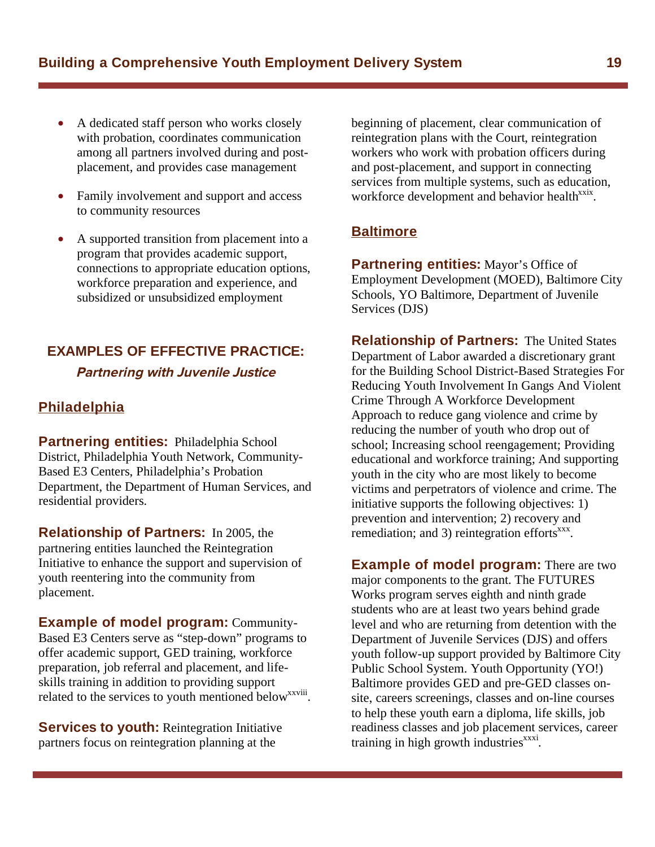- A dedicated staff person who works closely with probation, coordinates communication among all partners involved during and postplacement, and provides case management
- Family involvement and support and access to community resources
- A supported transition from placement into a program that provides academic support, connections to appropriate education options, workforce preparation and experience, and subsidized or unsubsidized employment

#### **EXAMPLES OF EFFECTIVE PRACTICE:**

#### **Partnering with Juvenile Justice**

#### **Philadelphia**

**Partnering entities:** Philadelphia School District, Philadelphia Youth Network, Community-Based E3 Centers, Philadelphia's Probation Department, the Department of Human Services, and residential providers.

**Relationship of Partners:** In 2005, the partnering entities launched the Reintegration Initiative to enhance the support and supervision of youth reentering into the community from placement.

**Example of model program:** Community-Based E3 Centers serve as "step-down" programs to offer academic support, GED training, workforce preparation, job referral and placement, and lifeskills training in addition to providing support related to the services to youth mentioned below<sup>xxviii</sup>.

**Services to youth:** Reintegration Initiative partners focus on reintegration planning at the

beginning of placement, clear communication of reintegration plans with the Court, reintegration workers who work with probation officers during and post-placement, and support in connecting services from multiple systems, such as education, workforce development and behavior health<sup>xxix</sup>.

#### **Baltimore**

**Partnering entities:** Mayor's Office of Employment Development (MOED), Baltimore City Schools, YO Baltimore, Department of Juvenile Services (DJS)

**Relationship of Partners:** The United States Department of Labor awarded a discretionary grant for the Building School District-Based Strategies For Reducing Youth Involvement In Gangs And Violent Crime Through A Workforce Development Approach to reduce gang violence and crime by reducing the number of youth who drop out of school; Increasing school reengagement; Providing educational and workforce training; And supporting youth in the city who are most likely to become victims and perpetrators of violence and crime. The initiative supports the following objectives: 1) prevention and intervention; 2) recovery and remediation; and 3) reintegration efforts<sup>xxx</sup>.

**Example of model program:** There are two major components to the grant. The FUTURES Works program serves eighth and ninth grade students who are at least two years behind grade level and who are returning from detention with the Department of Juvenile Services (DJS) and offers youth follow-up support provided by Baltimore City Public School System. Youth Opportunity (YO!) Baltimore provides GED and pre-GED classes onsite, careers screenings, classes and on-line courses to help these youth earn a diploma, life skills, job readiness classes and job placement services, career training in high growth industries $x^{xxx}$ .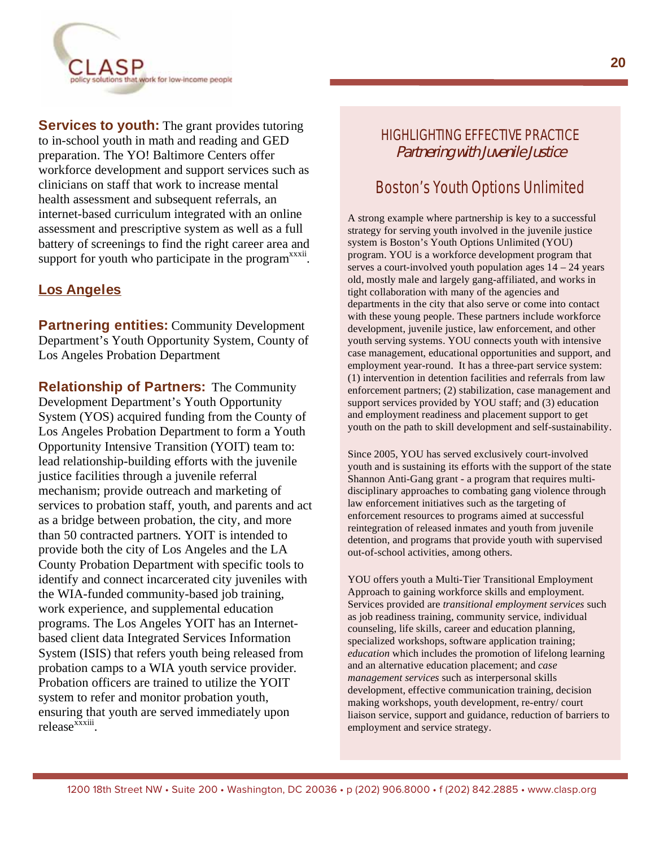

**Services to youth:** The grant provides tutoring to in-school youth in math and reading and GED preparation. The YO! Baltimore Centers offer workforce development and support services such as clinicians on staff that work to increase mental health assessment and subsequent referrals, an internet-based curriculum integrated with an online assessment and prescriptive system as well as a full battery of screenings to find the right career area and support for youth who participate in the program<sup>xxxii</sup>.

#### **Los Angeles**

**Partnering entities:** Community Development Department's Youth Opportunity System, County of Los Angeles Probation Department

**Relationship of Partners:** The Community Development Department's Youth Opportunity System (YOS) acquired funding from the County of Los Angeles Probation Department to form a Youth Opportunity Intensive Transition (YOIT) team to: lead relationship-building efforts with the juvenile justice facilities through a juvenile referral mechanism; provide outreach and marketing of services to probation staff, youth, and parents and act as a bridge between probation, the city, and more than 50 contracted partners. YOIT is intended to provide both the city of Los Angeles and the LA County Probation Department with specific tools to identify and connect incarcerated city juveniles with the WIA-funded community-based job training, work experience, and supplemental education programs. The Los Angeles YOIT has an Internetbased client data Integrated Services Information System (ISIS) that refers youth being released from probation camps to a WIA youth service provider. Probation officers are trained to utilize the YOIT system to refer and monitor probation youth, ensuring that youth are served immediately upon release<sup>xxxiii</sup>

#### HIGHLIGHTING EFFECTIVE PRACTICE Partnering with Juvenile Justice

# Boston's Youth Options Unlimited

A strong example where partnership is key to a successful strategy for serving youth involved in the juvenile justice system is Boston's Youth Options Unlimited (YOU) program. YOU is a workforce development program that serves a court-involved youth population ages  $14 - 24$  years old, mostly male and largely gang-affiliated, and works in tight collaboration with many of the agencies and departments in the city that also serve or come into contact with these young people. These partners include workforce development, juvenile justice, law enforcement, and other youth serving systems. YOU connects youth with intensive case management, educational opportunities and support, and employment year-round. It has a three-part service system: (1) intervention in detention facilities and referrals from law enforcement partners; (2) stabilization, case management and support services provided by YOU staff; and (3) education and employment readiness and placement support to get youth on the path to skill development and self-sustainability.

Since 2005, YOU has served exclusively court-involved youth and is sustaining its efforts with the support of the state Shannon Anti-Gang grant - a program that requires multidisciplinary approaches to combating gang violence through law enforcement initiatives such as the targeting of enforcement resources to programs aimed at successful reintegration of released inmates and youth from juvenile detention, and programs that provide youth with supervised out-of-school activities, among others.

YOU offers youth a Multi-Tier Transitional Employment Approach to gaining workforce skills and employment. Services provided are *transitional employment services* such as job readiness training, community service, individual counseling, life skills, career and education planning, specialized workshops, software application training; *education* which includes the promotion of lifelong learning and an alternative education placement; and *case management services* such as interpersonal skills development, effective communication training, decision making workshops, youth development, re-entry/ court liaison service, support and guidance, reduction of barriers to employment and service strategy.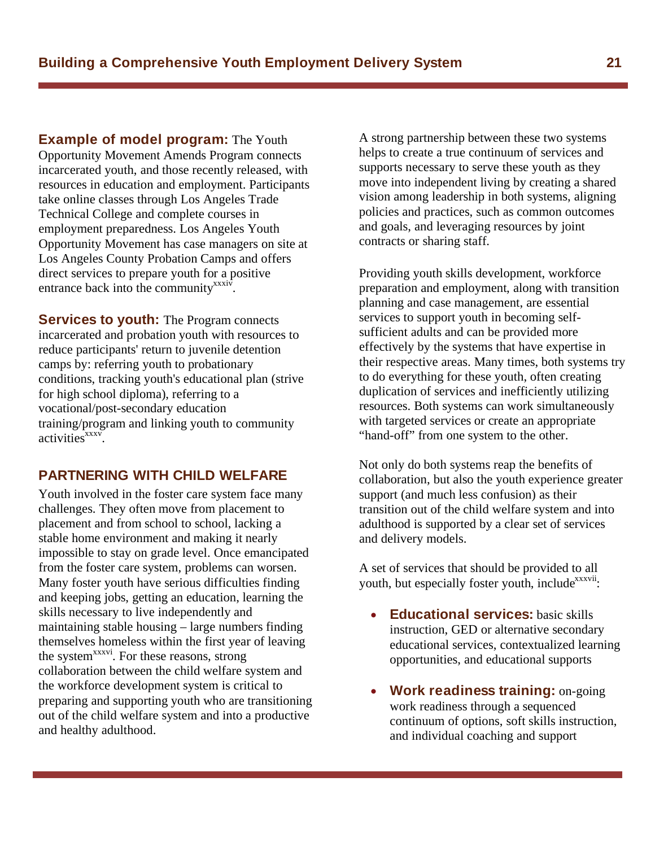**Example of model program:** The Youth Opportunity Movement Amends Program connects incarcerated youth, and those recently released, with resources in education and employment. Participants take online classes through Los Angeles Trade Technical College and complete courses in employment preparedness. Los Angeles Youth Opportunity Movement has case managers on site at Los Angeles County Probation Camps and offers direct services to prepare youth for a positive entrance back into the community<sup>xxxiv</sup>.

**Services to youth:** The Program connects incarcerated and probation youth with resources to reduce participants' return to juvenile detention camps by: referring youth to probationary conditions, tracking youth's educational plan (strive for high school diploma), referring to a vocational/post-secondary education training/program and linking youth to community  $\arct{activity}$ 

#### **PARTNERING WITH CHILD WELFARE**

Youth involved in the foster care system face many challenges. They often move from placement to placement and from school to school, lacking a stable home environment and making it nearly impossible to stay on grade level. Once emancipated from the foster care system, problems can worsen. Many foster youth have serious difficulties finding and keeping jobs, getting an education, learning the skills necessary to live independently and maintaining stable housing – large numbers finding themselves homeless within the first year of leaving the system<sup>xxxvi</sup>. For these reasons, strong collaboration between the child welfare system and the workforce development system is critical to preparing and supporting youth who are transitioning out of the child welfare system and into a productive and healthy adulthood.

A strong partnership between these two systems helps to create a true continuum of services and supports necessary to serve these youth as they move into independent living by creating a shared vision among leadership in both systems, aligning policies and practices, such as common outcomes and goals, and leveraging resources by joint contracts or sharing staff.

Providing youth skills development, workforce preparation and employment, along with transition planning and case management, are essential services to support youth in becoming selfsufficient adults and can be provided more effectively by the systems that have expertise in their respective areas. Many times, both systems try to do everything for these youth, often creating duplication of services and inefficiently utilizing resources. Both systems can work simultaneously with targeted services or create an appropriate "hand-off" from one system to the other.

Not only do both systems reap the benefits of collaboration, but also the youth experience greater support (and much less confusion) as their transition out of the child welfare system and into adulthood is supported by a clear set of services and delivery models.

A set of services that should be provided to all youth, but especially foster youth, include<sup>xxxvii</sup>:

- **Educational services:** basic skills instruction, GED or alternative secondary educational services, contextualized learning opportunities, and educational supports
- **Work readiness training: on-going** work readiness through a sequenced continuum of options, soft skills instruction, and individual coaching and support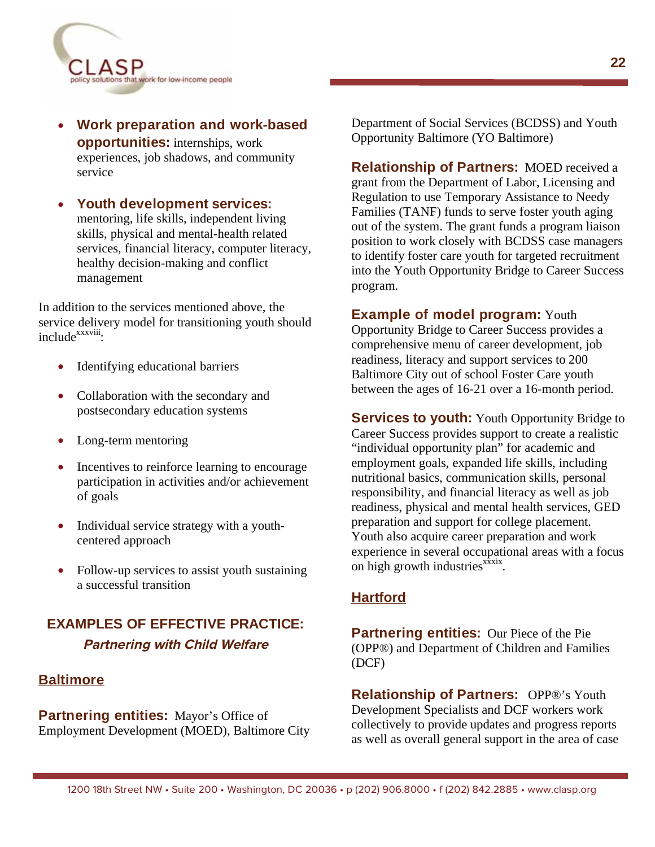

**Work preparation and work-based opportunities:** internships, work experiences, job shadows, and community service

**Youth development services:** mentoring, life skills, independent living skills, physical and mental-health related services, financial literacy, computer literacy, healthy decision-making and conflict management

In addition to the services mentioned above, the service delivery model for transitioning youth should include<sup>xxxviii</sup>:

- Identifying educational barriers
- Collaboration with the secondary and postsecondary education systems
- Long-term mentoring
- Incentives to reinforce learning to encourage participation in activities and/or achievement of goals
- $\bullet$  Individual service strategy with a youthcentered approach
- Follow-up services to assist youth sustaining a successful transition

### **EXAMPLES OF EFFECTIVE PRACTICE: Partnering with Child Welfare**

#### **Baltimore**

**Partnering entities:** Mayor's Office of Employment Development (MOED), Baltimore City Department of Social Services (BCDSS) and Youth Opportunity Baltimore (YO Baltimore)

**Relationship of Partners: MOED received a** grant from the Department of Labor, Licensing and Regulation to use Temporary Assistance to Needy Families (TANF) funds to serve foster youth aging out of the system. The grant funds a program liaison position to work closely with BCDSS case managers to identify foster care youth for targeted recruitment into the Youth Opportunity Bridge to Career Success program.

#### **Example of model program:** Youth

Opportunity Bridge to Career Success provides a comprehensive menu of career development, job readiness, literacy and support services to 200 Baltimore City out of school Foster Care youth between the ages of 16-21 over a 16-month period.

**Services to youth:** Youth Opportunity Bridge to Career Success provides support to create a realistic "individual opportunity plan" for academic and employment goals, expanded life skills, including nutritional basics, communication skills, personal responsibility, and financial literacy as well as job readiness, physical and mental health services, GED preparation and support for college placement. Youth also acquire career preparation and work experience in several occupational areas with a focus on high growth industries<sup>xxxix</sup>.

#### **Hartford**

**Partnering entities:** Our Piece of the Pie (OPP®) and Department of Children and Families (DCF)

**Relationship of Partners:** OPP®'s Youth Development Specialists and DCF workers work collectively to provide updates and progress reports as well as overall general support in the area of case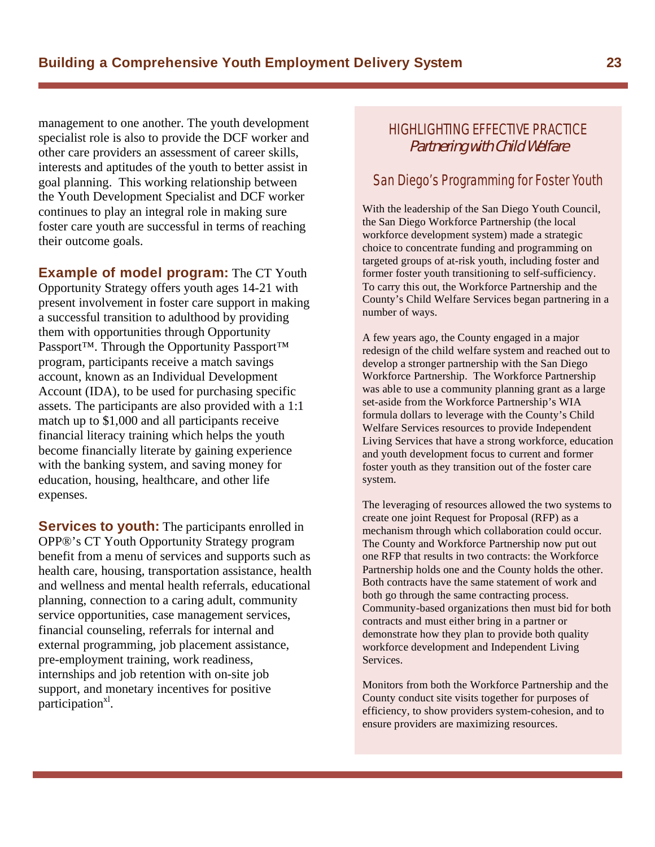management to one another. The youth development specialist role is also to provide the DCF worker and other care providers an assessment of career skills, interests and aptitudes of the youth to better assist in goal planning. This working relationship between the Youth Development Specialist and DCF worker continues to play an integral role in making sure foster care youth are successful in terms of reaching their outcome goals.

**Example of model program:** The CT Youth Opportunity Strategy offers youth ages 14-21 with present involvement in foster care support in making a successful transition to adulthood by providing them with opportunities through Opportunity Passport<sup>™</sup>. Through the Opportunity Passport<sup>™</sup> program, participants receive a match savings account, known as an Individual Development Account (IDA), to be used for purchasing specific assets. The participants are also provided with a 1:1 match up to \$1,000 and all participants receive financial literacy training which helps the youth become financially literate by gaining experience with the banking system, and saving money for education, housing, healthcare, and other life expenses.

**Services to youth:** The participants enrolled in OPP®'s CT Youth Opportunity Strategy program benefit from a menu of services and supports such as health care, housing, transportation assistance, health and wellness and mental health referrals, educational planning, connection to a caring adult, community service opportunities, case management services, financial counseling, referrals for internal and external programming, job placement assistance, pre-employment training, work readiness, internships and job retention with on-site job support, and monetary incentives for positive participation<sup>x1</sup>.

#### HIGHLIGHTING EFFECTIVE PRACTICE Partnering with Child Welfare

#### San Diego's Programming for Foster Youth

With the leadership of the San Diego Youth Council, the San Diego Workforce Partnership (the local workforce development system) made a strategic choice to concentrate funding and programming on targeted groups of at-risk youth, including foster and former foster youth transitioning to self-sufficiency. To carry this out, the Workforce Partnership and the County's Child Welfare Services began partnering in a number of ways.

A few years ago, the County engaged in a major redesign of the child welfare system and reached out to develop a stronger partnership with the San Diego Workforce Partnership. The Workforce Partnership was able to use a community planning grant as a large set-aside from the Workforce Partnership's WIA formula dollars to leverage with the County's Child Welfare Services resources to provide Independent Living Services that have a strong workforce, education and youth development focus to current and former foster youth as they transition out of the foster care system.

The leveraging of resources allowed the two systems to create one joint Request for Proposal (RFP) as a mechanism through which collaboration could occur. The County and Workforce Partnership now put out one RFP that results in two contracts: the Workforce Partnership holds one and the County holds the other. Both contracts have the same statement of work and both go through the same contracting process. Community-based organizations then must bid for both contracts and must either bring in a partner or demonstrate how they plan to provide both quality workforce development and Independent Living Services.

Monitors from both the Workforce Partnership and the County conduct site visits together for purposes of efficiency, to show providers system-cohesion, and to ensure providers are maximizing resources.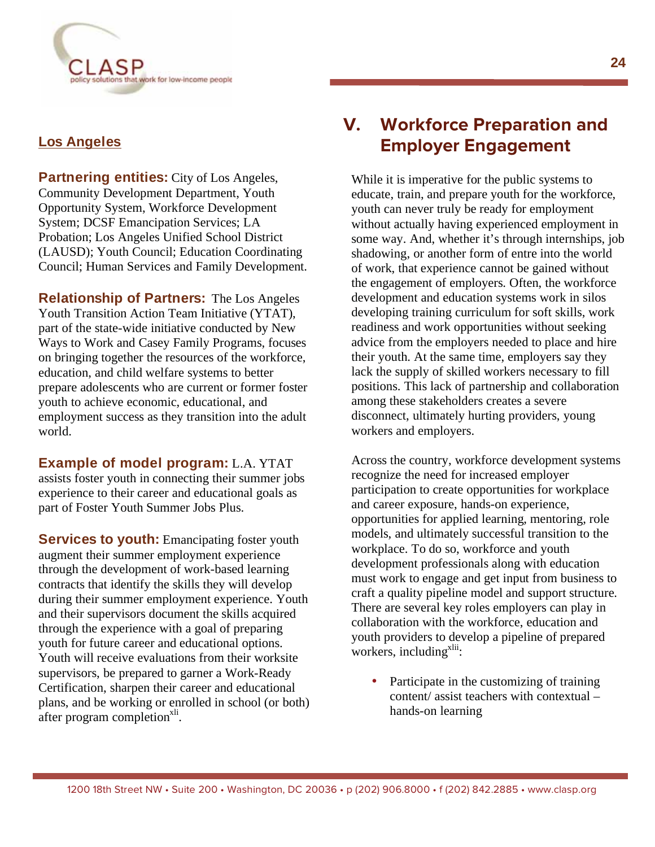

#### **Los Angeles**

**Partnering entities:** City of Los Angeles, Community Development Department, Youth Opportunity System, Workforce Development System; DCSF Emancipation Services; LA Probation; Los Angeles Unified School District (LAUSD); Youth Council; Education Coordinating Council; Human Services and Family Development.

**Relationship of Partners:** The Los Angeles Youth Transition Action Team Initiative (YTAT), part of the state-wide initiative conducted by New Ways to Work and Casey Family Programs, focuses on bringing together the resources of the workforce, education, and child welfare systems to better prepare adolescents who are current or former foster youth to achieve economic, educational, and employment success as they transition into the adult world.

**Example of model program:** L.A. YTAT assists foster youth in connecting their summer jobs experience to their career and educational goals as part of Foster Youth Summer Jobs Plus.

**Services to youth:** Emancipating foster youth augment their summer employment experience through the development of work-based learning contracts that identify the skills they will develop during their summer employment experience. Youth and their supervisors document the skills acquired through the experience with a goal of preparing youth for future career and educational options. Youth will receive evaluations from their worksite supervisors, be prepared to garner a Work-Ready Certification, sharpen their career and educational plans, and be working or enrolled in school (or both) after program completion<sup>xli</sup>.

# **V. Workforce Preparation and Employer Engagement**

While it is imperative for the public systems to educate, train, and prepare youth for the workforce, youth can never truly be ready for employment without actually having experienced employment in some way. And, whether it's through internships, job shadowing, or another form of entre into the world of work, that experience cannot be gained without the engagement of employers. Often, the workforce development and education systems work in silos developing training curriculum for soft skills, work readiness and work opportunities without seeking advice from the employers needed to place and hire their youth. At the same time, employers say they lack the supply of skilled workers necessary to fill positions. This lack of partnership and collaboration among these stakeholders creates a severe disconnect, ultimately hurting providers, young workers and employers.

Across the country, workforce development systems recognize the need for increased employer participation to create opportunities for workplace and career exposure, hands-on experience, opportunities for applied learning, mentoring, role models, and ultimately successful transition to the workplace. To do so, workforce and youth development professionals along with education must work to engage and get input from business to craft a quality pipeline model and support structure. There are several key roles employers can play in collaboration with the workforce, education and youth providers to develop a pipeline of prepared workers, including<sup>xlii</sup>:

Participate in the customizing of training content/ assist teachers with contextual – hands-on learning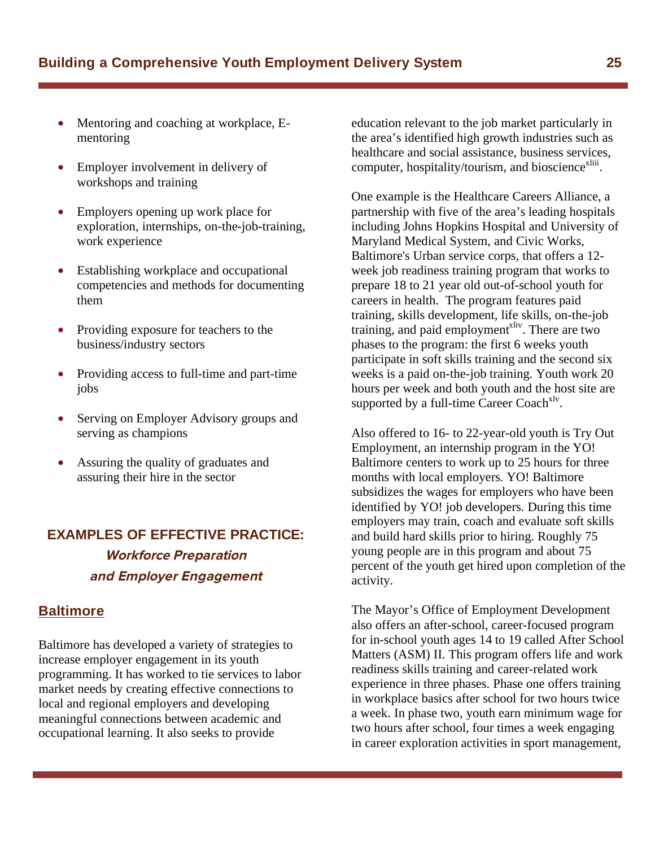- Mentoring and coaching at workplace, Ementoring
- Employer involvement in delivery of workshops and training
- Employers opening up work place for exploration, internships, on-the-job-training, work experience
- Establishing workplace and occupational competencies and methods for documenting them
- Providing exposure for teachers to the business/industry sectors
- Providing access to full-time and part-time jobs
- Serving on Employer Advisory groups and serving as champions
- Assuring the quality of graduates and assuring their hire in the sector

## **EXAMPLES OF EFFECTIVE PRACTICE: Workforce Preparation and Employer Engagement**

#### **Baltimore**

Baltimore has developed a variety of strategies to increase employer engagement in its youth programming. It has worked to tie services to labor market needs by creating effective connections to local and regional employers and developing meaningful connections between academic and occupational learning. It also seeks to provide

education relevant to the job market particularly in the area's identified high growth industries such as healthcare and social assistance, business services, computer, hospitality/tourism, and bioscience<sup>xliii</sup>.

One example is the Healthcare Careers Alliance, a partnership with five of the area's leading hospitals including Johns Hopkins Hospital and University of Maryland Medical System, and Civic Works, Baltimore's Urban service corps, that offers a 12 week job readiness training program that works to prepare 18 to 21 year old out-of-school youth for careers in health. The program features paid training, skills development, life skills, on-the-job training, and paid employment<sup>xliv</sup>. There are two phases to the program: the first 6 weeks youth participate in soft skills training and the second six weeks is a paid on-the-job training. Youth work 20 hours per week and both youth and the host site are supported by a full-time Career Coach<sup>xly</sup>.

Also offered to 16- to 22-year-old youth is Try Out Employment, an internship program in the YO! Baltimore centers to work up to 25 hours for three months with local employers. YO! Baltimore subsidizes the wages for employers who have been identified by YO! job developers. During this time employers may train, coach and evaluate soft skills and build hard skills prior to hiring. Roughly 75 young people are in this program and about 75 percent of the youth get hired upon completion of the activity.

The Mayor's Office of Employment Development also offers an after-school, career-focused program for in-school youth ages 14 to 19 called After School Matters (ASM) II. This program offers life and work readiness skills training and career-related work experience in three phases. Phase one offers training in workplace basics after school for two hours twice a week. In phase two, youth earn minimum wage for two hours after school, four times a week engaging in career exploration activities in sport management,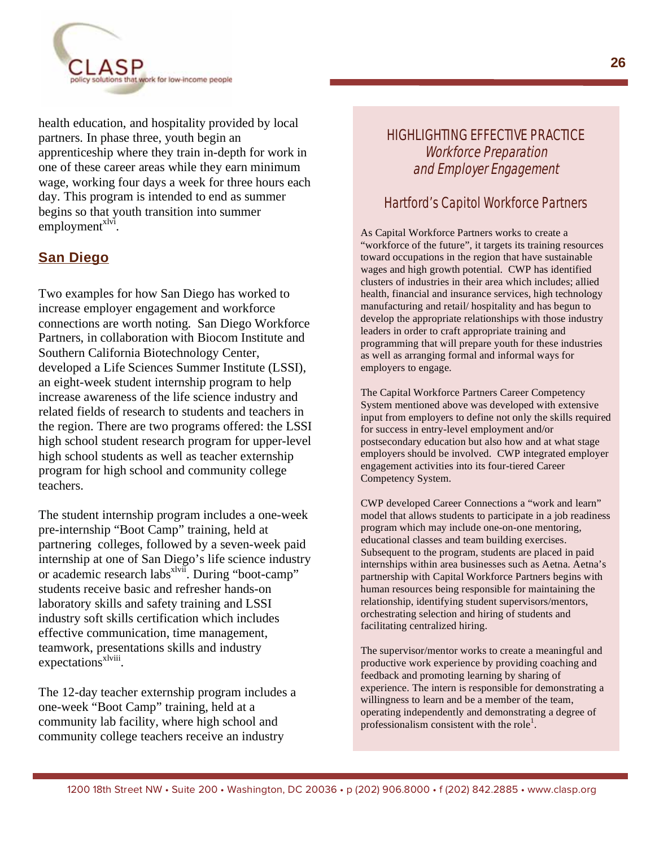

health education, and hospitality provided by local partners. In phase three, youth begin an apprenticeship where they train in-depth for work in one of these career areas while they earn minimum wage, working four days a week for three hours each day. This program is intended to end as summer begins so that youth transition into summer employment<sup>xlvi</sup>.

#### **San Diego**

Two examples for how San Diego has worked to increase employer engagement and workforce connections are worth noting. San Diego Workforce Partners, in collaboration with Biocom Institute and Southern California Biotechnology Center, developed a Life Sciences Summer Institute (LSSI), an eight-week student internship program to help increase awareness of the life science industry and related fields of research to students and teachers in the region. There are two programs offered: the LSSI high school student research program for upper-level high school students as well as teacher externship program for high school and community college teachers.

The student internship program includes a one-week pre-internship "Boot Camp" training, held at partnering colleges, followed by a seven-week paid internship at one of San Diego's life science industry or academic research labs<sup>xlvii</sup>. During "boot-camp" students receive basic and refresher hands-on laboratory skills and safety training and LSSI industry soft skills certification which includes effective communication, time management, teamwork, presentations skills and industry expectations<sup>xlviii</sup>.

The 12-day teacher externship program includes a one-week "Boot Camp" training, held at a community lab facility, where high school and community college teachers receive an industry

#### HIGHLIGHTING EFFECTIVE PRACTICE Workforce Preparation and Employer Engagement

#### Hartford's Capitol Workforce Partners

As Capital Workforce Partners works to create a "workforce of the future", it targets its training resources toward occupations in the region that have sustainable wages and high growth potential. CWP has identified clusters of industries in their area which includes; allied health, financial and insurance services, high technology manufacturing and retail/ hospitality and has begun to develop the appropriate relationships with those industry leaders in order to craft appropriate training and programming that will prepare youth for these industries as well as arranging formal and informal ways for employers to engage.

The Capital Workforce Partners Career Competency System mentioned above was developed with extensive input from employers to define not only the skills required for success in entry-level employment and/or postsecondary education but also how and at what stage employers should be involved. CWP integrated employer engagement activities into its four-tiered Career Competency System.

CWP developed Career Connections a "work and learn" model that allows students to participate in a job readiness program which may include one-on-one mentoring, educational classes and team building exercises. Subsequent to the program, students are placed in paid internships within area businesses such as Aetna. Aetna's partnership with Capital Workforce Partners begins with human resources being responsible for maintaining the relationship, identifying student supervisors/mentors, orchestrating selection and hiring of students and facilitating centralized hiring.

The supervisor/mentor works to create a meaningful and productive work experience by providing coaching and feedback and promoting learning by sharing of experience. The intern is responsible for demonstrating a willingness to learn and be a member of the team, operating independently and demonstrating a degree of professionalism consistent with the role<sup>1</sup>.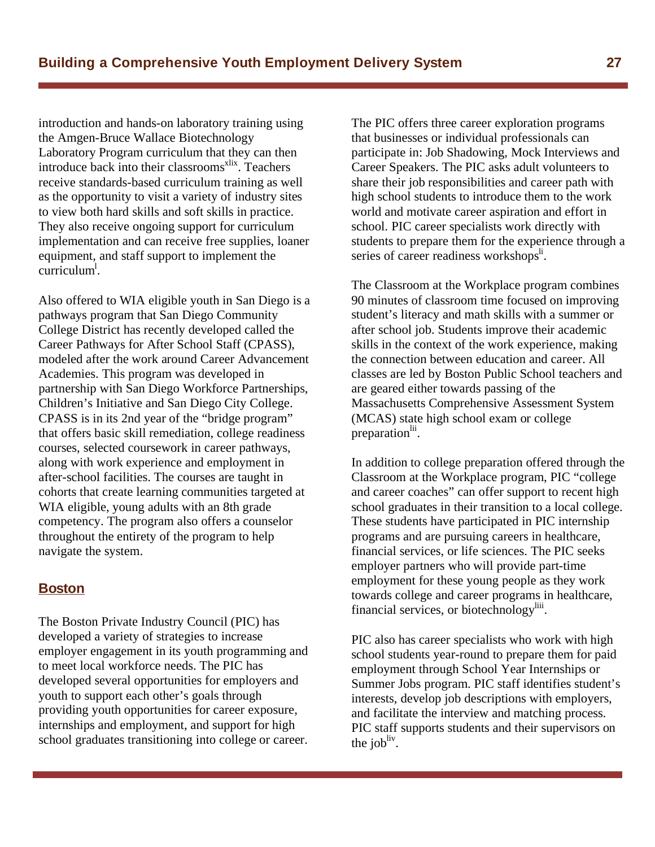introduction and hands-on laboratory training using the Amgen-Bruce Wallace Biotechnology Laboratory Program curriculum that they can then introduce back into their classrooms<sup>xlix</sup>. Teachers receive standards-based curriculum training as well as the opportunity to visit a variety of industry sites to view both hard skills and soft skills in practice. They also receive ongoing support for curriculum implementation and can receive free supplies, loaner equipment, and staff support to implement the curriculum<sup>l</sup>.

Also offered to WIA eligible youth in San Diego is a pathways program that San Diego Community College District has recently developed called the Career Pathways for After School Staff (CPASS), modeled after the work around Career Advancement Academies. This program was developed in partnership with San Diego Workforce Partnerships, Children's Initiative and San Diego City College. CPASS is in its 2nd year of the "bridge program" that offers basic skill remediation, college readiness courses, selected coursework in career pathways, along with work experience and employment in after-school facilities. The courses are taught in cohorts that create learning communities targeted at WIA eligible, young adults with an 8th grade competency. The program also offers a counselor throughout the entirety of the program to help navigate the system.

#### **Boston**

The Boston Private Industry Council (PIC) has developed a variety of strategies to increase employer engagement in its youth programming and to meet local workforce needs. The PIC has developed several opportunities for employers and youth to support each other's goals through providing youth opportunities for career exposure, internships and employment, and support for high school graduates transitioning into college or career.

The PIC offers three career exploration programs that businesses or individual professionals can participate in: Job Shadowing, Mock Interviews and Career Speakers. The PIC asks adult volunteers to share their job responsibilities and career path with high school students to introduce them to the work world and motivate career aspiration and effort in school. PIC career specialists work directly with students to prepare them for the experience through a series of career readiness workshops<sup>li</sup>.

The Classroom at the Workplace program combines 90 minutes of classroom time focused on improving student's literacy and math skills with a summer or after school job. Students improve their academic skills in the context of the work experience, making the connection between education and career. All classes are led by Boston Public School teachers and are geared either towards passing of the Massachusetts Comprehensive Assessment System (MCAS) state high school exam or college preparation<sup>lii</sup>.

In addition to college preparation offered through the Classroom at the Workplace program, PIC "college and career coaches" can offer support to recent high school graduates in their transition to a local college. These students have participated in PIC internship programs and are pursuing careers in healthcare, financial services, or life sciences. The PIC seeks employer partners who will provide part-time employment for these young people as they work towards college and career programs in healthcare, financial services, or biotechnology<sup>liii</sup>.

PIC also has career specialists who work with high school students year-round to prepare them for paid employment through School Year Internships or Summer Jobs program. PIC staff identifies student's interests, develop job descriptions with employers, and facilitate the interview and matching process. PIC staff supports students and their supervisors on the job<sup>liv</sup>.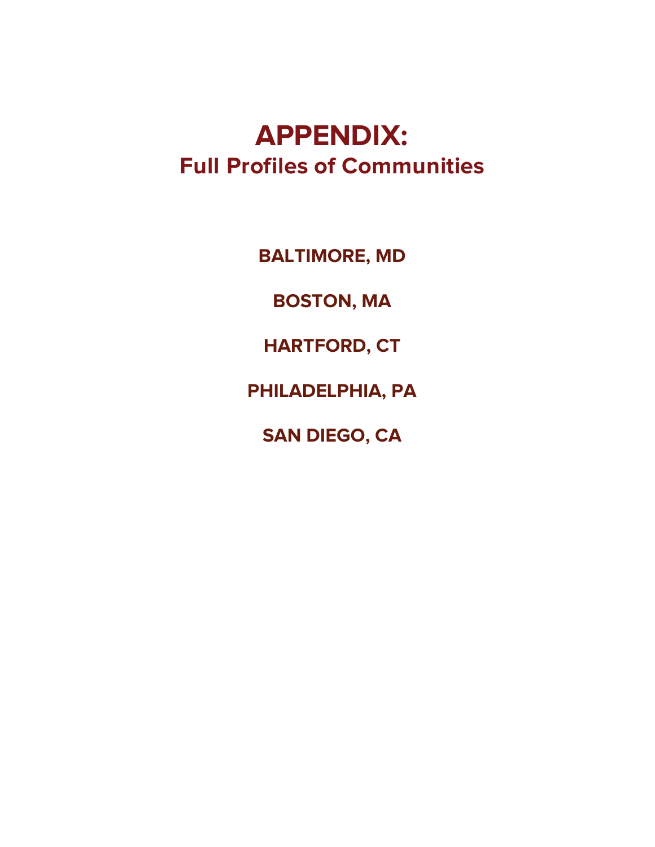# **APPENDIX: Full Profiles of Communities**

**BALTIMORE, MD** 

**BOSTON, MA** 

**HARTFORD, CT** 

**PHILADELPHIA, PA** 

**SAN DIEGO, CA**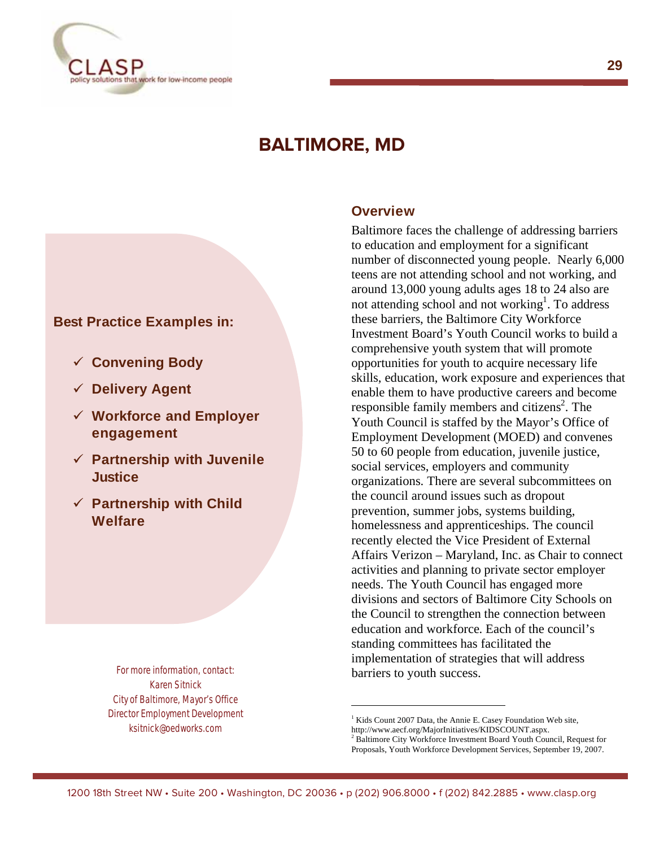

# **BALTIMORE, MD**

#### **Best Practice Examples in:**

- **Convening Body**
- **Delivery Agent**
- **Workforce and Employer engagement**
- **Partnership with Juvenile Justice**
- **Partnership with Child Welfare**

For more information, contact: Karen Sitnick City of Baltimore, Mayor's Office Director Employment Development ksitnick@oedworks.com

#### **Overview**

Baltimore faces the challenge of addressing barriers to education and employment for a significant number of disconnected young people. Nearly 6,000 teens are not attending school and not working, and around 13,000 young adults ages 18 to 24 also are not attending school and not working<sup>1</sup>. To address these barriers, the Baltimore City Workforce Investment Board's Youth Council works to build a comprehensive youth system that will promote opportunities for youth to acquire necessary life skills, education, work exposure and experiences that enable them to have productive careers and become responsible family members and citizens<sup>2</sup>. The Youth Council is staffed by the Mayor's Office of Employment Development (MOED) and convenes 50 to 60 people from education, juvenile justice, social services, employers and community organizations. There are several subcommittees on the council around issues such as dropout prevention, summer jobs, systems building, homelessness and apprenticeships. The council recently elected the Vice President of External Affairs Verizon – Maryland, Inc. as Chair to connect activities and planning to private sector employer needs. The Youth Council has engaged more divisions and sectors of Baltimore City Schools on the Council to strengthen the connection between education and workforce. Each of the council's standing committees has facilitated the implementation of strategies that will address barriers to youth success.

**29** 

I

<sup>&</sup>lt;sup>1</sup> Kids Count 2007 Data, the Annie E. Casey Foundation Web site,

http://www.aecf.org/MajorInitiatives/KIDSCOUNT.aspx.

<sup>&</sup>lt;sup>2</sup> Baltimore City Workforce Investment Board Youth Council, Request for Proposals, Youth Workforce Development Services, September 19, 2007.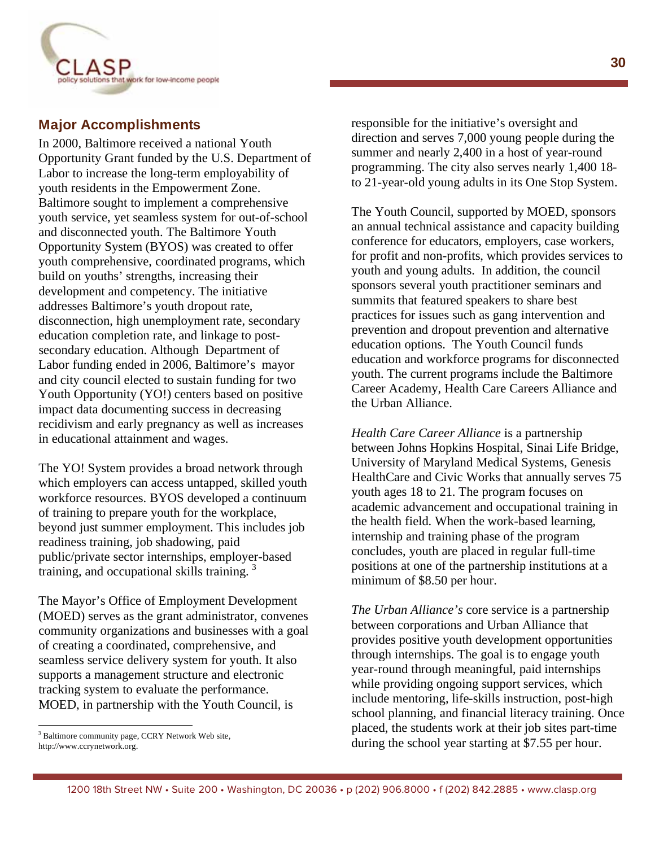

#### **Major Accomplishments**

In 2000, Baltimore received a national Youth Opportunity Grant funded by the U.S. Department of Labor to increase the long-term employability of youth residents in the Empowerment Zone. Baltimore sought to implement a comprehensive youth service, yet seamless system for out-of-school and disconnected youth. The Baltimore Youth Opportunity System (BYOS) was created to offer youth comprehensive, coordinated programs, which build on youths' strengths, increasing their development and competency. The initiative addresses Baltimore's youth dropout rate, disconnection, high unemployment rate, secondary education completion rate, and linkage to postsecondary education. Although Department of Labor funding ended in 2006, Baltimore's mayor and city council elected to sustain funding for two Youth Opportunity (YO!) centers based on positive impact data documenting success in decreasing recidivism and early pregnancy as well as increases in educational attainment and wages.

The YO! System provides a broad network through which employers can access untapped, skilled youth workforce resources. BYOS developed a continuum of training to prepare youth for the workplace, beyond just summer employment. This includes job readiness training, job shadowing, paid public/private sector internships, employer-based training, and occupational skills training.  $\frac{3}{2}$ 

The Mayor's Office of Employment Development (MOED) serves as the grant administrator, convenes community organizations and businesses with a goal of creating a coordinated, comprehensive, and seamless service delivery system for youth. It also supports a management structure and electronic tracking system to evaluate the performance. MOED, in partnership with the Youth Council, is

 $\overline{a}$ 

responsible for the initiative's oversight and direction and serves 7,000 young people during the summer and nearly 2,400 in a host of year-round programming. The city also serves nearly 1,400 18 to 21-year-old young adults in its One Stop System.

The Youth Council, supported by MOED, sponsors an annual technical assistance and capacity building conference for educators, employers, case workers, for profit and non-profits, which provides services to youth and young adults. In addition, the council sponsors several youth practitioner seminars and summits that featured speakers to share best practices for issues such as gang intervention and prevention and dropout prevention and alternative education options. The Youth Council funds education and workforce programs for disconnected youth. The current programs include the Baltimore Career Academy, Health Care Careers Alliance and the Urban Alliance.

*Health Care Career Alliance* is a partnership between Johns Hopkins Hospital, Sinai Life Bridge, University of Maryland Medical Systems, Genesis HealthCare and Civic Works that annually serves 75 youth ages 18 to 21. The program focuses on academic advancement and occupational training in the health field. When the work-based learning, internship and training phase of the program concludes, youth are placed in regular full-time positions at one of the partnership institutions at a minimum of \$8.50 per hour.

*The Urban Alliance's* core service is a partnership between corporations and Urban Alliance that provides positive youth development opportunities through internships. The goal is to engage youth year-round through meaningful, paid internships while providing ongoing support services, which include mentoring, life-skills instruction, post-high school planning, and financial literacy training. Once placed, the students work at their job sites part-time during the school year starting at \$7.55 per hour.

<sup>&</sup>lt;sup>3</sup> Baltimore community page, CCRY Network Web site, http://www.ccrynetwork.org.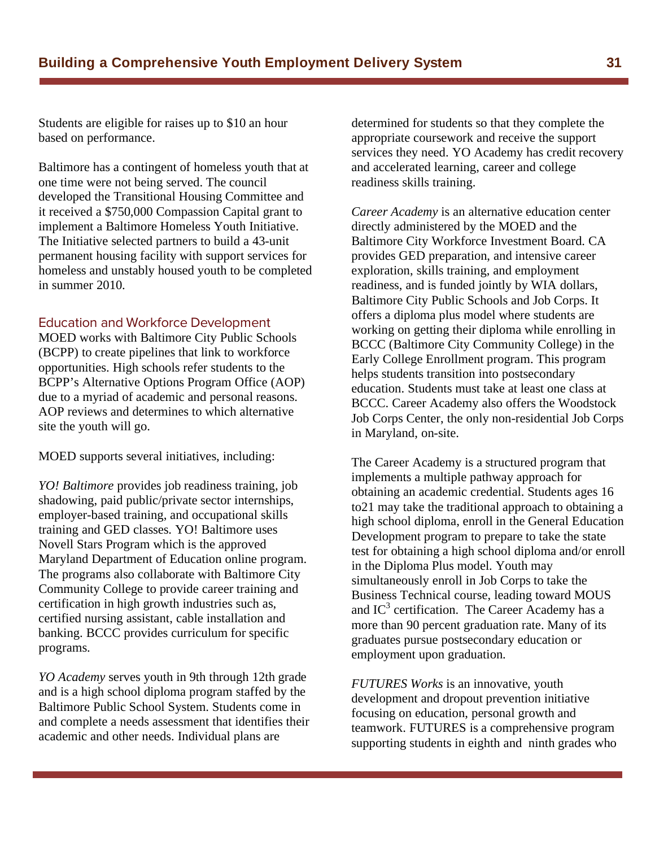Students are eligible for raises up to \$10 an hour based on performance.

Baltimore has a contingent of homeless youth that at one time were not being served. The council developed the Transitional Housing Committee and it received a \$750,000 Compassion Capital grant to implement a Baltimore Homeless Youth Initiative. The Initiative selected partners to build a 43-unit permanent housing facility with support services for homeless and unstably housed youth to be completed in summer 2010.

MOED works with Baltimore City Public Schools (BCPP) to create pipelines that link to workforce opportunities. High schools refer students to the BCPP's Alternative Options Program Office (AOP) due to a myriad of academic and personal reasons. AOP reviews and determines to which alternative site the youth will go.

MOED supports several initiatives, including:

*YO! Baltimore* provides job readiness training, job shadowing, paid public/private sector internships, employer-based training, and occupational skills training and GED classes. YO! Baltimore uses Novell Stars Program which is the approved Maryland Department of Education online program. The programs also collaborate with Baltimore City Community College to provide career training and certification in high growth industries such as, certified nursing assistant, cable installation and banking. BCCC provides curriculum for specific programs.

*YO Academy* serves youth in 9th through 12th grade and is a high school diploma program staffed by the Baltimore Public School System. Students come in and complete a needs assessment that identifies their academic and other needs. Individual plans are

determined for students so that they complete the appropriate coursework and receive the support services they need. YO Academy has credit recovery and accelerated learning, career and college readiness skills training.

*Career Academy* is an alternative education center directly administered by the MOED and the Baltimore City Workforce Investment Board. CA provides GED preparation, and intensive career exploration, skills training, and employment readiness, and is funded jointly by WIA dollars, Baltimore City Public Schools and Job Corps. It offers a diploma plus model where students are working on getting their diploma while enrolling in BCCC (Baltimore City Community College) in the Early College Enrollment program. This program helps students transition into postsecondary education. Students must take at least one class at BCCC. Career Academy also offers the Woodstock Job Corps Center, the only non-residential Job Corps in Maryland, on-site.

The Career Academy is a structured program that implements a multiple pathway approach for obtaining an academic credential. Students ages 16 to21 may take the traditional approach to obtaining a high school diploma, enroll in the General Education Development program to prepare to take the state test for obtaining a high school diploma and/or enroll in the Diploma Plus model. Youth may simultaneously enroll in Job Corps to take the Business Technical course, leading toward MOUS and  $IC^3$  certification. The Career Academy has a more than 90 percent graduation rate. Many of its graduates pursue postsecondary education or employment upon graduation.

*FUTURES Works* is an innovative, youth development and dropout prevention initiative focusing on education, personal growth and teamwork. FUTURES is a comprehensive program supporting students in eighth and ninth grades who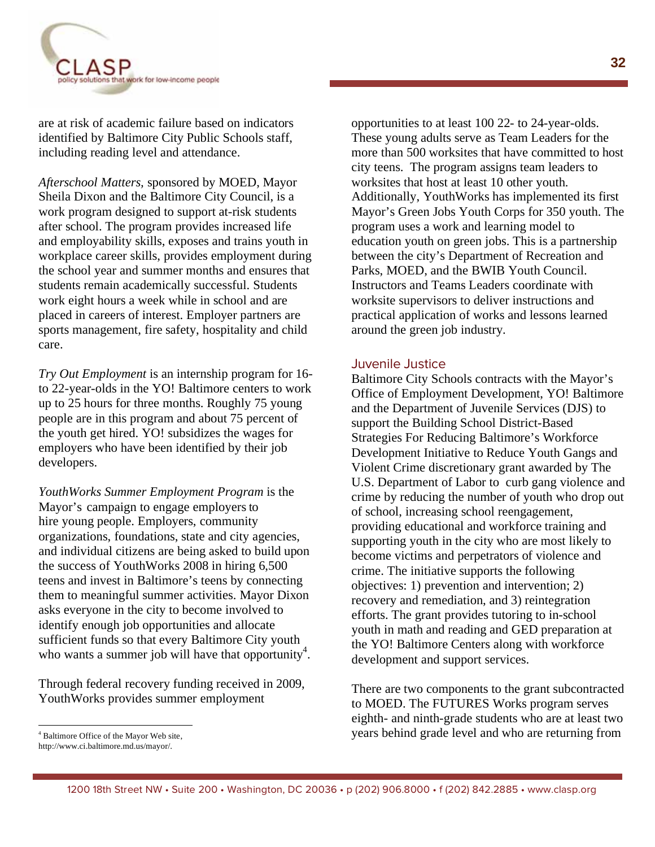

are at risk of academic failure based on indicators identified by Baltimore City Public Schools staff, including reading level and attendance.

*Afterschool Matters,* sponsored by MOED, Mayor Sheila Dixon and the Baltimore City Council, is a work program designed to support at-risk students after school. The program provides increased life and employability skills, exposes and trains youth in workplace career skills, provides employment during the school year and summer months and ensures that students remain academically successful. Students work eight hours a week while in school and are placed in careers of interest. Employer partners are sports management, fire safety, hospitality and child care.

*Try Out Employment* is an internship program for 16 to 22-year-olds in the YO! Baltimore centers to work up to 25 hours for three months. Roughly 75 young people are in this program and about 75 percent of the youth get hired. YO! subsidizes the wages for employers who have been identified by their job developers.

*YouthWorks Summer Employment Program* is the Mayor's campaign to engage employers to hire young people. Employers, community organizations, foundations, state and city agencies, and individual citizens are being asked to build upon the success of YouthWorks 2008 in hiring 6,500 teens and invest in Baltimore's teens by connecting them to meaningful summer activities. Mayor Dixon asks everyone in the city to become involved to identify enough job opportunities and allocate sufficient funds so that every Baltimore City youth who wants a summer job will have that opportunity<sup>4</sup>.

Through federal recovery funding received in 2009, YouthWorks provides summer employment

opportunities to at least 100 22- to 24-year-olds. These young adults serve as Team Leaders for the more than 500 worksites that have committed to host city teens. The program assigns team leaders to worksites that host at least 10 other youth. Additionally, YouthWorks has implemented its first Mayor's Green Jobs Youth Corps for 350 youth. The program uses a work and learning model to education youth on green jobs. This is a partnership between the city's Department of Recreation and Parks, MOED, and the BWIB Youth Council. Instructors and Teams Leaders coordinate with worksite supervisors to deliver instructions and practical application of works and lessons learned around the green job industry.

#### Juvenile Justice

Baltimore City Schools contracts with the Mayor's Office of Employment Development, YO! Baltimore and the Department of Juvenile Services (DJS) to support the Building School District-Based Strategies For Reducing Baltimore's Workforce Development Initiative to Reduce Youth Gangs and Violent Crime discretionary grant awarded by The U.S. Department of Labor to curb gang violence and crime by reducing the number of youth who drop out of school, increasing school reengagement, providing educational and workforce training and supporting youth in the city who are most likely to become victims and perpetrators of violence and crime. The initiative supports the following objectives: 1) prevention and intervention; 2) recovery and remediation, and 3) reintegration efforts. The grant provides tutoring to in-school youth in math and reading and GED preparation at the YO! Baltimore Centers along with workforce development and support services.

There are two components to the grant subcontracted to MOED. The FUTURES Works program serves eighth- and ninth-grade students who are at least two years behind grade level and who are returning from

<sup>4</sup> Baltimore Office of the Mayor Web site,

http://www.ci.baltimore.md.us/mayor/.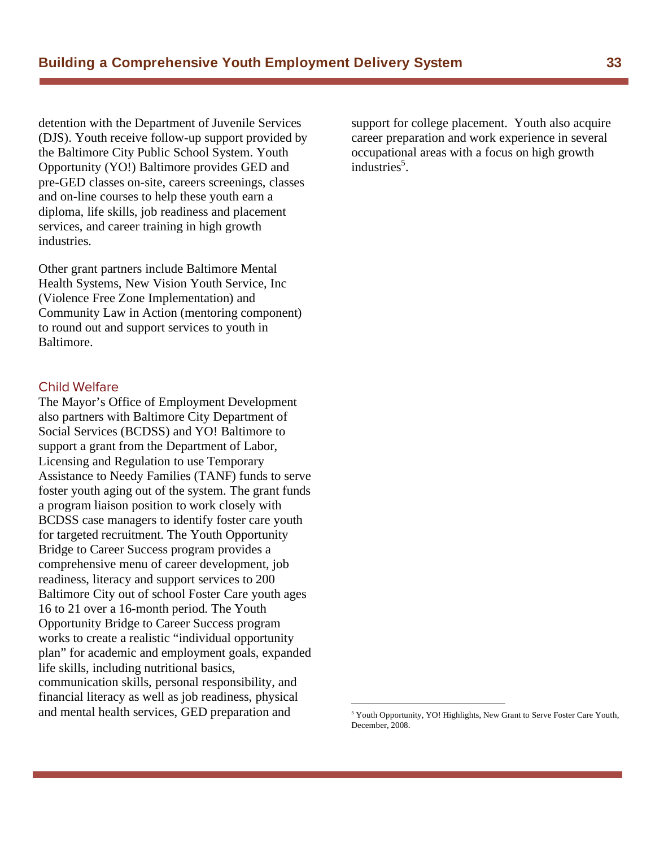detention with the Department of Juvenile Services (DJS). Youth receive follow-up support provided by the Baltimore City Public School System. Youth Opportunity (YO!) Baltimore provides GED and pre-GED classes on-site, careers screenings, classes and on-line courses to help these youth earn a diploma, life skills, job readiness and placement services, and career training in high growth industries.

Other grant partners include Baltimore Mental Health Systems, New Vision Youth Service, Inc (Violence Free Zone Implementation) and Community Law in Action (mentoring component) to round out and support services to youth in Baltimore.

#### Child Welfare

The Mayor's Office of Employment Development also partners with Baltimore City Department of Social Services (BCDSS) and YO! Baltimore to support a grant from the Department of Labor, Licensing and Regulation to use Temporary Assistance to Needy Families (TANF) funds to serve foster youth aging out of the system. The grant funds a program liaison position to work closely with BCDSS case managers to identify foster care youth for targeted recruitment. The Youth Opportunity Bridge to Career Success program provides a comprehensive menu of career development, job readiness, literacy and support services to 200 Baltimore City out of school Foster Care youth ages 16 to 21 over a 16-month period. The Youth Opportunity Bridge to Career Success program works to create a realistic "individual opportunity plan" for academic and employment goals, expanded life skills, including nutritional basics, communication skills, personal responsibility, and financial literacy as well as job readiness, physical and mental health services, GED preparation and

support for college placement. Youth also acquire career preparation and work experience in several occupational areas with a focus on high growth industries<sup>5</sup>.

<sup>&</sup>lt;sup>5</sup> Youth Opportunity, YO! Highlights, New Grant to Serve Foster Care Youth, December, 2008.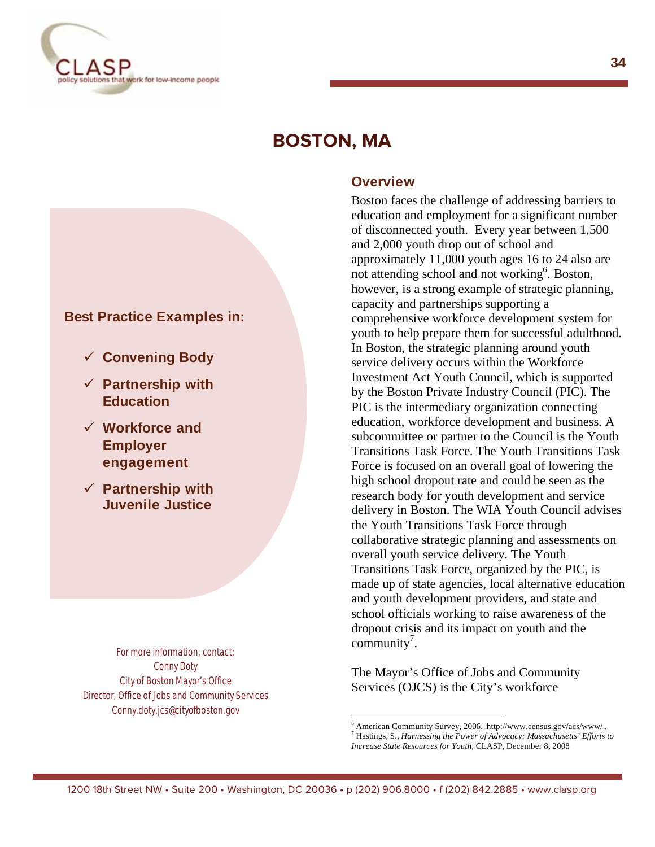

# **BOSTON, MA**

#### **Overview**

#### Boston faces the challenge of addressing barriers to education and employment for a significant number of disconnected youth. Every year between 1,500 and 2,000 youth drop out of school and approximately 11,000 youth ages 16 to 24 also are not attending school and not working<sup>6</sup>. Boston, however, is a strong example of strategic planning, capacity and partnerships supporting a comprehensive workforce development system for youth to help prepare them for successful adulthood. In Boston, the strategic planning around youth service delivery occurs within the Workforce Investment Act Youth Council, which is supported by the Boston Private Industry Council (PIC). The PIC is the intermediary organization connecting education, workforce development and business. A subcommittee or partner to the Council is the Youth Transitions Task Force. The Youth Transitions Task Force is focused on an overall goal of lowering the high school dropout rate and could be seen as the research body for youth development and service delivery in Boston. The WIA Youth Council advises the Youth Transitions Task Force through collaborative strategic planning and assessments on overall youth service delivery. The Youth Transitions Task Force, organized by the PIC, is made up of state agencies, local alternative education and youth development providers, and state and school officials working to raise awareness of the dropout crisis and its impact on youth and the  $community^7$ .

The Mayor's Office of Jobs and Community Services (OJCS) is the City's workforce

#### **Best Practice Examples in:**

- **Convening Body**
- **Partnership with Education**
- **Workforce and Employer engagement**
- **Partnership with Juvenile Justice**

For more information, contact: Conny Doty City of Boston Mayor's Office Director, Office of Jobs and Community Services Conny.doty.jcs@cityofboston.gov

 $^6$  American Community Survey, 2006, http://www.census.gov/acs/www/...<br><sup>7</sup> Hestings, S., *Hamaggius, the Day on a f.A. Juggage Maggaghy atta*<sup>2</sup> Effects Hastings, S., *Harnessing the Power of Advocacy: Massachusetts' Efforts to Increase State Resources for Youth*, CLASP, December 8, 2008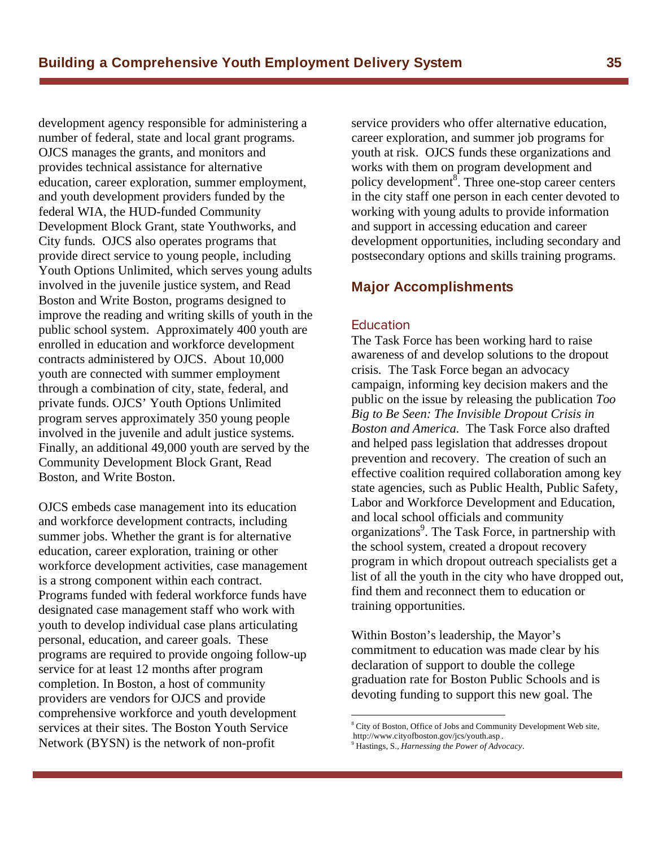development agency responsible for administering a number of federal, state and local grant programs. OJCS manages the grants, and monitors and provides technical assistance for alternative education, career exploration, summer employment, and youth development providers funded by the federal WIA, the HUD-funded Community Development Block Grant, state Youthworks, and City funds. OJCS also operates programs that provide direct service to young people, including Youth Options Unlimited, which serves young adults involved in the juvenile justice system, and Read Boston and Write Boston, programs designed to improve the reading and writing skills of youth in the public school system. Approximately 400 youth are enrolled in education and workforce development contracts administered by OJCS. About 10,000 youth are connected with summer employment through a combination of city, state, federal, and private funds. OJCS' Youth Options Unlimited program serves approximately 350 young people involved in the juvenile and adult justice systems. Finally, an additional 49,000 youth are served by the Community Development Block Grant, Read Boston, and Write Boston.

OJCS embeds case management into its education and workforce development contracts, including summer jobs. Whether the grant is for alternative education, career exploration, training or other workforce development activities, case management is a strong component within each contract. Programs funded with federal workforce funds have designated case management staff who work with youth to develop individual case plans articulating personal, education, and career goals. These programs are required to provide ongoing follow-up service for at least 12 months after program completion. In Boston, a host of community providers are vendors for OJCS and provide comprehensive workforce and youth development services at their sites. The Boston Youth Service Network (BYSN) is the network of non-profit

service providers who offer alternative education, career exploration, and summer job programs for youth at risk. OJCS funds these organizations and works with them on program development and policy development<sup>8</sup>. Three one-stop career centers in the city staff one person in each center devoted to working with young adults to provide information and support in accessing education and career development opportunities, including secondary and postsecondary options and skills training programs.

#### **Major Accomplishments**

#### Education

Education The Task Force has been working hard to raise awareness of and develop solutions to the dropout crisis. The Task Force began an advocacy campaign, informing key decision makers and the public on the issue by releasing the publication *Too Big to Be Seen: The Invisible Dropout Crisis in Boston and America*. The Task Force also drafted and helped pass legislation that addresses dropout prevention and recovery. The creation of such an effective coalition required collaboration among key state agencies, such as Public Health, Public Safety, Labor and Workforce Development and Education, and local school officials and community organizations<sup>9</sup>. The Task Force, in partnership with the school system, created a dropout recovery program in which dropout outreach specialists get a list of all the youth in the city who have dropped out, find them and reconnect them to education or training opportunities.

Within Boston's leadership, the Mayor's commitment to education was made clear by his declaration of support to double the college graduation rate for Boston Public Schools and is devoting funding to support this new goal. The

<sup>&</sup>lt;sup>8</sup> City of Boston, Office of Jobs and Community Development Web site, .http://www.cityofboston.gov/jcs/youth.asp..

<sup>9</sup> Hastings, S., *Harnessing the Power of Advocacy*.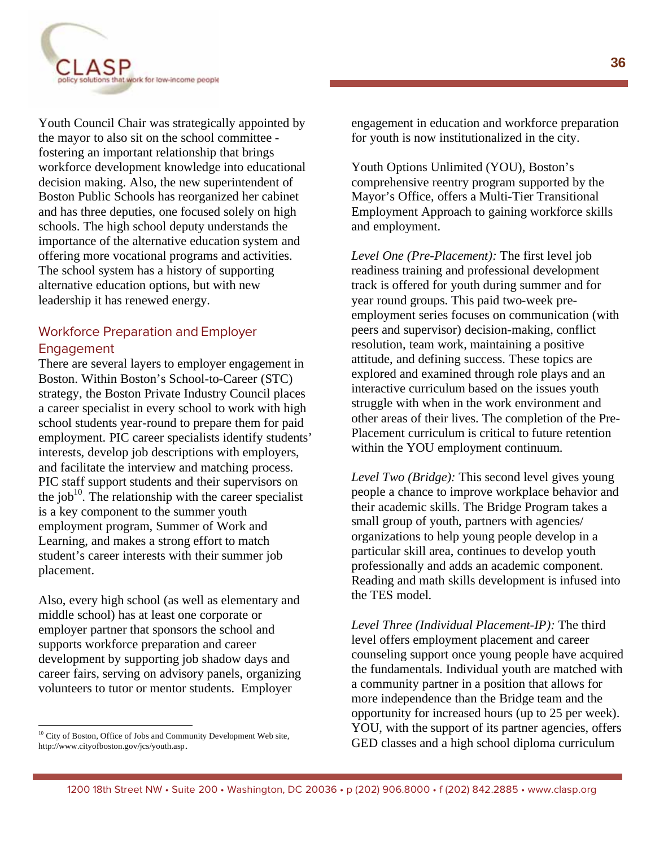

Youth Council Chair was strategically appointed by the mayor to also sit on the school committee fostering an important relationship that brings workforce development knowledge into educational decision making. Also, the new superintendent of Boston Public Schools has reorganized her cabinet and has three deputies, one focused solely on high schools. The high school deputy understands the importance of the alternative education system and offering more vocational programs and activities. The school system has a history of supporting alternative education options, but with new leadership it has renewed energy.

#### Workforce Preparation and Employer Engagement

There are several layers to employer engagement in Boston. Within Boston's School-to-Career (STC) strategy, the Boston Private Industry Council places a career specialist in every school to work with high school students year-round to prepare them for paid employment. PIC career specialists identify students' interests, develop job descriptions with employers, and facilitate the interview and matching process. PIC staff support students and their supervisors on the job<sup>10</sup>. The relationship with the career specialist is a key component to the summer youth employment program, Summer of Work and Learning, and makes a strong effort to match student's career interests with their summer job placement.

Also, every high school (as well as elementary and middle school) has at least one corporate or employer partner that sponsors the school and supports workforce preparation and career development by supporting job shadow days and career fairs, serving on advisory panels, organizing volunteers to tutor or mentor students. Employer

 $\overline{a}$ 

engagement in education and workforce preparation for youth is now institutionalized in the city.

Youth Options Unlimited (YOU), Boston's comprehensive reentry program supported by the Mayor's Office, offers a Multi-Tier Transitional Employment Approach to gaining workforce skills and employment.

*Level One (Pre-Placement):* The first level job readiness training and professional development track is offered for youth during summer and for year round groups. This paid two-week preemployment series focuses on communication (with peers and supervisor) decision-making, conflict resolution, team work, maintaining a positive attitude, and defining success. These topics are explored and examined through role plays and an interactive curriculum based on the issues youth struggle with when in the work environment and other areas of their lives. The completion of the Pre-Placement curriculum is critical to future retention within the YOU employment continuum.

*Level Two (Bridge):* This second level gives young people a chance to improve workplace behavior and their academic skills. The Bridge Program takes a small group of youth, partners with agencies/ organizations to help young people develop in a particular skill area, continues to develop youth professionally and adds an academic component. Reading and math skills development is infused into the TES model.

*Level Three (Individual Placement-IP):* The third level offers employment placement and career counseling support once young people have acquired the fundamentals. Individual youth are matched with a community partner in a position that allows for more independence than the Bridge team and the opportunity for increased hours (up to 25 per week). YOU, with the support of its partner agencies, offers GED classes and a high school diploma curriculum

<sup>&</sup>lt;sup>10</sup> City of Boston, Office of Jobs and Community Development Web site, http://www.cityofboston.gov/jcs/youth.asp.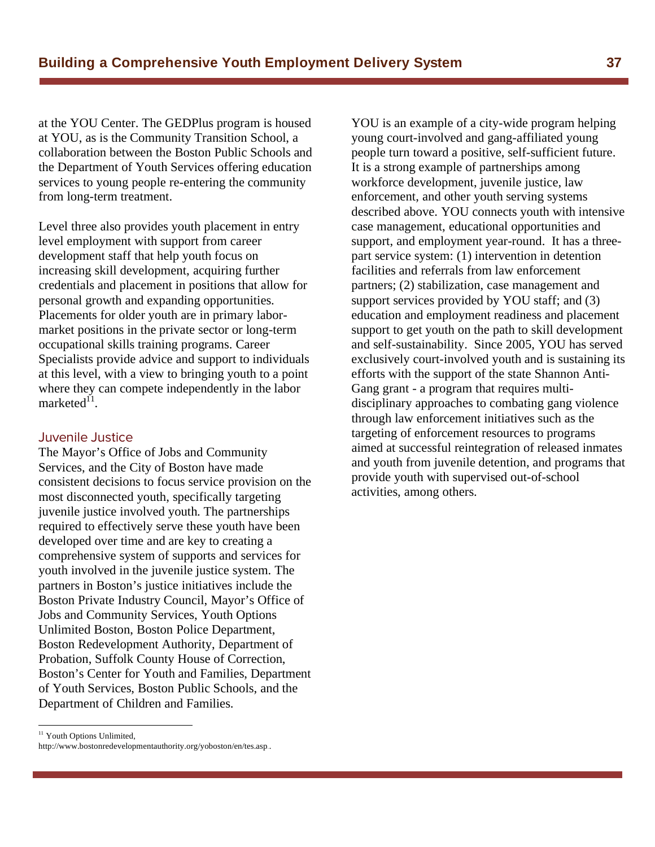at the YOU Center. The GEDPlus program is housed at YOU, as is the Community Transition School, a collaboration between the Boston Public Schools and the Department of Youth Services offering education services to young people re-entering the community from long-term treatment.

Level three also provides youth placement in entry level employment with support from career development staff that help youth focus on increasing skill development, acquiring further credentials and placement in positions that allow for personal growth and expanding opportunities. Placements for older youth are in primary labormarket positions in the private sector or long-term occupational skills training programs. Career Specialists provide advice and support to individuals at this level, with a view to bringing youth to a point where they can compete independently in the labor marketed $^{11}$ .

#### Juvenile Justice

The Mayor's Office of Jobs and Community Services, and the City of Boston have made consistent decisions to focus service provision on the most disconnected youth, specifically targeting juvenile justice involved youth. The partnerships required to effectively serve these youth have been developed over time and are key to creating a comprehensive system of supports and services for youth involved in the juvenile justice system. The partners in Boston's justice initiatives include the Boston Private Industry Council, Mayor's Office of Jobs and Community Services, Youth Options Unlimited Boston, Boston Police Department, Boston Redevelopment Authority, Department of Probation, Suffolk County House of Correction, Boston's Center for Youth and Families, Department of Youth Services, Boston Public Schools, and the Department of Children and Families.

YOU is an example of a city-wide program helping young court-involved and gang-affiliated young people turn toward a positive, self-sufficient future. It is a strong example of partnerships among workforce development, juvenile justice, law enforcement, and other youth serving systems described above. YOU connects youth with intensive case management, educational opportunities and support, and employment year-round. It has a threepart service system: (1) intervention in detention facilities and referrals from law enforcement partners; (2) stabilization, case management and support services provided by YOU staff; and (3) education and employment readiness and placement support to get youth on the path to skill development and self-sustainability. Since 2005, YOU has served exclusively court-involved youth and is sustaining its efforts with the support of the state Shannon Anti-Gang grant - a program that requires multidisciplinary approaches to combating gang violence through law enforcement initiatives such as the targeting of enforcement resources to programs aimed at successful reintegration of released inmates and youth from juvenile detention, and programs that provide youth with supervised out-of-school activities, among others.

<sup>&</sup>lt;sup>11</sup> Youth Options Unlimited,

http://www.bostonredevelopmentauthority.org/yoboston/en/tes.asp...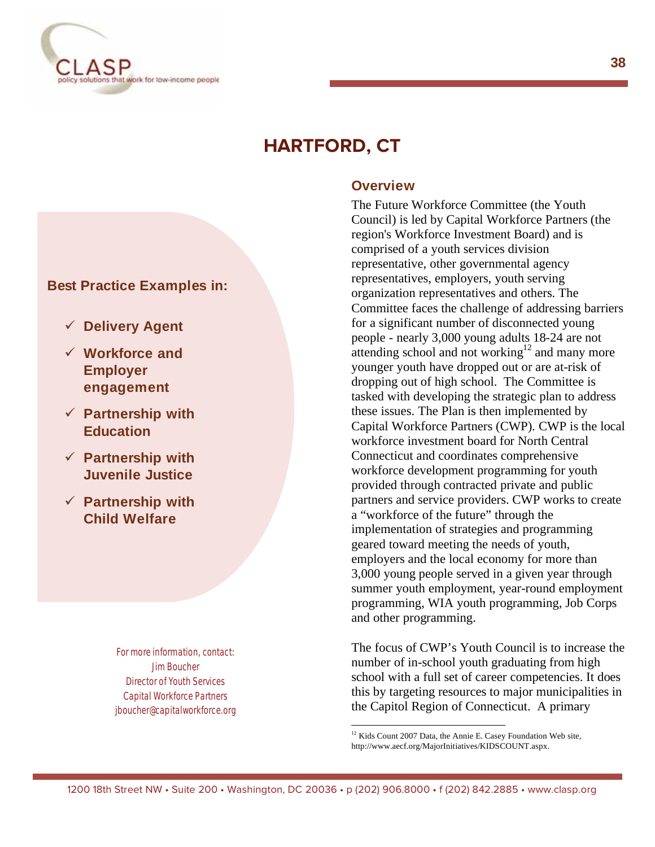

# **HARTFORD, CT**

#### **Best Practice Examples in:**

- **Delivery Agent**
- **Workforce and Employer engagement**
- **Partnership with Education**
- **Partnership with Juvenile Justice**
- **Partnership with Child Welfare**

 For more information, contact: Jim Boucher Director of Youth Services Capital Workforce Partners jboucher@capitalworkforce.org

#### **Overview**

The Future Workforce Committee (the Youth Council) is led by Capital Workforce Partners (the region's Workforce Investment Board) and is comprised of a youth services division representative, other governmental agency representatives, employers, youth serving organization representatives and others. The Committee faces the challenge of addressing barriers for a significant number of disconnected young people - nearly 3,000 young adults 18-24 are not attending school and not working $12$  and many more younger youth have dropped out or are at-risk of dropping out of high school. The Committee is tasked with developing the strategic plan to address these issues. The Plan is then implemented by Capital Workforce Partners (CWP). CWP is the local workforce investment board for North Central Connecticut and coordinates comprehensive workforce development programming for youth provided through contracted private and public partners and service providers. CWP works to create a "workforce of the future" through the implementation of strategies and programming geared toward meeting the needs of youth, employers and the local economy for more than 3,000 young people served in a given year through summer youth employment, year-round employment programming, WIA youth programming, Job Corps and other programming.

The focus of CWP's Youth Council is to increase the number of in-school youth graduating from high school with a full set of career competencies. It does this by targeting resources to major municipalities in the Capitol Region of Connecticut. A primary

 $12$  Kids Count 2007 Data, the Annie E. Casey Foundation Web site, http://www.aecf.org/MajorInitiatives/KIDSCOUNT.aspx.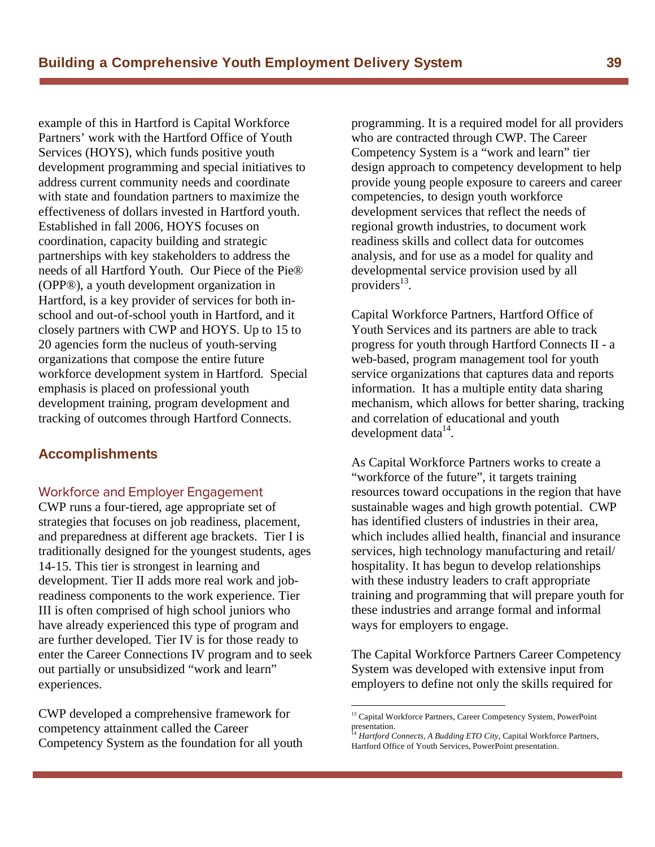example of this in Hartford is Capital Workforce Partners' work with the Hartford Office of Youth Services (HOYS), which funds positive youth development programming and special initiatives to address current community needs and coordinate with state and foundation partners to maximize the effectiveness of dollars invested in Hartford youth. Established in fall 2006, HOYS focuses on coordination, capacity building and strategic partnerships with key stakeholders to address the needs of all Hartford Youth. Our Piece of the Pie® (OPP®), a youth development organization in Hartford, is a key provider of services for both inschool and out-of-school youth in Hartford, and it closely partners with CWP and HOYS. Up to 15 to 20 agencies form the nucleus of youth-serving organizations that compose the entire future workforce development system in Hartford. Special emphasis is placed on professional youth development training, program development and tracking of outcomes through Hartford Connects.

#### **Accomplishments**

#### Workforce and Employer Engagement

CWP runs a four-tiered, age appropriate set of strategies that focuses on job readiness, placement, and preparedness at different age brackets. Tier I is traditionally designed for the youngest students, ages 14-15. This tier is strongest in learning and development. Tier II adds more real work and jobreadiness components to the work experience. Tier III is often comprised of high school juniors who have already experienced this type of program and are further developed. Tier IV is for those ready to enter the Career Connections IV program and to seek out partially or unsubsidized "work and learn" experiences.

CWP developed a comprehensive framework for competency attainment called the Career Competency System as the foundation for all youth programming. It is a required model for all providers who are contracted through CWP. The Career Competency System is a "work and learn" tier design approach to competency development to help provide young people exposure to careers and career competencies, to design youth workforce development services that reflect the needs of regional growth industries, to document work readiness skills and collect data for outcomes analysis, and for use as a model for quality and developmental service provision used by all providers $^{13}$ .

Capital Workforce Partners, Hartford Office of Youth Services and its partners are able to track progress for youth through Hartford Connects II - a web-based, program management tool for youth service organizations that captures data and reports information. It has a multiple entity data sharing mechanism, which allows for better sharing, tracking and correlation of educational and youth development data $14$ .

As Capital Workforce Partners works to create a "workforce of the future", it targets training resources toward occupations in the region that have sustainable wages and high growth potential. CWP has identified clusters of industries in their area, which includes allied health, financial and insurance services, high technology manufacturing and retail/ hospitality. It has begun to develop relationships with these industry leaders to craft appropriate training and programming that will prepare youth for these industries and arrange formal and informal ways for employers to engage.

The Capital Workforce Partners Career Competency System was developed with extensive input from employers to define not only the skills required for

<sup>&</sup>lt;sup>13</sup> Capital Workforce Partners, Career Competency System, PowerPoint presentation.<br> $\frac{14}{14}$  *H* 

Hartford Connects, A Budding ETO City, Capital Workforce Partners, Hartford Office of Youth Services, PowerPoint presentation.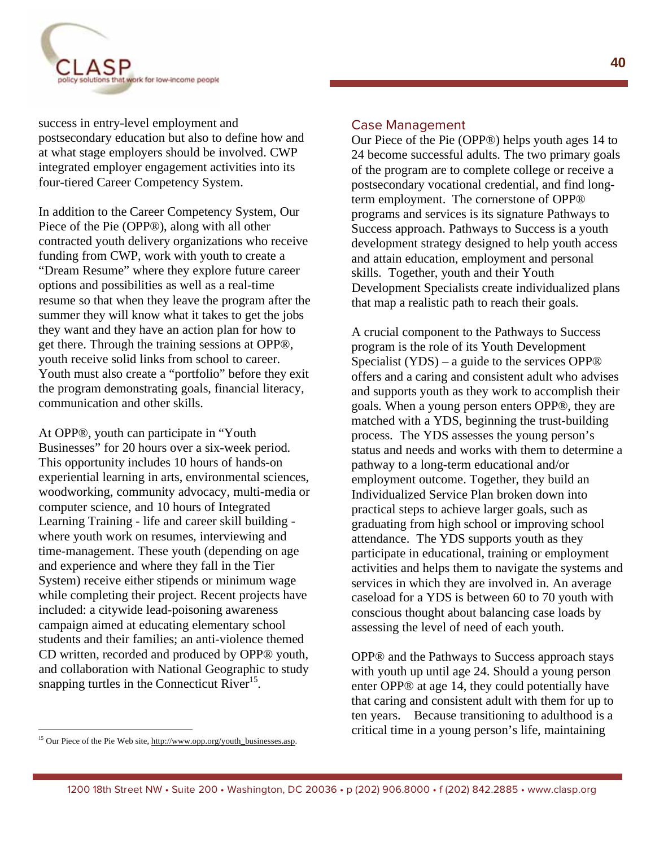

success in entry-level employment and postsecondary education but also to define how and at what stage employers should be involved. CWP integrated employer engagement activities into its four-tiered Career Competency System.

In addition to the Career Competency System, Our Piece of the Pie (OPP®), along with all other contracted youth delivery organizations who receive funding from CWP, work with youth to create a "Dream Resume" where they explore future career options and possibilities as well as a real-time resume so that when they leave the program after the summer they will know what it takes to get the jobs they want and they have an action plan for how to get there. Through the training sessions at OPP®, youth receive solid links from school to career. Youth must also create a "portfolio" before they exit the program demonstrating goals, financial literacy, communication and other skills.

At OPP®, youth can participate in "Youth Businesses" for 20 hours over a six-week period. This opportunity includes 10 hours of hands-on experiential learning in arts, environmental sciences, woodworking, community advocacy, multi-media or computer science, and 10 hours of Integrated Learning Training - life and career skill building where youth work on resumes, interviewing and time-management. These youth (depending on age and experience and where they fall in the Tier System) receive either stipends or minimum wage while completing their project. Recent projects have included: a citywide lead-poisoning awareness campaign aimed at educating elementary school students and their families; an anti-violence themed CD written, recorded and produced by OPP® youth, and collaboration with National Geographic to study snapping turtles in the Connecticut River $1<sup>5</sup>$ .

Our Piece of the Pie (OPP®) helps youth ages 14 to 24 become successful adults. The two primary goals of the program are to complete college or receive a postsecondary vocational credential, and find longterm employment. The cornerstone of OPP® programs and services is its signature Pathways to Success approach. Pathways to Success is a youth development strategy designed to help youth access and attain education, employment and personal skills. Together, youth and their Youth Development Specialists create individualized plans that map a realistic path to reach their goals.

A crucial component to the Pathways to Success program is the role of its Youth Development Specialist (YDS) – a guide to the services OPP® offers and a caring and consistent adult who advises and supports youth as they work to accomplish their goals. When a young person enters OPP®, they are matched with a YDS, beginning the trust-building process. The YDS assesses the young person's status and needs and works with them to determine a pathway to a long-term educational and/or employment outcome. Together, they build an Individualized Service Plan broken down into practical steps to achieve larger goals, such as graduating from high school or improving school attendance. The YDS supports youth as they participate in educational, training or employment activities and helps them to navigate the systems and services in which they are involved in. An average caseload for a YDS is between 60 to 70 youth with conscious thought about balancing case loads by assessing the level of need of each youth.

OPP® and the Pathways to Success approach stays with youth up until age 24. Should a young person enter OPP® at age 14, they could potentially have that caring and consistent adult with them for up to ten years. Because transitioning to adulthood is a critical time in a young person's life, maintaining

<sup>&</sup>lt;sup>15</sup> Our Piece of the Pie Web site, http://www.opp.org/youth\_businesses.asp.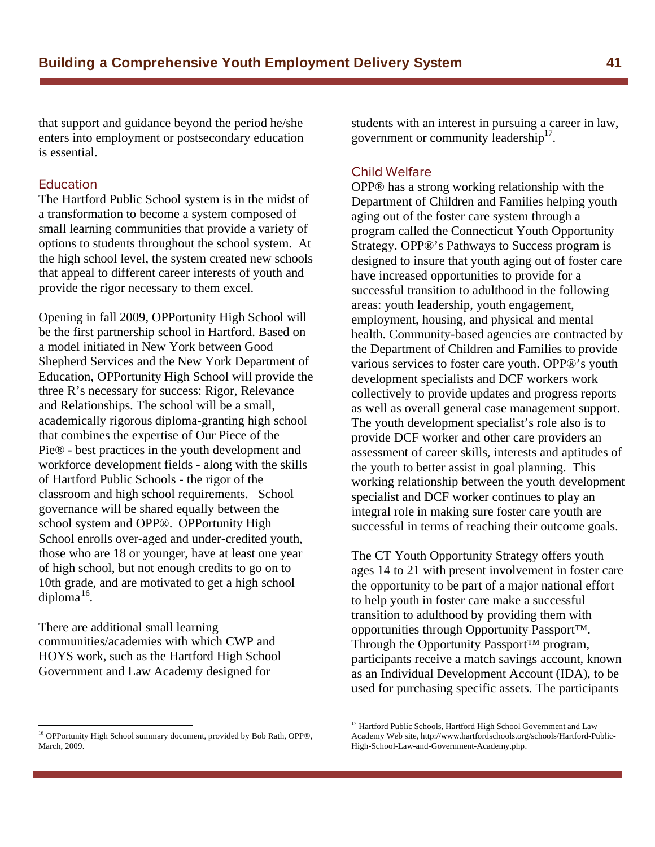that support and guidance beyond the period he/she enters into employment or postsecondary education is essential.

#### Education

The Hartford Public School system is in the midst of a transformation to become a system composed of small learning communities that provide a variety of options to students throughout the school system. At the high school level, the system created new schools that appeal to different career interests of youth and provide the rigor necessary to them excel.

Opening in fall 2009, OPPortunity High School will be the first partnership school in Hartford. Based on a model initiated in New York between Good Shepherd Services and the New York Department of Education, OPPortunity High School will provide the three R's necessary for success: Rigor, Relevance and Relationships. The school will be a small, academically rigorous diploma-granting high school that combines the expertise of Our Piece of the Pie® - best practices in the youth development and workforce development fields - along with the skills of Hartford Public Schools - the rigor of the classroom and high school requirements. School governance will be shared equally between the school system and OPP®. OPPortunity High School enrolls over-aged and under-credited youth, those who are 18 or younger, have at least one year of high school, but not enough credits to go on to 10th grade, and are motivated to get a high school diploma<sup>16</sup>.

There are additional small learning communities/academies with which CWP and HOYS work, such as the Hartford High School Government and Law Academy designed for

 $\overline{a}$ 

students with an interest in pursuing a career in law, government or community leadership $17$ .

OPP® has a strong working relationship with the Department of Children and Families helping youth aging out of the foster care system through a program called the Connecticut Youth Opportunity Strategy. OPP®'s Pathways to Success program is designed to insure that youth aging out of foster care have increased opportunities to provide for a successful transition to adulthood in the following areas: youth leadership, youth engagement, employment, housing, and physical and mental health. Community-based agencies are contracted by the Department of Children and Families to provide various services to foster care youth. OPP®'s youth development specialists and DCF workers work collectively to provide updates and progress reports as well as overall general case management support. The youth development specialist's role also is to provide DCF worker and other care providers an assessment of career skills, interests and aptitudes of the youth to better assist in goal planning. This working relationship between the youth development specialist and DCF worker continues to play an integral role in making sure foster care youth are successful in terms of reaching their outcome goals.

The CT Youth Opportunity Strategy offers youth ages 14 to 21 with present involvement in foster care the opportunity to be part of a major national effort to help youth in foster care make a successful transition to adulthood by providing them with opportunities through Opportunity Passport™. Through the Opportunity Passport<sup>™</sup> program, participants receive a match savings account, known as an Individual Development Account (IDA), to be used for purchasing specific assets. The participants

<sup>&</sup>lt;sup>16</sup> OPPortunity High School summary document, provided by Bob Rath, OPP®, March, 2009.

<sup>&</sup>lt;sup>17</sup> Hartford Public Schools, Hartford High School Government and Law Academy Web site, http://www.hartfordschools.org/schools/Hartford-Public-High-School-Law-and-Government-Academy.php.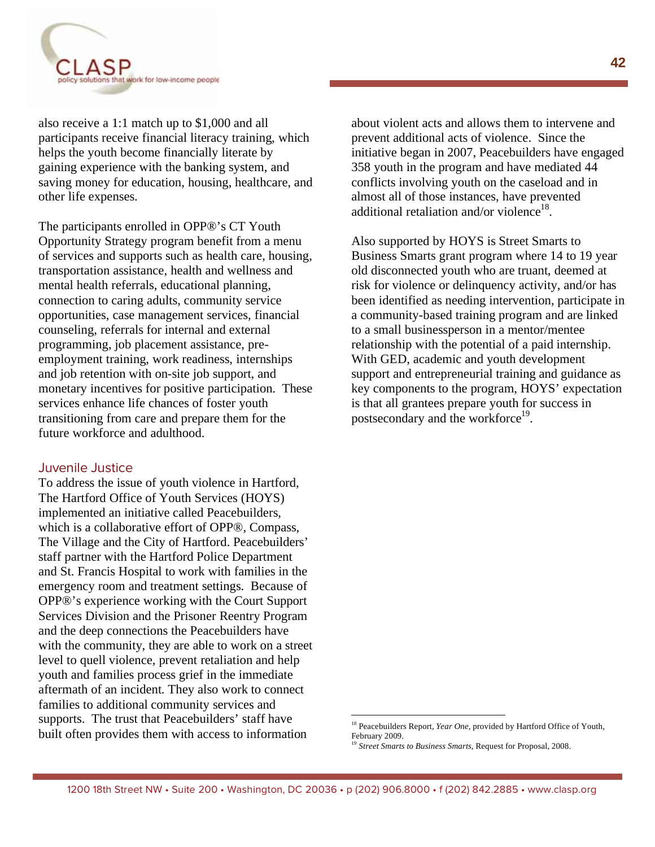

also receive a 1:1 match up to \$1,000 and all participants receive financial literacy training, which helps the youth become financially literate by gaining experience with the banking system, and saving money for education, housing, healthcare, and other life expenses.

The participants enrolled in OPP®'s CT Youth Opportunity Strategy program benefit from a menu of services and supports such as health care, housing, transportation assistance, health and wellness and mental health referrals, educational planning, connection to caring adults, community service opportunities, case management services, financial counseling, referrals for internal and external programming, job placement assistance, preemployment training, work readiness, internships and job retention with on-site job support, and monetary incentives for positive participation. These services enhance life chances of foster youth transitioning from care and prepare them for the future workforce and adulthood.

#### Juvenile Justice

To address the issue of youth violence in Hartford, The Hartford Office of Youth Services (HOYS) implemented an initiative called Peacebuilders, which is a collaborative effort of OPP®, Compass, The Village and the City of Hartford. Peacebuilders' staff partner with the Hartford Police Department and St. Francis Hospital to work with families in the emergency room and treatment settings. Because of OPP®'s experience working with the Court Support Services Division and the Prisoner Reentry Program and the deep connections the Peacebuilders have with the community, they are able to work on a street level to quell violence, prevent retaliation and help youth and families process grief in the immediate aftermath of an incident. They also work to connect families to additional community services and supports. The trust that Peacebuilders' staff have built often provides them with access to information

about violent acts and allows them to intervene and prevent additional acts of violence. Since the initiative began in 2007, Peacebuilders have engaged 358 youth in the program and have mediated 44 conflicts involving youth on the caseload and in almost all of those instances, have prevented additional retaliation and/or violence<sup>18</sup>.

Also supported by HOYS is Street Smarts to Business Smarts grant program where 14 to 19 year old disconnected youth who are truant, deemed at risk for violence or delinquency activity, and/or has been identified as needing intervention, participate in a community-based training program and are linked to a small businessperson in a mentor/mentee relationship with the potential of a paid internship. With GED, academic and youth development support and entrepreneurial training and guidance as key components to the program, HOYS' expectation is that all grantees prepare youth for success in postsecondary and the workforce<sup>19</sup>.

<sup>&</sup>lt;sup>18</sup> Peacebuilders Report, *Year One*, provided by Hartford Office of Youth, February 2009.

<sup>&</sup>lt;sup>19</sup> Street Smarts to Business Smarts, Request for Proposal, 2008.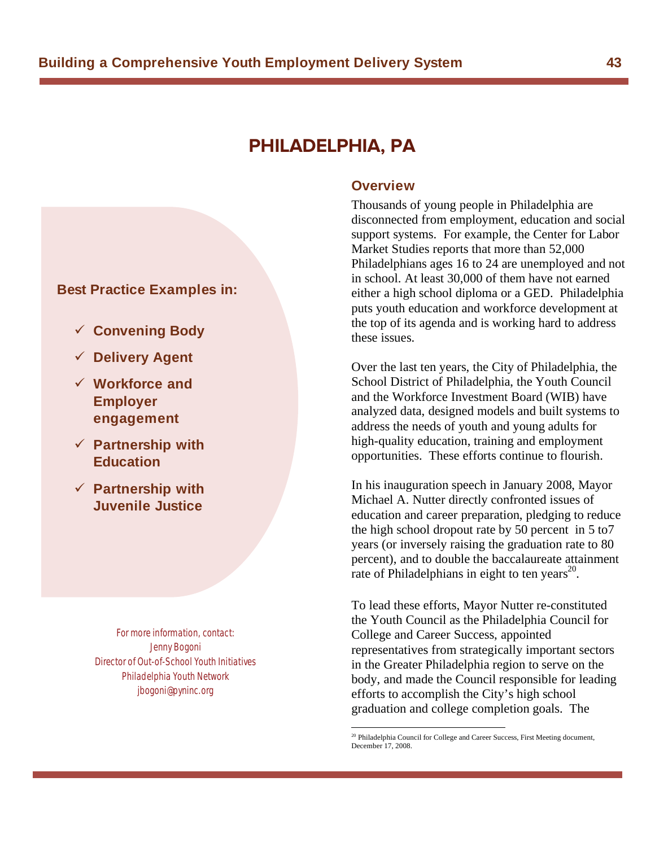## **PHILADELPHIA, PA**

#### **Best Practice Examples in:**

- **Convening Body**
- **Delivery Agent**
- **Workforce and Employer engagement**
- **Partnership with Education**
- **Partnership with Juvenile Justice**

 For more information, contact: Jenny Bogoni Director of Out-of-School Youth Initiatives Philadelphia Youth Network jbogoni@pyninc.org

#### **Overview**

Thousands of young people in Philadelphia are disconnected from employment, education and social support systems. For example, the Center for Labor Market Studies reports that more than 52,000 Philadelphians ages 16 to 24 are unemployed and not in school. At least 30,000 of them have not earned either a high school diploma or a GED. Philadelphia puts youth education and workforce development at the top of its agenda and is working hard to address these issues.

Over the last ten years, the City of Philadelphia, the School District of Philadelphia, the Youth Council and the Workforce Investment Board (WIB) have analyzed data, designed models and built systems to address the needs of youth and young adults for high-quality education, training and employment opportunities. These efforts continue to flourish.

In his inauguration speech in January 2008, Mayor Michael A. Nutter directly confronted issues of education and career preparation, pledging to reduce the high school dropout rate by 50 percent in 5 to7 years (or inversely raising the graduation rate to 80 percent), and to double the baccalaureate attainment rate of Philadelphians in eight to ten years $^{20}$ .

To lead these efforts, Mayor Nutter re-constituted the Youth Council as the Philadelphia Council for College and Career Success, appointed representatives from strategically important sectors in the Greater Philadelphia region to serve on the body, and made the Council responsible for leading efforts to accomplish the City's high school graduation and college completion goals. The

<sup>&</sup>lt;sup>20</sup> Philadelphia Council for College and Career Success, First Meeting document, December 17, 2008.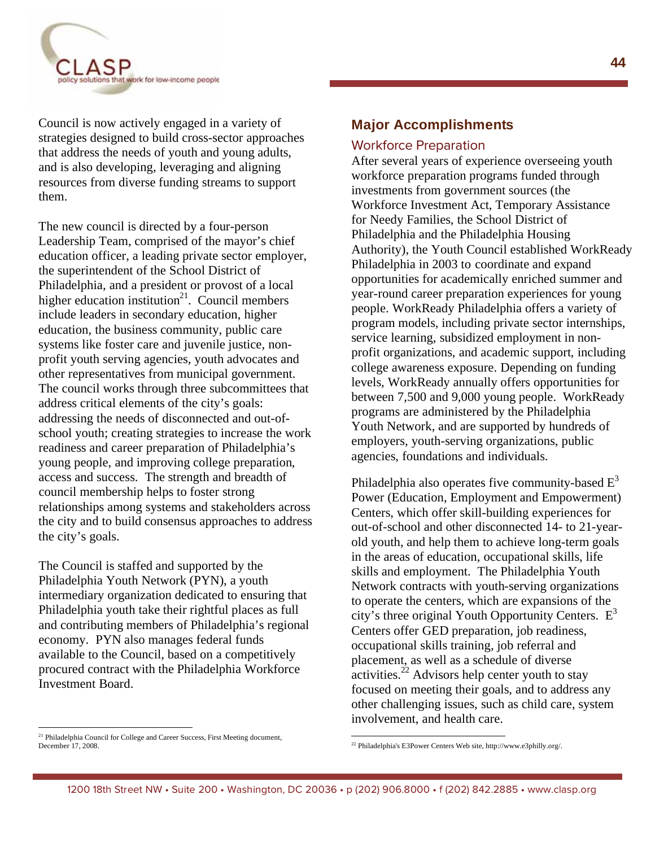

Council is now actively engaged in a variety of strategies designed to build cross-sector approaches that address the needs of youth and young adults, and is also developing, leveraging and aligning resources from diverse funding streams to support them.

The new council is directed by a four-person Leadership Team, comprised of the mayor's chief education officer, a leading private sector employer, the superintendent of the School District of Philadelphia, and a president or provost of a local higher education institution<sup>21</sup>. Council members include leaders in secondary education, higher education, the business community, public care systems like foster care and juvenile justice, nonprofit youth serving agencies, youth advocates and other representatives from municipal government. The council works through three subcommittees that address critical elements of the city's goals: addressing the needs of disconnected and out-ofschool youth; creating strategies to increase the work readiness and career preparation of Philadelphia's young people, and improving college preparation, access and success. The strength and breadth of council membership helps to foster strong relationships among systems and stakeholders across the city and to build consensus approaches to address the city's goals.

The Council is staffed and supported by the Philadelphia Youth Network (PYN), a youth intermediary organization dedicated to ensuring that Philadelphia youth take their rightful places as full and contributing members of Philadelphia's regional economy. PYN also manages federal funds available to the Council, based on a competitively procured contract with the Philadelphia Workforce Investment Board.

#### **Major Accomplishments**

After several years of experience overseeing youth workforce preparation programs funded through investments from government sources (the Workforce Investment Act, Temporary Assistance for Needy Families, the School District of Philadelphia and the Philadelphia Housing Authority), the Youth Council established WorkReady Philadelphia in 2003 to coordinate and expand opportunities for academically enriched summer and year-round career preparation experiences for young people. WorkReady Philadelphia offers a variety of program models, including private sector internships, service learning, subsidized employment in nonprofit organizations, and academic support, including college awareness exposure. Depending on funding levels, WorkReady annually offers opportunities for between 7,500 and 9,000 young people. WorkReady programs are administered by the Philadelphia Youth Network, and are supported by hundreds of employers, youth-serving organizations, public agencies, foundations and individuals.

Philadelphia also operates five community-based  $E<sup>3</sup>$ Power (Education, Employment and Empowerment) Centers, which offer skill-building experiences for out-of-school and other disconnected 14- to 21-yearold youth, and help them to achieve long-term goals in the areas of education, occupational skills, life skills and employment. The Philadelphia Youth Network contracts with youth-serving organizations to operate the centers, which are expansions of the city's three original Youth Opportunity Centers.  $E<sup>3</sup>$ Centers offer GED preparation, job readiness, occupational skills training, job referral and placement, as well as a schedule of diverse activities.<sup>22</sup> Advisors help center youth to stay focused on meeting their goals, and to address any other challenging issues, such as child care, system involvement, and health care.

<sup>&</sup>lt;sup>21</sup> Philadelphia Council for College and Career Success, First Meeting document, December 17, 2008.

 22 Philadelphia's E3Power Centers Web site, http://www.e3philly.org/.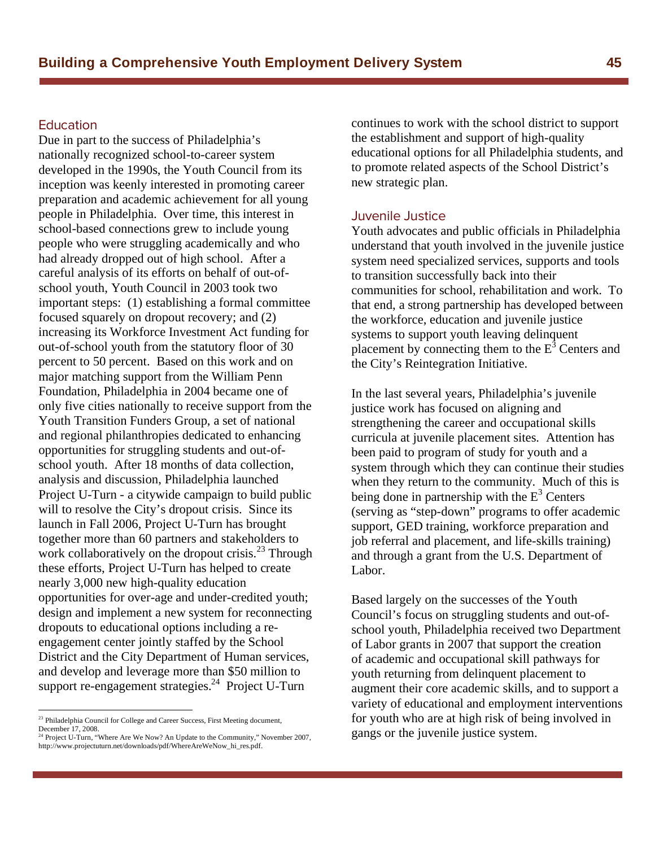#### Education

Due in part to the success of Philadelphia's nationally recognized school-to-career system developed in the 1990s, the Youth Council from its inception was keenly interested in promoting career preparation and academic achievement for all young people in Philadelphia. Over time, this interest in school-based connections grew to include young people who were struggling academically and who had already dropped out of high school. After a careful analysis of its efforts on behalf of out-ofschool youth, Youth Council in 2003 took two important steps: (1) establishing a formal committee focused squarely on dropout recovery; and (2) increasing its Workforce Investment Act funding for out-of-school youth from the statutory floor of 30 percent to 50 percent. Based on this work and on major matching support from the William Penn Foundation, Philadelphia in 2004 became one of only five cities nationally to receive support from the Youth Transition Funders Group, a set of national and regional philanthropies dedicated to enhancing opportunities for struggling students and out-ofschool youth. After 18 months of data collection, analysis and discussion, Philadelphia launched Project U-Turn - a citywide campaign to build public will to resolve the City's dropout crisis. Since its launch in Fall 2006, Project U-Turn has brought together more than 60 partners and stakeholders to work collaboratively on the dropout crisis.<sup>23</sup> Through these efforts, Project U-Turn has helped to create nearly 3,000 new high-quality education opportunities for over-age and under-credited youth; design and implement a new system for reconnecting dropouts to educational options including a reengagement center jointly staffed by the School District and the City Department of Human services, and develop and leverage more than \$50 million to support re-engagement strategies.<sup>24</sup> Project U-Turn

1

continues to work with the school district to support the establishment and support of high-quality educational options for all Philadelphia students, and to promote related aspects of the School District's new strategic plan.

Youth advocates and public officials in Philadelphia understand that youth involved in the juvenile justice system need specialized services, supports and tools to transition successfully back into their communities for school, rehabilitation and work. To that end, a strong partnership has developed between the workforce, education and juvenile justice systems to support youth leaving delinquent placement by connecting them to the  $E^3$  Centers and the City's Reintegration Initiative.

In the last several years, Philadelphia's juvenile justice work has focused on aligning and strengthening the career and occupational skills curricula at juvenile placement sites. Attention has been paid to program of study for youth and a system through which they can continue their studies when they return to the community. Much of this is being done in partnership with the  $E^3$  Centers (serving as "step-down" programs to offer academic support, GED training, workforce preparation and job referral and placement, and life-skills training) and through a grant from the U.S. Department of Labor.

Based largely on the successes of the Youth Council's focus on struggling students and out-ofschool youth, Philadelphia received two Department of Labor grants in 2007 that support the creation of academic and occupational skill pathways for youth returning from delinquent placement to augment their core academic skills, and to support a variety of educational and employment interventions for youth who are at high risk of being involved in gangs or the juvenile justice system.

<sup>&</sup>lt;sup>23</sup> Philadelphia Council for College and Career Success, First Meeting document, December 17, 2008.

<sup>&</sup>lt;sup>24</sup> Project U-Turn, "Where Are We Now? An Update to the Community," November 2007, http://www.projectuturn.net/downloads/pdf/WhereAreWeNow\_hi\_res.pdf.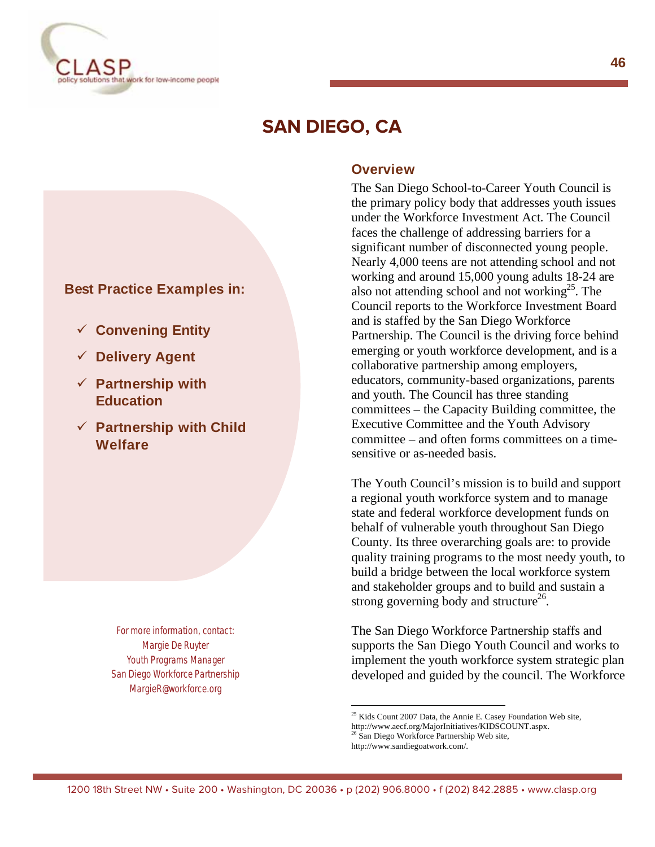

# **SAN DIEGO, CA**

#### **Best Practice Examples in:**

- **Convening Entity**
- **Delivery Agent**
- **Partnership with Education**
- **Partnership with Child Welfare**

For more information, contact: Margie De Ruyter Youth Programs Manager San Diego Workforce Partnership MargieR@workforce.org

#### **Overview**

The San Diego School-to-Career Youth Council is the primary policy body that addresses youth issues under the Workforce Investment Act. The Council faces the challenge of addressing barriers for a significant number of disconnected young people. Nearly 4,000 teens are not attending school and not working and around 15,000 young adults 18-24 are also not attending school and not working<sup>25</sup>. The Council reports to the Workforce Investment Board and is staffed by the San Diego Workforce Partnership. The Council is the driving force behind emerging or youth workforce development, and is a collaborative partnership among employers, educators, community-based organizations, parents and youth. The Council has three standing committees – the Capacity Building committee, the Executive Committee and the Youth Advisory committee – and often forms committees on a timesensitive or as-needed basis.

The Youth Council's mission is to build and support a regional youth workforce system and to manage state and federal workforce development funds on behalf of vulnerable youth throughout San Diego County. Its three overarching goals are: to provide quality training programs to the most needy youth, to build a bridge between the local workforce system and stakeholder groups and to build and sustain a strong governing body and structure<sup>26</sup>.

The San Diego Workforce Partnership staffs and supports the San Diego Youth Council and works to implement the youth workforce system strategic plan developed and guided by the council. The Workforce

http://www.aecf.org/MajorInitiatives/KIDSCOUNT.aspx.

http://www.sandiegoatwork.com/.

<sup>&</sup>lt;sup>25</sup> Kids Count 2007 Data, the Annie E. Casey Foundation Web site,

<sup>&</sup>lt;sup>26</sup> San Diego Workforce Partnership Web site,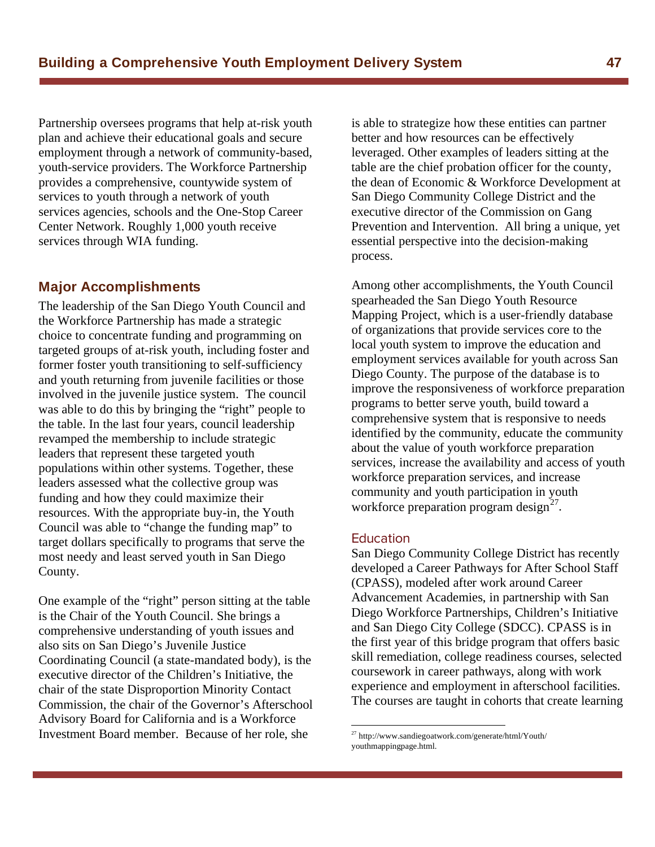Partnership oversees programs that help at-risk youth plan and achieve their educational goals and secure employment through a network of community-based, youth-service providers. The Workforce Partnership provides a comprehensive, countywide system of services to youth through a network of youth services agencies, schools and the One-Stop Career Center Network. Roughly 1,000 youth receive services through WIA funding.

#### **Major Accomplishments**

The leadership of the San Diego Youth Council and the Workforce Partnership has made a strategic choice to concentrate funding and programming on targeted groups of at-risk youth, including foster and former foster youth transitioning to self-sufficiency and youth returning from juvenile facilities or those involved in the juvenile justice system. The council was able to do this by bringing the "right" people to the table. In the last four years, council leadership revamped the membership to include strategic leaders that represent these targeted youth populations within other systems. Together, these leaders assessed what the collective group was funding and how they could maximize their resources. With the appropriate buy-in, the Youth Council was able to "change the funding map" to target dollars specifically to programs that serve the most needy and least served youth in San Diego County.

One example of the "right" person sitting at the table is the Chair of the Youth Council. She brings a comprehensive understanding of youth issues and also sits on San Diego's Juvenile Justice Coordinating Council (a state-mandated body), is the executive director of the Children's Initiative, the chair of the state Disproportion Minority Contact Commission, the chair of the Governor's Afterschool Advisory Board for California and is a Workforce Investment Board member. Because of her role, she

is able to strategize how these entities can partner better and how resources can be effectively leveraged. Other examples of leaders sitting at the table are the chief probation officer for the county, the dean of Economic & Workforce Development at San Diego Community College District and the executive director of the Commission on Gang Prevention and Intervention. All bring a unique, yet essential perspective into the decision-making process.

Among other accomplishments, the Youth Council spearheaded the San Diego Youth Resource Mapping Project, which is a user-friendly database of organizations that provide services core to the local youth system to improve the education and employment services available for youth across San Diego County. The purpose of the database is to improve the responsiveness of workforce preparation programs to better serve youth, build toward a comprehensive system that is responsive to needs identified by the community, educate the community about the value of youth workforce preparation services, increase the availability and access of youth workforce preparation services, and increase community and youth participation in youth workforce preparation program design $2^7$ .

 $\overline{a}$ 

Education San Diego Community College District has recently developed a Career Pathways for After School Staff (CPASS), modeled after work around Career Advancement Academies, in partnership with San Diego Workforce Partnerships, Children's Initiative and San Diego City College (SDCC). CPASS is in the first year of this bridge program that offers basic skill remediation, college readiness courses, selected coursework in career pathways, along with work experience and employment in afterschool facilities. The courses are taught in cohorts that create learning

 $^{27}$  http://www.sandiegoatwork.com/generate/html/Youth/ youthmappingpage.html.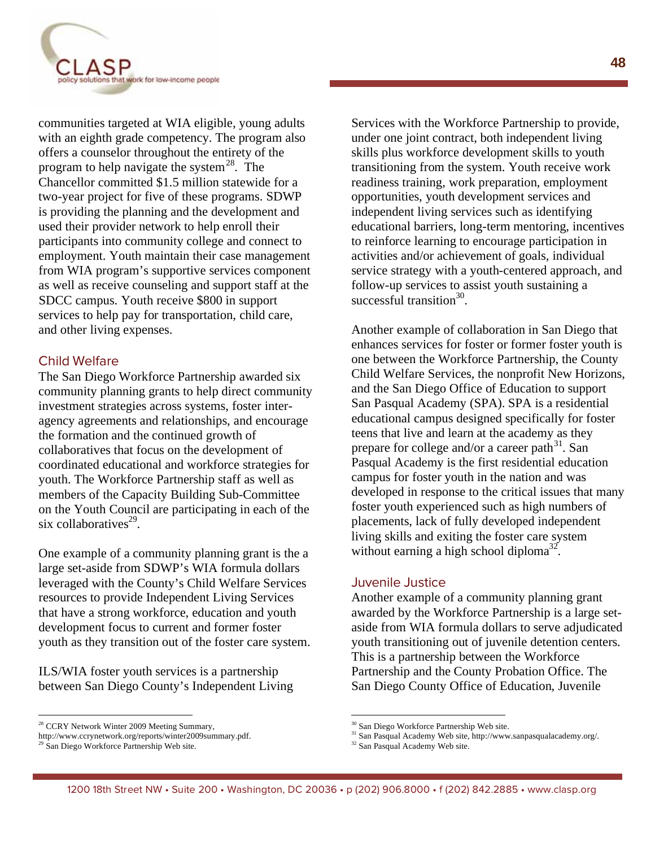

communities targeted at WIA eligible, young adults with an eighth grade competency. The program also offers a counselor throughout the entirety of the program to help navigate the system<sup>28</sup>. The Chancellor committed \$1.5 million statewide for a two-year project for five of these programs. SDWP is providing the planning and the development and used their provider network to help enroll their participants into community college and connect to employment. Youth maintain their case management from WIA program's supportive services component as well as receive counseling and support staff at the SDCC campus. Youth receive \$800 in support services to help pay for transportation, child care, and other living expenses.

#### **Child Welfare**

The San Diego Workforce Partnership awarded six community planning grants to help direct community investment strategies across systems, foster interagency agreements and relationships, and encourage the formation and the continued growth of collaboratives that focus on the development of coordinated educational and workforce strategies for youth. The Workforce Partnership staff as well as members of the Capacity Building Sub-Committee on the Youth Council are participating in each of the six collaboratives $^{29}$ .

One example of a community planning grant is the a large set-aside from SDWP's WIA formula dollars leveraged with the County's Child Welfare Services resources to provide Independent Living Services that have a strong workforce, education and youth development focus to current and former foster youth as they transition out of the foster care system.

ILS/WIA foster youth services is a partnership between San Diego County's Independent Living

 $\overline{a}$ 

Services with the Workforce Partnership to provide, under one joint contract, both independent living skills plus workforce development skills to youth transitioning from the system. Youth receive work readiness training, work preparation, employment opportunities, youth development services and independent living services such as identifying educational barriers, long-term mentoring, incentives to reinforce learning to encourage participation in activities and/or achievement of goals, individual service strategy with a youth-centered approach, and follow-up services to assist youth sustaining a successful transition $30$ .

Another example of collaboration in San Diego that enhances services for foster or former foster youth is one between the Workforce Partnership, the County Child Welfare Services, the nonprofit New Horizons, and the San Diego Office of Education to support San Pasqual Academy (SPA). SPA is a residential educational campus designed specifically for foster teens that live and learn at the academy as they prepare for college and/or a career path<sup>31</sup>. San Pasqual Academy is the first residential education campus for foster youth in the nation and was developed in response to the critical issues that many foster youth experienced such as high numbers of placements, lack of fully developed independent living skills and exiting the foster care system without earning a high school diploma<sup>32</sup>.

Another example of a community planning grant awarded by the Workforce Partnership is a large setaside from WIA formula dollars to serve adjudicated youth transitioning out of juvenile detention centers. This is a partnership between the Workforce Partnership and the County Probation Office. The San Diego County Office of Education, Juvenile

<sup>&</sup>lt;sup>28</sup> CCRY Network Winter 2009 Meeting Summary,

http://www.ccrynetwork.org/reports/winter2009summary.pdf.

<sup>&</sup>lt;sup>29</sup> San Diego Workforce Partnership Web site.

<sup>30</sup> San Diego Workforce Partnership Web site.

<sup>31</sup> San Pasqual Academy Web site, http://www.sanpasqualacademy.org/.

<sup>&</sup>lt;sup>32</sup> San Pasqual Academy Web site.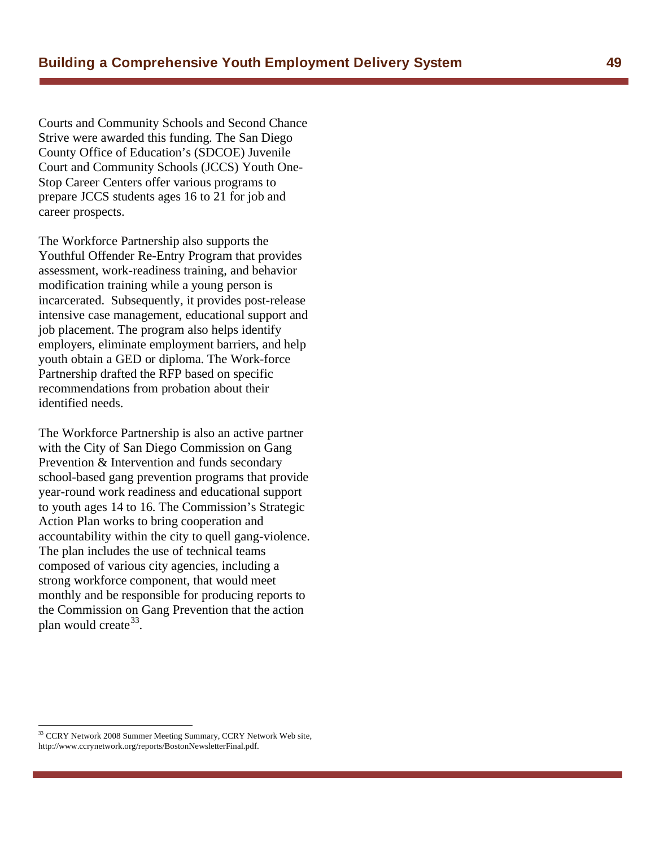Courts and Community Schools and Second Chance Strive were awarded this funding. The San Diego County Office of Education's (SDCOE) Juvenile Court and Community Schools (JCCS) Youth One-Stop Career Centers offer various programs to prepare JCCS students ages 16 to 21 for job and career prospects.

The Workforce Partnership also supports the Youthful Offender Re-Entry Program that provides assessment, work-readiness training, and behavior modification training while a young person is incarcerated. Subsequently, it provides post-release intensive case management, educational support and job placement. The program also helps identify employers, eliminate employment barriers, and help youth obtain a GED or diploma. The Work-force Partnership drafted the RFP based on specific recommendations from probation about their identified needs.

The Workforce Partnership is also an active partner with the City of San Diego Commission on Gang Prevention & Intervention and funds secondary school-based gang prevention programs that provide year-round work readiness and educational support to youth ages 14 to 16. The Commission's Strategic Action Plan works to bring cooperation and accountability within the city to quell gang-violence. The plan includes the use of technical teams composed of various city agencies, including a strong workforce component, that would meet monthly and be responsible for producing reports to the Commission on Gang Prevention that the action plan would create  $33$ .

<sup>&</sup>lt;sup>33</sup> CCRY Network 2008 Summer Meeting Summary, CCRY Network Web site, http://www.ccrynetwork.org/reports/BostonNewsletterFinal.pdf.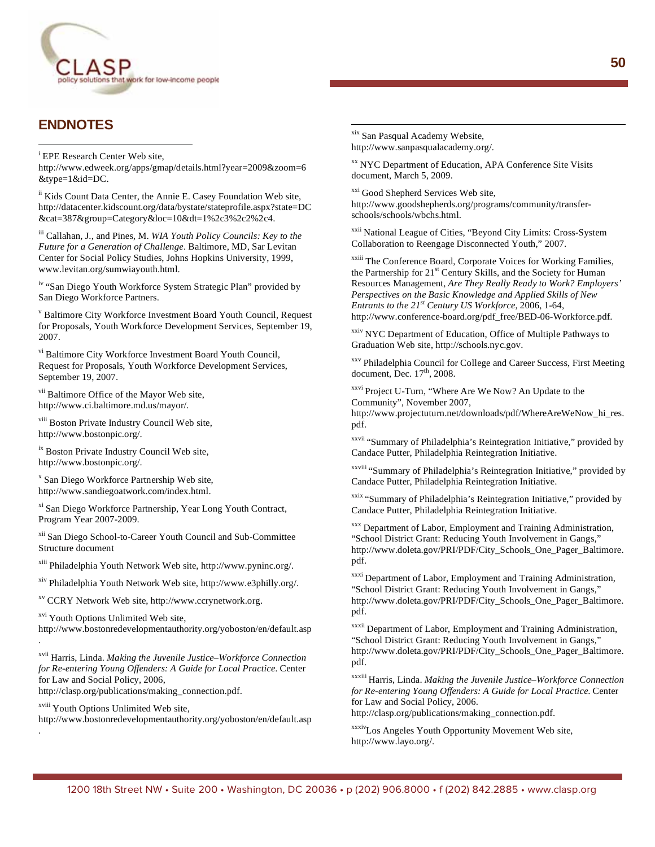

#### **ENDNOTES**

 $\overline{a}$ 

<sup>i</sup> EPE Research Center Web site,

http://www.edweek.org/apps/gmap/details.html?year=2009&zoom=6 &type=1&id=DC.

ii Kids Count Data Center, the Annie E. Casey Foundation Web site, http://datacenter.kidscount.org/data/bystate/stateprofile.aspx?state=DC  $\&cat=387\&$ group=Category $\&$ loc=10 $\&$ dt=1%2c3%2c2%2c4.

iii Callahan, J., and Pines, M. *WIA Youth Policy Councils: Key to the Future for a Generation of Challenge*. Baltimore, MD, Sar Levitan Center for Social Policy Studies, Johns Hopkins University, 1999, www.levitan.org/sumwiayouth.html.

iv "San Diego Youth Workforce System Strategic Plan" provided by San Diego Workforce Partners.

v Baltimore City Workforce Investment Board Youth Council, Request for Proposals, Youth Workforce Development Services, September 19, 2007.

vi Baltimore City Workforce Investment Board Youth Council, Request for Proposals, Youth Workforce Development Services, September 19, 2007.

vii Baltimore Office of the Mayor Web site, http://www.ci.baltimore.md.us/mayor/.

viii Boston Private Industry Council Web site, http://www.bostonpic.org/.

ix Boston Private Industry Council Web site, http://www.bostonpic.org/.

x San Diego Workforce Partnership Web site, http://www.sandiegoatwork.com/index.html.

xi San Diego Workforce Partnership, Year Long Youth Contract, Program Year 2007-2009.

xii San Diego School-to-Career Youth Council and Sub-Committee Structure document

xiii Philadelphia Youth Network Web site, http://www.pyninc.org/.

xiv Philadelphia Youth Network Web site, http://www.e3philly.org/.

xv CCRY Network Web site, http://www.ccrynetwork.org.

xvi Youth Options Unlimited Web site,

http://www.bostonredevelopmentauthority.org/yoboston/en/default.asp .

xvii Harris, Linda. *Making the Juvenile Justice–Workforce Connection for Re-entering Young Offenders: A Guide for Local Practice*. Center for Law and Social Policy, 2006,

http://clasp.org/publications/making\_connection.pdf.

xviii Youth Options Unlimited Web site,

.

http://www.bostonredevelopmentauthority.org/yoboston/en/default.asp

xix San Pasqual Academy Website, http://www.sanpasqualacademy.org/.

 $\overline{a}$ 

xx NYC Department of Education, APA Conference Site Visits document, March 5, 2009.

xxi Good Shepherd Services Web site, http://www.goodshepherds.org/programs/community/transferschools/schools/wbchs.html.

xxii National League of Cities, "Beyond City Limits: Cross-System Collaboration to Reengage Disconnected Youth," 2007.

xxiii The Conference Board, Corporate Voices for Working Families, the Partnership for 21<sup>st</sup> Century Skills, and the Society for Human Resources Management, *Are They Really Ready to Work? Employers' Perspectives on the Basic Knowledge and Applied Skills of New Entrants to the 21st Century US Workforce*, 2006, 1-64, http://www.conference-board.org/pdf\_free/BED-06-Workforce.pdf.

xxiv NYC Department of Education, Office of Multiple Pathways to Graduation Web site, http://schools.nyc.gov.

xxv Philadelphia Council for College and Career Success, First Meeting document, Dec.  $17<sup>th</sup>$ , 2008.

xxvi Project U-Turn, "Where Are We Now? An Update to the Community", November 2007,

http://www.projectuturn.net/downloads/pdf/WhereAreWeNow\_hi\_res. pdf.

xxvii "Summary of Philadelphia's Reintegration Initiative," provided by Candace Putter, Philadelphia Reintegration Initiative.

xxviii "Summary of Philadelphia's Reintegration Initiative," provided by Candace Putter, Philadelphia Reintegration Initiative.

xxix "Summary of Philadelphia's Reintegration Initiative," provided by Candace Putter, Philadelphia Reintegration Initiative.

xxx Department of Labor, Employment and Training Administration, "School District Grant: Reducing Youth Involvement in Gangs," http://www.doleta.gov/PRI/PDF/City\_Schools\_One\_Pager\_Baltimore. pdf.

xxxi Department of Labor, Employment and Training Administration, "School District Grant: Reducing Youth Involvement in Gangs," http://www.doleta.gov/PRI/PDF/City\_Schools\_One\_Pager\_Baltimore. pdf.

xxxii Department of Labor, Employment and Training Administration, "School District Grant: Reducing Youth Involvement in Gangs," http://www.doleta.gov/PRI/PDF/City\_Schools\_One\_Pager\_Baltimore. pdf.

xxxiii Harris, Linda. *Making the Juvenile Justice–Workforce Connection for Re-entering Young Offenders: A Guide for Local Practice*. Center for Law and Social Policy, 2006.

http://clasp.org/publications/making\_connection.pdf.

xxxivLos Angeles Youth Opportunity Movement Web site, http://www.layo.org/.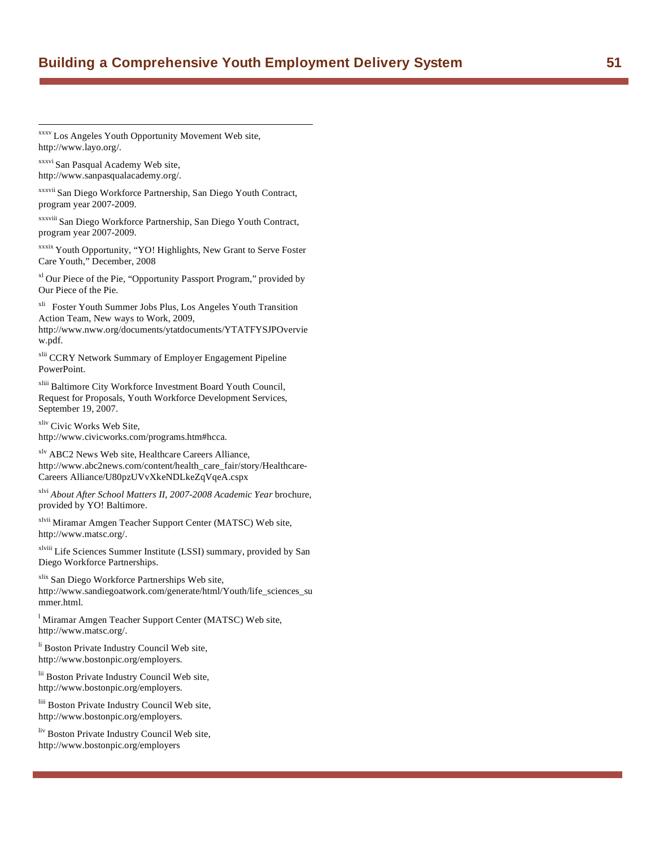xxxv Los Angeles Youth Opportunity Movement Web site, http://www.layo.org/.

xxxvi San Pasqual Academy Web site, http://www.sanpasqualacademy.org/.

 $\overline{a}$ 

xxxvii San Diego Workforce Partnership, San Diego Youth Contract, program year 2007-2009.

xxxviii San Diego Workforce Partnership, San Diego Youth Contract, program year 2007-2009.

xxxix Youth Opportunity, "YO! Highlights, New Grant to Serve Foster Care Youth," December, 2008

xl Our Piece of the Pie, "Opportunity Passport Program," provided by Our Piece of the Pie.

xli Foster Youth Summer Jobs Plus, Los Angeles Youth Transition Action Team, New ways to Work, 2009,

http://www.nww.org/documents/ytatdocuments/YTATFYSJPOvervie w.pdf.

xlii CCRY Network Summary of Employer Engagement Pipeline PowerPoint.

xliii Baltimore City Workforce Investment Board Youth Council, Request for Proposals, Youth Workforce Development Services, September 19, 2007.

xliv Civic Works Web Site, http://www.civicworks.com/programs.htm#hcca.

xlv ABC2 News Web site, Healthcare Careers Alliance, http://www.abc2news.com/content/health\_care\_fair/story/Healthcare-Careers Alliance/U80pzUVvXkeNDLkeZqVqeA.cspx

xlvi *About After School Matters II, 2007-2008 Academic Year* brochure, provided by YO! Baltimore.

xlvii Miramar Amgen Teacher Support Center (MATSC) Web site, http://www.matsc.org/.

xlviii Life Sciences Summer Institute (LSSI) summary, provided by San Diego Workforce Partnerships.

xlix San Diego Workforce Partnerships Web site, http://www.sandiegoatwork.com/generate/html/Youth/life\_sciences\_su mmer.html.

<sup>1</sup> Miramar Amgen Teacher Support Center (MATSC) Web site, http://www.matsc.org/.

li Boston Private Industry Council Web site, http://www.bostonpic.org/employers.

lii Boston Private Industry Council Web site, http://www.bostonpic.org/employers.

liii Boston Private Industry Council Web site, http://www.bostonpic.org/employers.

liv Boston Private Industry Council Web site, http://www.bostonpic.org/employers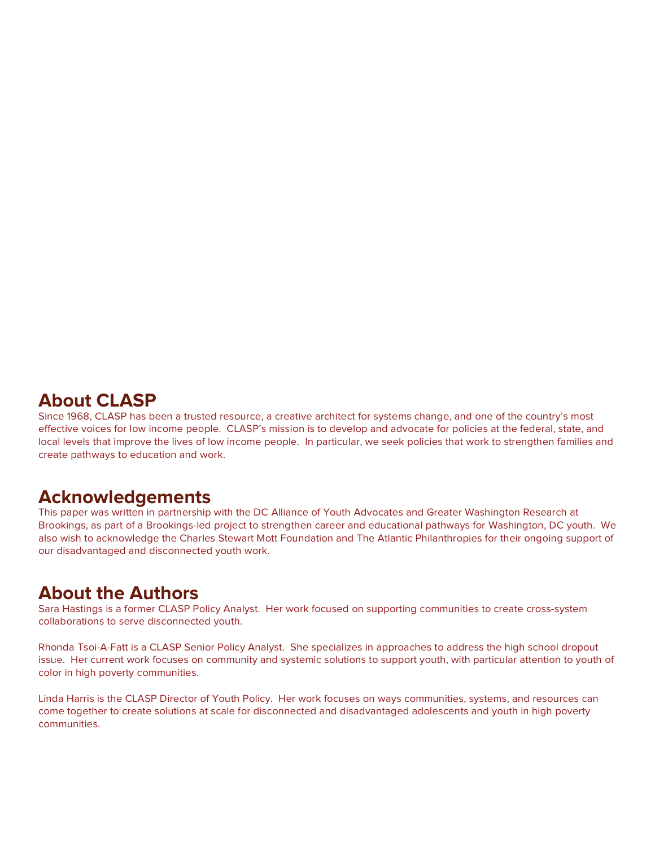## **About CLASP**

Since 1968, CLASP has been a trusted resource, a creative architect for systems change, and one of the country's most effective voices for low income people. CLASP's mission is to develop and advocate for policies at the federal, state, and local levels that improve the lives of low income people. In particular, we seek policies that work to strengthen families and create pathways to education and work.

# **Acknowledgements**

This paper was written in partnership with the DC Alliance of Youth Advocates and Greater Washington Research at Brookings, as part of a Brookings-led project to strengthen career and educational pathways for Washington, DC youth. We also wish to acknowledge the Charles Stewart Mott Foundation and The Atlantic Philanthropies for their ongoing support of our disadvantaged and disconnected youth work.

# **About the Authors**

Sara Hastings is a former CLASP Policy Analyst. Her work focused on supporting communities to create cross-system collaborations to serve disconnected youth.

Rhonda Tsoi-A-Fatt is a CLASP Senior Policy Analyst. She specializes in approaches to address the high school dropout issue. Her current work focuses on community and systemic solutions to support youth, with particular attention to youth of color in high poverty communities.

Linda Harris is the CLASP Director of Youth Policy. Her work focuses on ways communities, systems, and resources can come together to create solutions at scale for disconnected and disadvantaged adolescents and youth in high poverty communities.